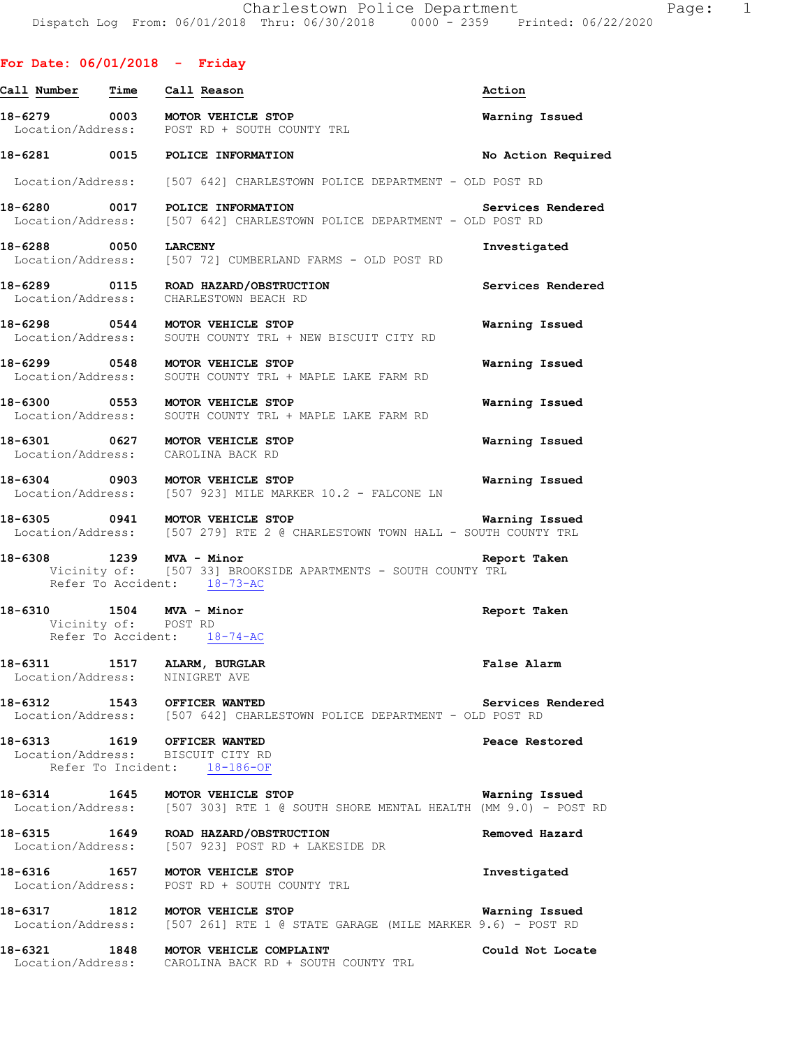### **For Date: 06/01/2018 - Friday**

| Call Number                                      | Time | Call Reason                                                                                                                        | Action             |
|--------------------------------------------------|------|------------------------------------------------------------------------------------------------------------------------------------|--------------------|
|                                                  |      | 18-6279 0003 MOTOR VEHICLE STOP<br>Location/Address: POST RD + SOUTH COUNTY TRL                                                    | Warning Issued     |
|                                                  |      | 18-6281 0015 POLICE INFORMATION                                                                                                    | No Action Required |
|                                                  |      | Location/Address: [507 642] CHARLESTOWN POLICE DEPARTMENT - OLD POST RD                                                            |                    |
| 18-6280 0017                                     |      | POLICE INFORMATION<br>Location/Address: [507 642] CHARLESTOWN POLICE DEPARTMENT - OLD POST RD                                      | Services Rendered  |
| 18-6288 0050                                     |      | <b>LARCENY</b><br>Location/Address: [507 72] CUMBERLAND FARMS - OLD POST RD                                                        | Investigated       |
|                                                  |      | 18-6289 0115 ROAD HAZARD/OBSTRUCTION<br>Location/Address: CHARLESTOWN BEACH RD                                                     | Services Rendered  |
| Location/Address:                                |      | 18-6298 0544 MOTOR VEHICLE STOP<br>SOUTH COUNTY TRL + NEW BISCUIT CITY RD                                                          | Warning Issued     |
| 18-6299 0548<br>Location/Address:                |      | MOTOR VEHICLE STOP<br>SOUTH COUNTY TRL + MAPLE LAKE FARM RD                                                                        | Warning Issued     |
| 18-6300 0553<br>Location/Address:                |      | MOTOR VEHICLE STOP<br>SOUTH COUNTY TRL + MAPLE LAKE FARM RD                                                                        | Warning Issued     |
|                                                  |      | 18-6301 0627 MOTOR VEHICLE STOP<br>Location/Address: CAROLINA BACK RD                                                              | Warning Issued     |
|                                                  |      | 18-6304 0903 MOTOR VEHICLE STOP<br>Location/Address: [507 923] MILE MARKER 10.2 - FALCONE LN                                       | Warning Issued     |
|                                                  |      | 18-6305 0941 MOTOR VEHICLE STOP<br>Location/Address: [507 279] RTE 2 @ CHARLESTOWN TOWN HALL - SOUTH COUNTY TRL                    | Warning Issued     |
| 18-6308 1239 MVA - Minor                         |      | Vicinity of: [507 33] BROOKSIDE APARTMENTS - SOUTH COUNTY TRL<br>Refer To Accident: 18-73-AC                                       | Report Taken       |
| 18-6310 1504 MVA - Minor<br>Vicinity of: POST RD |      | Refer To Accident: 18-74-AC                                                                                                        | Report Taken       |
| Location/Address: NINIGRET AVE                   |      | 18-6311 1517 ALARM, BURGLAR                                                                                                        | False Alarm        |
|                                                  |      | 18-6312 1543 OFFICER WANTED<br>Location/Address: [507 642] CHARLESTOWN POLICE DEPARTMENT - OLD POST RD                             | Services Rendered  |
|                                                  |      | 18-6313 1619 OFFICER WANTED<br>Location/Address: BISCUIT CITY RD<br>Refer To Incident: 18-186-OF                                   | Peace Restored     |
|                                                  |      | 18-6314 1645 MOTOR VEHICLE STOP Warning Issued<br>Location/Address: [507 303] RTE 1 @ SOUTH SHORE MENTAL HEALTH (MM 9.0) - POST RD |                    |
|                                                  |      | 18-6315 1649 ROAD HAZARD/OBSTRUCTION<br>Location/Address: [507 923] POST RD + LAKESIDE DR                                          | Removed Hazard     |
|                                                  |      | 18-6316 1657 MOTOR VEHICLE STOP<br>Location/Address: POST RD + SOUTH COUNTY TRL                                                    | Investigated       |
|                                                  |      | 18-6317 1812 MOTOR VEHICLE STOP<br>Location/Address: [507 261] RTE 1 @ STATE GARAGE (MILE MARKER 9.6) - POST RD                    | Warning Issued     |
|                                                  |      | 18-6321 1848 MOTOR VEHICLE COMPLAINT<br>Location/Address: CAROLINA BACK RD + SOUTH COUNTY TRL                                      | Could Not Locate   |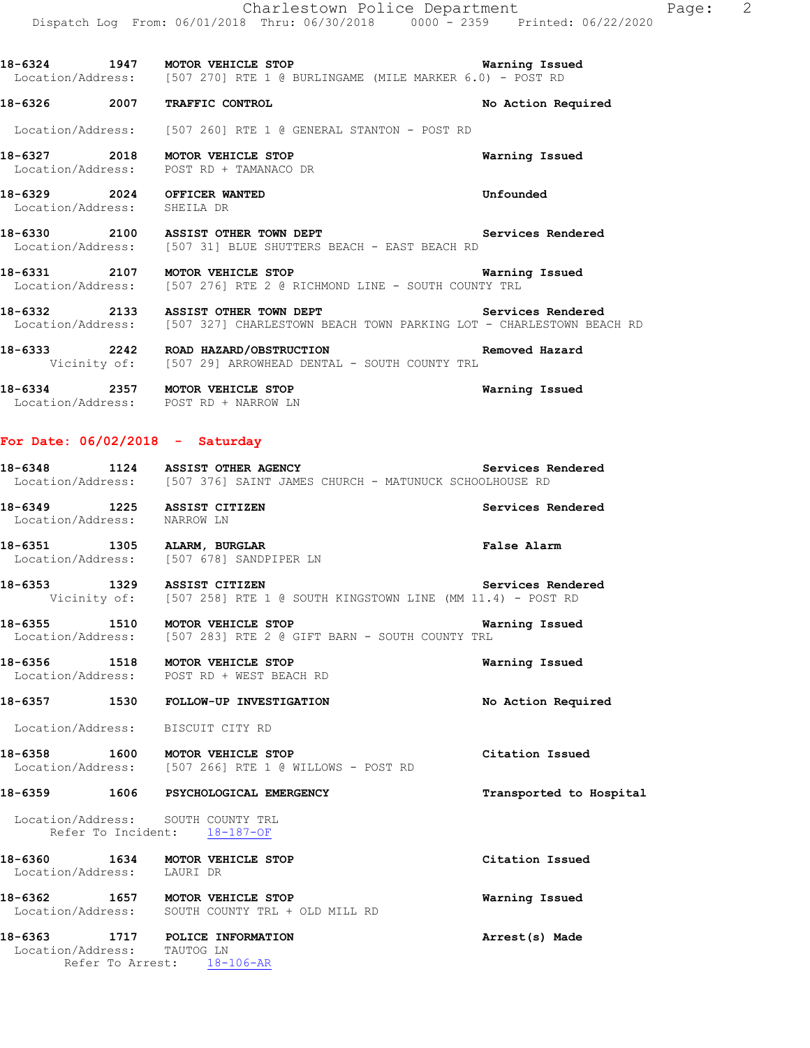**18-6324 1947 MOTOR VEHICLE STOP Warning Issued**  Location/Address: [507 270] RTE 1 @ BURLINGAME (MILE MARKER 6.0) - POST RD

**18-6326 2007 TRAFFIC CONTROL No Action Required** 

Location/Address: [507 260] RTE 1 @ GENERAL STANTON - POST RD

**18-6327 2018 MOTOR VEHICLE STOP Warning Issued**  Location/Address: POST RD + TAMANACO DR

**18-6329 2024 OFFICER WANTED Unfounded**  Location/Address: SHEILA DR

18-6330 2100 ASSIST OTHER TOWN DEPT **18-6330** Services Rendered Location/Address: [507 31] BLUE SHUTTERS BEACH - EAST BEACH RD

**18-6331 2107 MOTOR VEHICLE STOP Warning Issued**  Location/Address: [507 276] RTE 2 @ RICHMOND LINE - SOUTH COUNTY TRL

18-6332 2133 ASSIST OTHER TOWN DEPT **18-81 Services Rendered** Location/Address: [507 327] CHARLESTOWN BEACH TOWN PARKING LOT - CHARLESTOWN BEACH RD

**18-6333 2242 ROAD HAZARD/OBSTRUCTION Removed Hazard**  Vicinity of: [507 29] ARROWHEAD DENTAL - SOUTH COUNTY TRL

**18-6334 2357 MOTOR VEHICLE STOP Warning Issued**  Location/Address: POST RD + NARROW LN

### **For Date: 06/02/2018 - Saturday**

|                                                            | 18-6348 1124 ASSIST OTHER AGENCY<br>Location/Address: [507 376] SAINT JAMES CHURCH - MATUNUCK SCHOOLHOUSE RD              | Services Rendered       |
|------------------------------------------------------------|---------------------------------------------------------------------------------------------------------------------------|-------------------------|
| 18-6349 1225 ASSIST CITIZEN<br>Location/Address: NARROW LN |                                                                                                                           | Services Rendered       |
|                                                            | 18-6351 1305 ALARM, BURGLAR<br>Location/Address: [507 678] SANDPIPER LN                                                   | <b>False Alarm</b>      |
| 18-6353 1329 ASSIST CITIZEN                                | Vicinity of: [507 258] RTE 1 @ SOUTH KINGSTOWN LINE (MM 11.4) - POST RD                                                   | Services Rendered       |
|                                                            | <b>18-6355 1510 MOTOR VEHICLE STOP WARELL STOP</b> WA<br>Location/Address: [507 283] RTE 2 @ GIFT BARN - SOUTH COUNTY TRL | Warning Issued          |
|                                                            | 18-6356 1518 MOTOR VEHICLE STOP<br>Location/Address: POST RD + WEST BEACH RD                                              | Warning Issued          |
|                                                            | 18-6357 1530 FOLLOW-UP INVESTIGATION                                                                                      | No Action Required      |
|                                                            | Location/Address: BISCUIT CITY RD                                                                                         |                         |
|                                                            | 18-6358 1600 MOTOR VEHICLE STOP<br>Location/Address: [507 266] RTE 1 @ WILLOWS - POST RD                                  | Citation Issued         |
|                                                            | 18-6359 1606 PSYCHOLOGICAL EMERGENCY                                                                                      | Transported to Hospital |
|                                                            | Location/Address: SOUTH COUNTY TRL<br>Refer To Incident: 18-187-OF                                                        |                         |
| Location/Address: LAURI DR                                 | 18-6360 1634 MOTOR VEHICLE STOP                                                                                           | Citation Issued         |
|                                                            | 18-6362 1657 MOTOR VEHICLE STOP<br>Location/Address: SOUTH COUNTY TRL + OLD MILL RD                                       | Warning Issued          |
|                                                            | 18-6363 1717 POLICE INFORMATION<br>Location/Address: TAUTOG LN<br>Refer To Arrest: 18-106-AR                              | Arrest(s) Made          |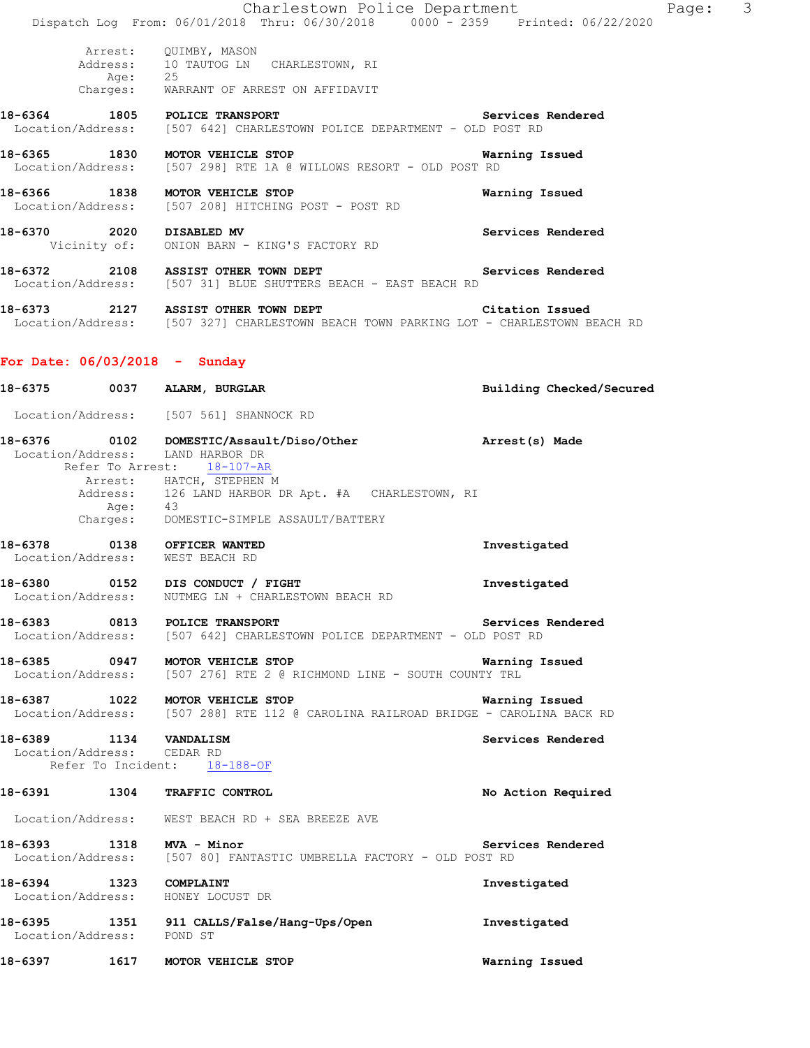|                               | Charlestown Police Department                                                                   |                   | 3<br>Page: |
|-------------------------------|-------------------------------------------------------------------------------------------------|-------------------|------------|
|                               | Dispatch Log From: 06/01/2018 Thru: 06/30/2018 0000 - 2359 Printed: 06/22/2020                  |                   |            |
| Age: 25                       | Arrest: QUIMBY, MASON<br>Address: 10 TAUTOG LN CHARLESTOWN, RI                                  |                   |            |
|                               | Charges: WARRANT OF ARREST ON AFFIDAVIT                                                         |                   |            |
| 18-6364 1805 POLICE TRANSPORT | Location/Address: [507 642] CHARLESTOWN POLICE DEPARTMENT - OLD POST RD                         | Services Rendered |            |
| 18-6365 1830                  | MOTOR VEHICLE STOP<br>Location/Address: [507 298] RTE 1A @ WILLOWS RESORT - OLD POST RD         | Warning Issued    |            |
| 18-6366 1838                  | MOTOR VEHICLE STOP<br>Location/Address: [507 208] HITCHING POST - POST RD                       | Warning Issued    |            |
| 18-6370<br>2020 DISABLED MV   | Vicinity of: ONION BARN - KING'S FACTORY RD                                                     | Services Rendered |            |
| 18-6372 2108                  | <b>ASSIST OTHER TOWN DEPT</b><br>Location/Address: [507 31] BLUE SHUTTERS BEACH - EAST BEACH RD | Services Rendered |            |
| 18-6373<br>2127               | ASSIST OTHER TOWN DEPT                                                                          | Citation Issued   |            |

Location/Address: [507 327] CHARLESTOWN BEACH TOWN PARKING LOT - CHARLESTOWN BEACH RD

# **For Date: 06/03/2018 - Sunday**

|                            | 18-6375 0037 ALARM, BURGLAR                                                                                                                                       | Building Checked/Secured |
|----------------------------|-------------------------------------------------------------------------------------------------------------------------------------------------------------------|--------------------------|
|                            | Location/Address: [507 561] SHANNOCK RD                                                                                                                           |                          |
|                            | 18-6376 0102 DOMESTIC/Assault/Diso/Other https://www.arrest(s) Made<br>Location/Address: LAND HARBOR DR<br>Refer To Arrest: 18-107-AR<br>Arrest: HATCH, STEPHEN M |                          |
|                            | Address: 126 LAND HARBOR DR Apt. #A CHARLESTOWN, RI<br>Age: 43<br>Charges: DOMESTIC-SIMPLE ASSAULT/BATTERY                                                        |                          |
|                            | 18-6378 0138 OFFICER WANTED<br>Location/Address: WEST BEACH RD                                                                                                    | Investigated             |
|                            | 18-6380 0152 DIS CONDUCT / FIGHT<br>Location/Address: NUTMEG LN + CHARLESTOWN BEACH RD                                                                            | Investigated             |
|                            | 18-6383 0813 POLICE TRANSPORT<br>Location/Address: [507 642] CHARLESTOWN POLICE DEPARTMENT - OLD POST RD                                                          | Services Rendered        |
|                            | 18-6385 0947 MOTOR VEHICLE STOP<br>Location/Address: [507 276] RTE 2 @ RICHMOND LINE - SOUTH COUNTY TRL                                                           | <b>Warning Issued</b>    |
|                            | 18-6387 1022 MOTOR VEHICLE STOP 18-6387 Warning Issued<br>Location/Address: [507 288] RTE 112 @ CAROLINA RAILROAD BRIDGE - CAROLINA BACK RD                       |                          |
| Location/Address: CEDAR RD | 18-6389 1134 VANDALISM<br>Refer To Incident: 18-188-OF                                                                                                            | Services Rendered        |
|                            | 18-6391 1304 TRAFFIC CONTROL                                                                                                                                      | No Action Required       |
|                            | Location/Address: WEST BEACH RD + SEA BREEZE AVE                                                                                                                  |                          |
|                            | 18-6393 1318 MVA - Minor<br>Location/Address: [507 80] FANTASTIC UMBRELLA FACTORY - OLD POST RD                                                                   | Services Rendered        |
|                            | 18-6394 1323 COMPLAINT<br>Location/Address: HONEY LOCUST DR                                                                                                       | Investigated             |
| Location/Address: POND ST  | 18-6395 1351 911 CALLS/False/Hang-Ups/Open                                                                                                                        | Investigated             |
|                            | 18-6397 1617 MOTOR VEHICLE STOP                                                                                                                                   | Warning Issued           |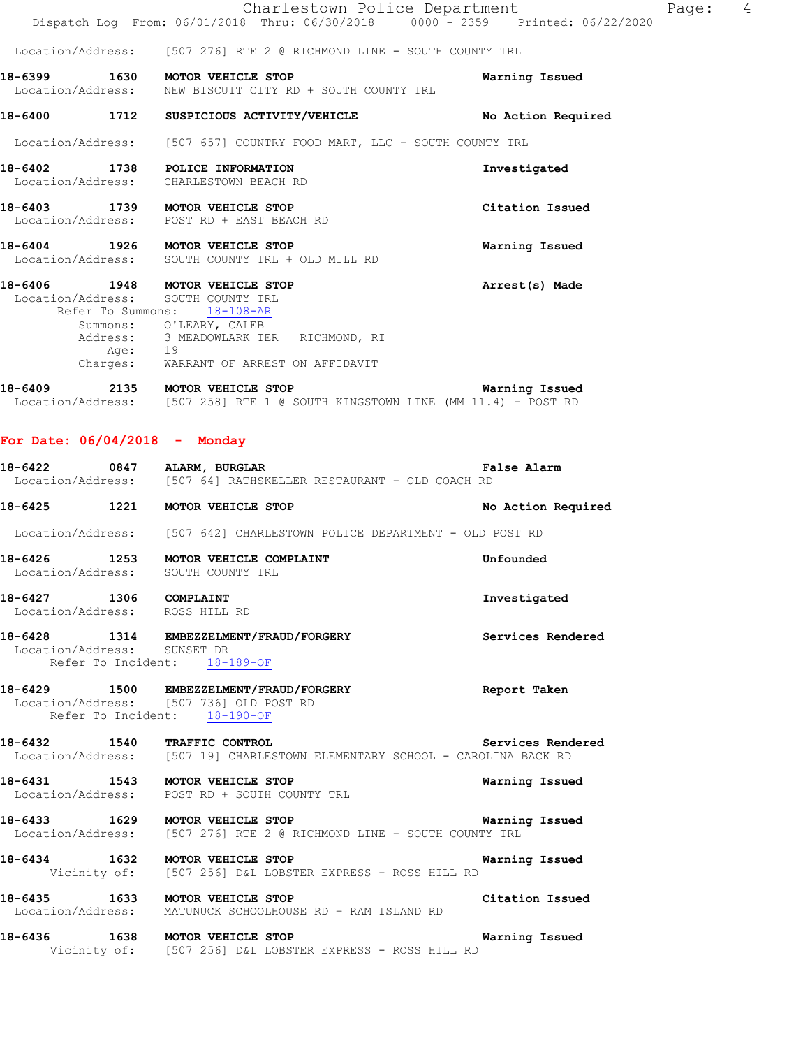|         |                                                                                                                                 | Dispatch Log From: 06/01/2018 Thru: 06/30/2018 0000 - 2359 Printed: 06/22/2020 |                    |
|---------|---------------------------------------------------------------------------------------------------------------------------------|--------------------------------------------------------------------------------|--------------------|
|         |                                                                                                                                 | Location/Address: [507 276] RTE 2 @ RICHMOND LINE - SOUTH COUNTY TRL           |                    |
|         | 18-6399 1630 MOTOR VEHICLE STOP<br>Location/Address: NEW BISCUIT CITY RD + SOUTH COUNTY TRL                                     |                                                                                | Warning Issued     |
|         | 18-6400 1712 SUSPICIOUS ACTIVITY/VEHICLE                                                                                        |                                                                                | No Action Required |
|         |                                                                                                                                 | Location/Address: [507 657] COUNTRY FOOD MART, LLC - SOUTH COUNTY TRL          |                    |
|         | 18-6402 1738 POLICE INFORMATION<br>Location/Address: CHARLESTOWN BEACH RD                                                       |                                                                                | Investigated       |
|         | 18-6403 1739 MOTOR VEHICLE STOP<br>Location/Address: POST RD + EAST BEACH RD                                                    |                                                                                | Citation Issued    |
|         | 18-6404 1926 MOTOR VEHICLE STOP<br>Location/Address: SOUTH COUNTY TRL + OLD MILL RD                                             |                                                                                | Warning Issued     |
|         | 18-6406 1948 MOTOR VEHICLE STOP<br>Location/Address: SOUTH COUNTY TRL<br>Refer To Summons: 18-108-AR<br>Summons: O'LEARY, CALEB |                                                                                | Arrest(s) Made     |
|         | Address: 3 MEADOWLARK TER RICHMOND, RI<br>Age: 19<br>Charges: WARRANT OF ARREST ON AFFIDAVIT                                    |                                                                                |                    |
| 18-6409 | 2135 MOTOR VEHICLE STOP                                                                                                         |                                                                                | Warning Issued     |

Location/Address: [507 258] RTE 1 @ SOUTH KINGSTOWN LINE (MM 11.4) - POST RD

#### **For Date: 06/04/2018 - Monday**

| 18-6422           | 0847 | ALARM, BURGLAR |                                                |  | <b>False Alarm</b> |  |
|-------------------|------|----------------|------------------------------------------------|--|--------------------|--|
| Location/Address: |      |                | [507 64] RATHSKELLER RESTAURANT - OLD COACH RD |  |                    |  |

| 18-6425 | 1221 | MOTOR VEHICLE STOP | No Action Required |
|---------|------|--------------------|--------------------|

Location/Address: [507 642] CHARLESTOWN POLICE DEPARTMENT - OLD POST RD

- **18-6426 1253 MOTOR VEHICLE COMPLAINT Unfounded**  Location/Address: SOUTH COUNTY TRL
- **18-6427 1306 COMPLAINT Investigated**  Location/Address: ROSS HILL RD

#### **18-6428 1314 EMBEZZELMENT/FRAUD/FORGERY Services Rendered**  Location/Address: SUNSET DR Refer To Incident: 18-189-OF

### **18-6429 1500 EMBEZZELMENT/FRAUD/FORGERY Report Taken**  Location/Address: [507 736] OLD POST RD Refer To Incident: 18-190-OF

**18-6432 1540 TRAFFIC CONTROL Services Rendered**  Location/Address: [507 19] CHARLESTOWN ELEMENTARY SCHOOL - CAROLINA BACK RD

### **18-6431 1543 MOTOR VEHICLE STOP Warning Issued**  Location/Address: POST RD + SOUTH COUNTY TRL

### **18-6433 1629 MOTOR VEHICLE STOP Warning Issued**  Location/Address: [507 276] RTE 2 @ RICHMOND LINE - SOUTH COUNTY TRL

**18-6434 1632 MOTOR VEHICLE STOP Warning Issued**  Vicinity of: [507 256] D&L LOBSTER EXPRESS - ROSS HILL RD

**18-6435 1633 MOTOR VEHICLE STOP Citation Issued**  Location/Address: MATUNUCK SCHOOLHOUSE RD + RAM ISLAND RD

**18-6436 1638 MOTOR VEHICLE STOP Warning Issued**  Vicinity of: [507 256] D&L LOBSTER EXPRESS - ROSS HILL RD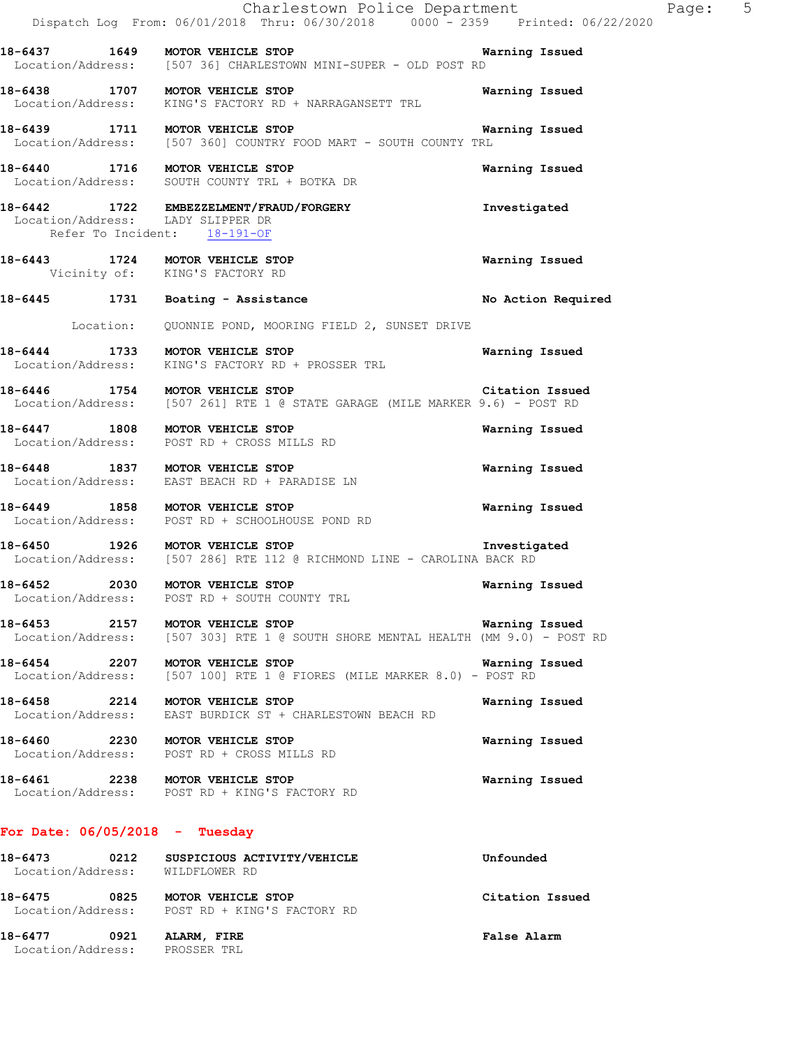|                                                                   | Charlestown Police Department<br>Dispatch Log From: 06/01/2018 Thru: 06/30/2018 0000 - 2359 Printed: 06/22/2020                |                       |
|-------------------------------------------------------------------|--------------------------------------------------------------------------------------------------------------------------------|-----------------------|
|                                                                   | 18-6437 1649 MOTOR VEHICLE STOP 1999 1890 Warning Issued<br>Location/Address: [507 36] CHARLESTOWN MINI-SUPER - OLD POST RD    |                       |
|                                                                   | 18-6438 1707 MOTOR VEHICLE STOP<br>Location/Address: KING'S FACTORY RD + NARRAGANSETT TRL                                      | Warning Issued        |
|                                                                   | 18-6439 1711 MOTOR VEHICLE STOP WART - SOUTH COUNTY TRL Location/Address: [507 360] COUNTRY FOOD MART - SOUTH COUNTY TRL       | <b>Warning Issued</b> |
|                                                                   | 18-6440 1716 MOTOR VEHICLE STOP<br>Location/Address: SOUTH COUNTY TRL + BOTKA DR                                               | Warning Issued        |
|                                                                   | 18-6442 1722 EMBEZZELMENT/FRAUD/FORGERY<br>Location/Address: LADY SLIPPER DR<br>Refer To Incident: 18-191-OF                   | Investigated          |
| 18-6443 1724 MOTOR VEHICLE STOP<br>Vicinity of: KING'S FACTORY RD |                                                                                                                                | Warning Issued        |
|                                                                   | 18-6445 1731 Boating - Assistance                                                                                              | No Action Required    |
|                                                                   | Location: QUONNIE POND, MOORING FIELD 2, SUNSET DRIVE                                                                          |                       |
|                                                                   | 18-6444 1733 MOTOR VEHICLE STOP<br>Location/Address: KING'S FACTORY RD + PROSSER TRL                                           | <b>Warning Issued</b> |
|                                                                   | 18-6446 1754 MOTOR VEHICLE STOP Citation Issue<br>Location/Address: [507 261] RTE 1 @ STATE GARAGE (MILE MARKER 9.6) - POST RD | Citation Issued       |
|                                                                   | 18-6447 1808 MOTOR VEHICLE STOP<br>Location/Address: POST RD + CROSS MILLS RD                                                  | Warning Issued        |
|                                                                   | 18-6448 1837 MOTOR VEHICLE STOP<br>Location/Address: EAST BEACH RD + PARADISE LN                                               | Warning Issued        |
|                                                                   | 18-6449 1858 MOTOR VEHICLE STOP<br>Location/Address: POST RD + SCHOOLHOUSE POND RD                                             | Warning Issued        |
| 18-6450 1926 MOTOR VEHICLE STOP                                   | Location/Address: [507 286] RTE 112 @ RICHMOND LINE - CAROLINA BACK RD                                                         | Investigated          |
| 18-6452 2030 MOTOR VEHICLE STOP<br>Location/Address:              | POST RD + SOUTH COUNTY TRL                                                                                                     | Warning Issued        |
| 18-6453 2157 MOTOR VEHICLE STOP                                   | Location/Address: [507 303] RTE 1 @ SOUTH SHORE MENTAL HEALTH (MM 9.0) - POST RD                                               | Warning Issued        |
| 18-6454 2207 MOTOR VEHICLE STOP                                   | Location/Address: [507 100] RTE 1 @ FIORES (MILE MARKER 8.0) - POST RD                                                         | Warning Issued        |
| 18-6458 2214 MOTOR VEHICLE STOP                                   | Location/Address: EAST BURDICK ST + CHARLESTOWN BEACH RD                                                                       | Warning Issued        |
| 18-6460 2230 MOTOR VEHICLE STOP                                   | Location/Address: POST RD + CROSS MILLS RD                                                                                     | Warning Issued        |
|                                                                   | 18-6461 2238 MOTOR VEHICLE STOP<br>Location/Address: POST RD + KING'S FACTORY RD                                               | Warning Issued        |
| For Date: $06/05/2018$ - Tuesday                                  |                                                                                                                                |                       |
| Location/Address: WILDFLOWER RD                                   | 18-6473 0212 SUSPICIOUS ACTIVITY/VEHICLE                                                                                       | Unfounded             |
| 18-6475 0825 MOTOR VEHICLE STOP                                   |                                                                                                                                | Citation Issued       |

**18-6477 0921 ALARM, FIRE False Alarm**  Location/Address: PROSSER TRL

Location/Address: POST RD + KING'S FACTORY RD

Page: 5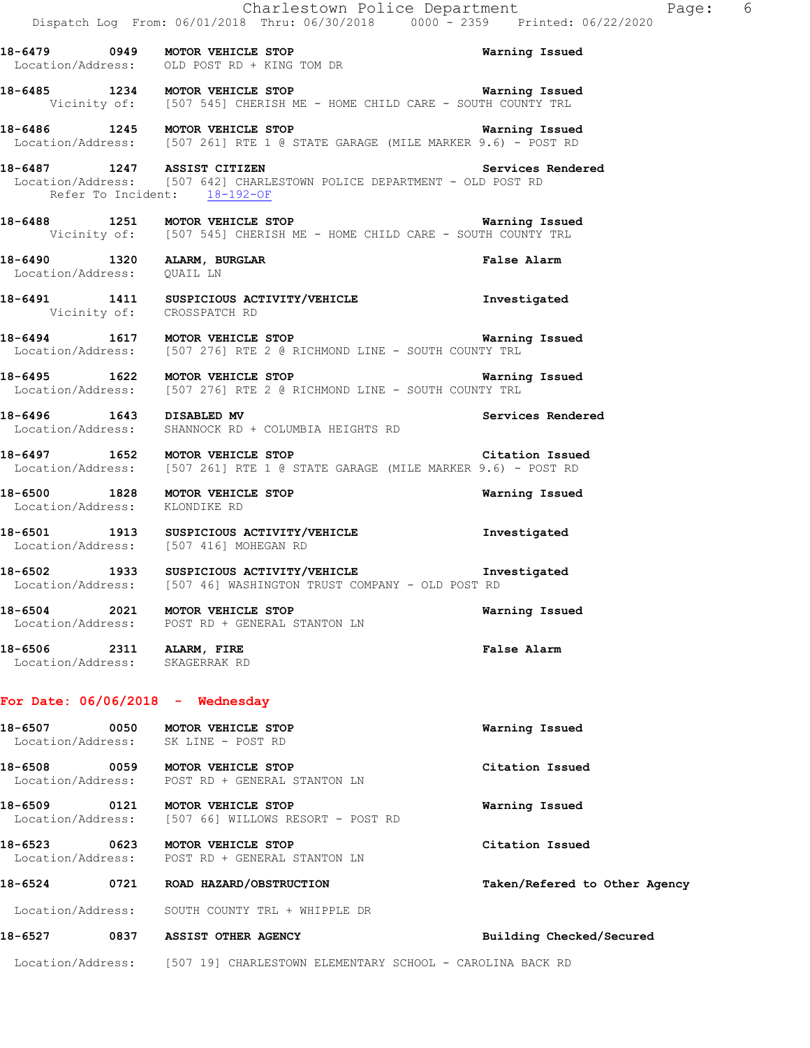|                                                            |      | Charlestown Police Department<br>Dispatch Log From: 06/01/2018 Thru: 06/30/2018 0000 - 2359 Printed: 06/22/2020                        |                               | Page: 6 |  |
|------------------------------------------------------------|------|----------------------------------------------------------------------------------------------------------------------------------------|-------------------------------|---------|--|
|                                                            |      | 18-6479 		 0949 		 MOTOR VEHICLE STOP 		 The State of Marning Issued<br>Location/Address: OLD POST RD + KING TOM DR                    |                               |         |  |
|                                                            |      | 18-6485 1234 MOTOR VEHICLE STOP 128 18 Warning Issued<br>Vicinity of: [507 545] CHERISH ME - HOME CHILD CARE - SOUTH COUNTY TRL        |                               |         |  |
|                                                            |      | 18-6486 1245 MOTOR VEHICLE STOP 18-10 Marning Issued<br>Location/Address: [507 261] RTE 1 @ STATE GARAGE (MILE MARKER 9.6) - POST RD   |                               |         |  |
|                                                            |      | 18-6487 1247 ASSIST CITIZEN<br>Location/Address: [507 642] CHARLESTOWN POLICE DEPARTMENT - OLD POST RD<br>Refer To Incident: 18-192-OF | Services Rendered             |         |  |
|                                                            |      | 18-6488 1251 MOTOR VEHICLE STOP Warning Issued<br>Vicinity of: [507 545] CHERISH ME - HOME CHILD CARE - SOUTH COUNTY TRL               |                               |         |  |
| Location/Address: QUAIL LN                                 |      | 18-6490 1320 ALARM, BURGLAR                                                                                                            | <b>False Alarm</b>            |         |  |
|                                                            |      | 18-6491 1411 SUSPICIOUS ACTIVITY/VEHICLE Threstigated<br>Vicinity of: CROSSPATCH RD                                                    |                               |         |  |
|                                                            |      | -<br>18-6494 1617 MOTOR VEHICLE STOP 1990 1991 Warning Issued<br>Location/Address: [507 276] RTE 2 @ RICHMOND LINE - SOUTH COUNTY TRL  |                               |         |  |
|                                                            |      | 18-6495 1622 MOTOR VEHICLE STOP 18 19 18 Warning Issued<br>Location/Address: [507 276] RTE 2 @ RICHMOND LINE - SOUTH COUNTY TRL        |                               |         |  |
| 18-6496   1643   DISABLED MV                               |      | Location/Address: SHANNOCK RD + COLUMBIA HEIGHTS RD                                                                                    | Services Rendered             |         |  |
|                                                            |      | 18-6497 1652 MOTOR VEHICLE STOP<br>Location/Address: [507 261] RTE 1 @ STATE GARAGE (MILE MARKER 9.6) - POST RD                        | Citation Issued               |         |  |
| Location/Address: KLONDIKE RD                              |      | 18-6500 1828 MOTOR VEHICLE STOP                                                                                                        | Warning Issued                |         |  |
|                                                            |      | 18-6501 1913 SUSPICIOUS ACTIVITY/VEHICLE Threstigated<br>Location/Address: [507 416] MOHEGAN RD                                        |                               |         |  |
|                                                            |      | 18-6502 1933 SUSPICIOUS ACTIVITY/VEHICLE Threstigated Iocation/Address: [507 46] WASHINGTON TRUST COMPANY - OLD POST RD                |                               |         |  |
|                                                            |      | 18-6504 2021 MOTOR VEHICLE STOP<br>Location/Address: POST RD + GENERAL STANTON LN                                                      | Warning Issued                |         |  |
| 18-6506 2311 ALARM, FIRE<br>Location/Address: SKAGERRAK RD |      |                                                                                                                                        | False Alarm                   |         |  |
|                                                            |      | For Date: $06/06/2018$ - Wednesday                                                                                                     |                               |         |  |
| 18-6507<br>Location/Address:                               | 0050 | MOTOR VEHICLE STOP<br>SK LINE - POST RD                                                                                                | Warning Issued                |         |  |
| 18-6508                                                    |      | 0059 MOTOR VEHICLE STOP<br>Location/Address: POST RD + GENERAL STANTON LN                                                              | Citation Issued               |         |  |
| 18-6509 0121<br>Location/Address:                          |      | MOTOR VEHICLE STOP<br>[507 66] WILLOWS RESORT - POST RD                                                                                | Warning Issued                |         |  |
| 18-6523<br>Location/Address:                               | 0623 | MOTOR VEHICLE STOP<br>POST RD + GENERAL STANTON LN                                                                                     | Citation Issued               |         |  |
| $18 - 6524$                                                |      | 0721 ROAD HAZARD/OBSTRUCTION                                                                                                           | Taken/Refered to Other Agency |         |  |
|                                                            |      | Location/Address: SOUTH COUNTY TRL + WHIPPLE DR                                                                                        |                               |         |  |

**18-6527 0837 ASSIST OTHER AGENCY Building Checked/Secured** 

Location/Address: [507 19] CHARLESTOWN ELEMENTARY SCHOOL - CAROLINA BACK RD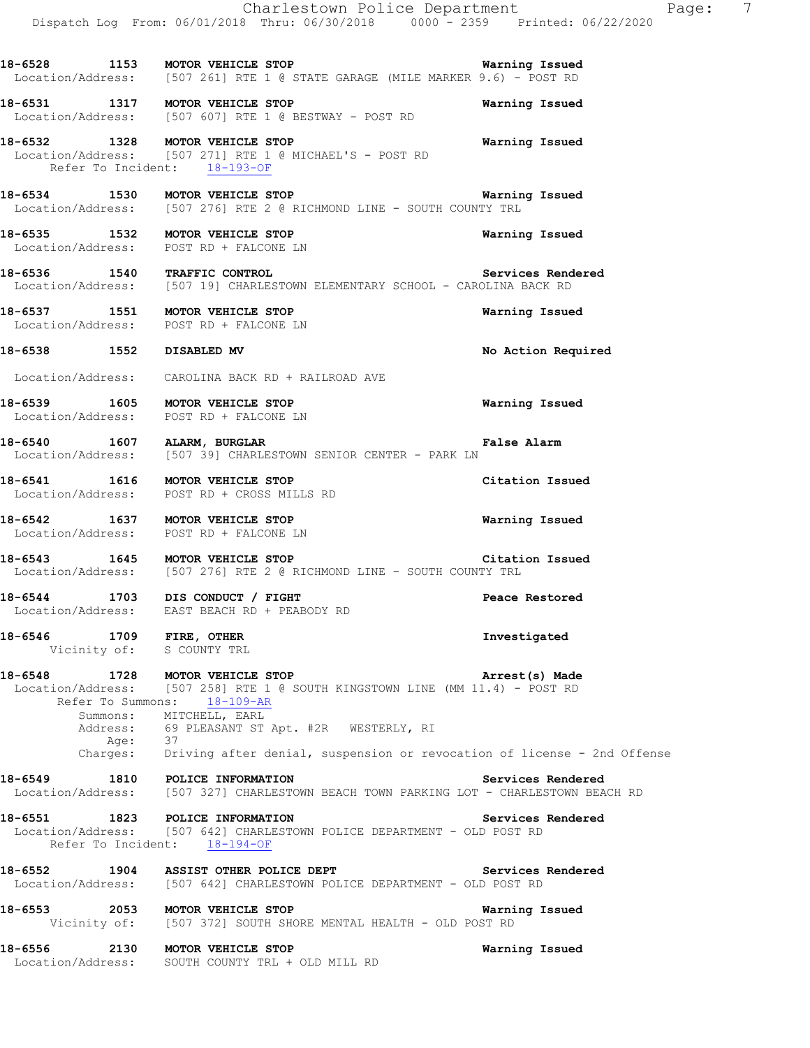|                                                       | Charlestown Police Department<br>Dispatch Log From: 06/01/2018 Thru: 06/30/2018 0000 <sup>-</sup> 2359 Printed: 06/22/2020                 | Page: 7            |
|-------------------------------------------------------|--------------------------------------------------------------------------------------------------------------------------------------------|--------------------|
|                                                       | 18-6528 1153 MOTOR VEHICLE STOP WATHING TO STATE GORD CONTROL LOCATION/Address: [507 261] RTE 1 @ STATE GARAGE (MILE MARKER 9.6) - POST RD |                    |
|                                                       | 18-6531 1317 MOTOR VEHICLE STOP<br>Location/Address: [507 607] RTE 1 @ BESTWAY - POST RD                                                   | Warning Issued     |
|                                                       | 18-6532 1328 MOTOR VEHICLE STOP<br>Location/Address: [507 271] RTE 1 @ MICHAEL'S - POST RD<br>Refer To Incident: 18-193-OF                 | Warning Issued     |
|                                                       | 18-6534 1530 MOTOR VEHICLE STOP 120 18 Warning Issued<br>Location/Address: [507 276] RTE 2 @ RICHMOND LINE - SOUTH COUNTY TRL              |                    |
|                                                       | 18-6535 1532 MOTOR VEHICLE STOP<br>Location/Address: POST RD + FALCONE LN                                                                  | Warning Issued     |
|                                                       | 18-6536 1540 TRAFFIC CONTROL 2000 Services Rendered<br>Location/Address: [507 19] CHARLESTOWN ELEMENTARY SCHOOL - CAROLINA BACK RD         |                    |
|                                                       | 18-6537 1551 MOTOR VEHICLE STOP<br>Location/Address: POST RD + FALCONE LN                                                                  | Warning Issued     |
| 18-6538 1552 DISABLED MV                              |                                                                                                                                            | No Action Required |
|                                                       | Location/Address: CAROLINA BACK RD + RAILROAD AVE                                                                                          |                    |
| Location/Address: POST RD + FALCONE LN                | 18-6539 1605 MOTOR VEHICLE STOP                                                                                                            | Warning Issued     |
| 18-6540 1607 ALARM, BURGLAR                           | Location/Address: [507 39] CHARLESTOWN SENIOR CENTER - PARK LN                                                                             | False Alarm        |
|                                                       | 18-6541 1616 MOTOR VEHICLE STOP<br>Location/Address: POST RD + CROSS MILLS RD                                                              | Citation Issued    |
|                                                       | 18-6542 1637 MOTOR VEHICLE STOP<br>Location/Address: POST RD + FALCONE LN                                                                  | Warning Issued     |
|                                                       | 18-6543 1645 MOTOR VEHICLE STOP 18-6543 Citation Issued<br>Location/Address: [507 276] RTE 2 @ RICHMOND LINE - SOUTH COUNTY TRL            |                    |
| 18-6544 1703 DIS CONDUCT / FIGHT                      | Location/Address: EAST BEACH RD + PEABODY RD                                                                                               | Peace Restored     |
| 18-6546 1709 FIRE, OTHER<br>Vicinity of: S COUNTY TRL |                                                                                                                                            | Investigated       |
| 18-6548 1728 MOTOR VEHICLE STOP                       | Location/Address: [507 258] RTE 1 @ SOUTH KINGSTOWN LINE (MM 11.4) - POST RD<br>Refer To Summons: 18-109-AR<br>Summons: MITCHELL, EARL     | Arrest(s) Made     |
| Age: 37                                               | Address: 69 PLEASANT ST Apt. #2R WESTERLY, RI<br>Charges: Driving after denial, suspension or revocation of license - 2nd Offense          |                    |
| 18-6549 1810 POLICE INFORMATION                       | Location/Address: [507 327] CHARLESTOWN BEACH TOWN PARKING LOT - CHARLESTOWN BEACH RD                                                      | Services Rendered  |
|                                                       | 18-6551 1823 POLICE INFORMATION<br>Location/Address: [507 642] CHARLESTOWN POLICE DEPARTMENT - OLD POST RD<br>Refer To Incident: 18-194-OF | Services Rendered  |
|                                                       | 18-6552 1904 ASSIST OTHER POLICE DEPT<br>Services Rendered<br>Location/Address: [507 642] CHARLESTOWN POLICE DEPARTMENT - OLD POST RD      |                    |
| 18-6553 2053 MOTOR VEHICLE STOP                       | Vicinity of: [507 372] SOUTH SHORE MENTAL HEALTH - OLD POST RD                                                                             | Warning Issued     |
| 18-6556 2130 MOTOR VEHICLE STOP                       | Location/Address: SOUTH COUNTY TRL + OLD MILL RD                                                                                           | Warning Issued     |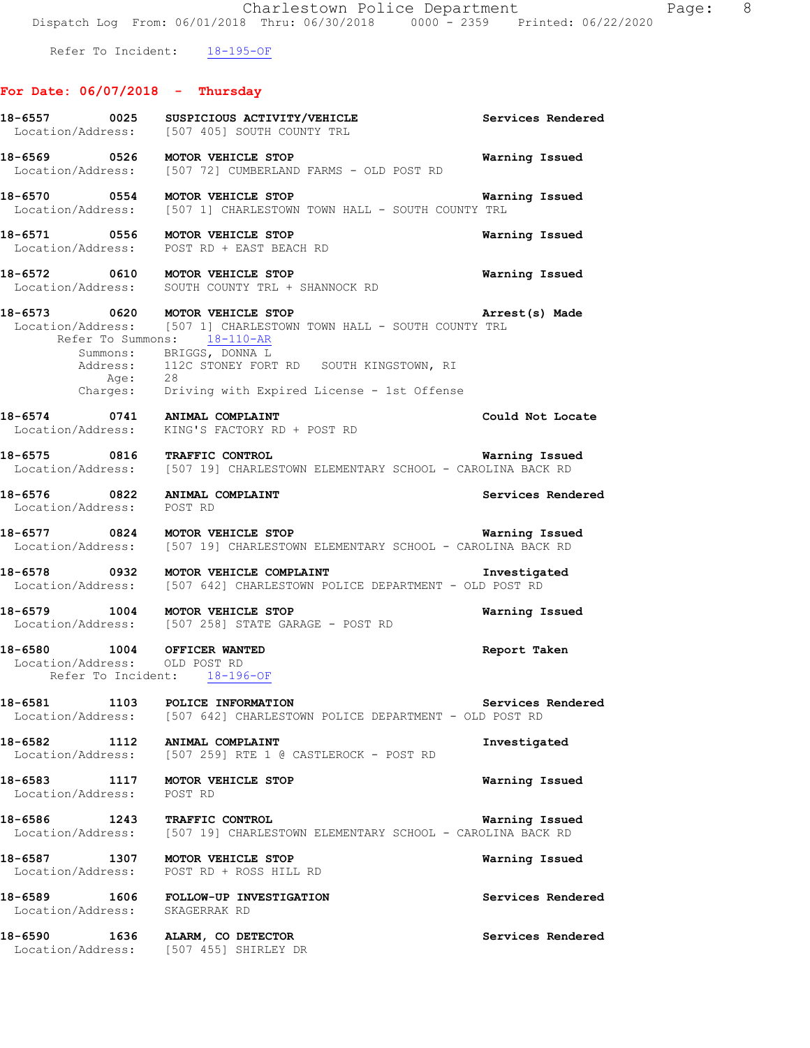Refer To Incident: 18-195-OF

## **For Date: 06/07/2018 - Thursday**

|                                                              | 18-6557 0025 SUSPICIOUS ACTIVITY/VEHICLE<br>Location/Address: [507 405] SOUTH COUNTY TRL                                                                                                                             | Services Rendered     |
|--------------------------------------------------------------|----------------------------------------------------------------------------------------------------------------------------------------------------------------------------------------------------------------------|-----------------------|
| 18-6569 0526 MOTOR VEHICLE STOP                              | Location/Address: [507 72] CUMBERLAND FARMS - OLD POST RD                                                                                                                                                            | Warning Issued        |
|                                                              | 18-6570 0554 MOTOR VEHICLE STOP WARREND WARK WARK Location/Address: [507 1] CHARLESTOWN TOWN HALL - SOUTH COUNTY TRL                                                                                                 | Warning Issued        |
|                                                              | 18-6571 0556 MOTOR VEHICLE STOP<br>Location/Address: POST RD + EAST BEACH RD                                                                                                                                         | Warning Issued        |
|                                                              | 18-6572 0610 MOTOR VEHICLE STOP<br>Location/Address: SOUTH COUNTY TRL + SHANNOCK RD                                                                                                                                  | Warning Issued        |
|                                                              | 18-6573 0620 MOTOR VEHICLE STOP<br>Location/Address: [507 1] CHARLESTOWN TOWN HALL - SOUTH COUNTY TRL<br>Refer To Summons: 18-110-AR<br>Summons: BRIGGS, DONNA L<br>Address: 112C STONEY FORT RD SOUTH KINGSTOWN, RI | Arrest(s) Made        |
|                                                              | Age: 28<br>Charges: Driving with Expired License - 1st Offense                                                                                                                                                       |                       |
| 18-6574 0741 ANIMAL COMPLAINT<br>Location/Address:           | KING'S FACTORY RD + POST RD                                                                                                                                                                                          | Could Not Locate      |
|                                                              | 18-6575 0816 TRAFFIC CONTROL<br>Location/Address: [507 19] CHARLESTOWN ELEMENTARY SCHOOL - CAROLINA BACK RD                                                                                                          | Warning Issued        |
| 18-6576 0822 ANIMAL COMPLAINT<br>Location/Address: POST RD   |                                                                                                                                                                                                                      | Services Rendered     |
|                                                              | 18-6577 0824 MOTOR VEHICLE STOP<br>Location/Address: [507 19] CHARLESTOWN ELEMENTARY SCHOOL - CAROLINA BACK RD                                                                                                       | <b>Warning Issued</b> |
|                                                              | 18-6578 0932 MOTOR VEHICLE COMPLAINT<br>Location/Address: [507 642] CHARLESTOWN POLICE DEPARTMENT - OLD POST RD                                                                                                      | Investigated          |
| 18-6579 1004 MOTOR VEHICLE STOP                              | Location/Address: [507 258] STATE GARAGE - POST RD                                                                                                                                                                   | Warning Issued        |
| 18-6580 1004 OFFICER WANTED<br>Location/Address: OLD POST RD | Refer To Incident: 18-196-OF                                                                                                                                                                                         | Report Taken          |
| 18-6581 1103 POLICE INFORMATION                              | Location/Address: [507 642] CHARLESTOWN POLICE DEPARTMENT - OLD POST RD                                                                                                                                              | Services Rendered     |
| 18-6582 1112                                                 | ANIMAL COMPLAINT<br>Location/Address: [507 259] RTE 1 @ CASTLEROCK - POST RD                                                                                                                                         | Investigated          |
| 18-6583 1117 MOTOR VEHICLE STOP<br>Location/Address: POST RD |                                                                                                                                                                                                                      | Warning Issued        |
| 18-6586 1243 TRAFFIC CONTROL                                 | Location/Address: [507 19] CHARLESTOWN ELEMENTARY SCHOOL - CAROLINA BACK RD                                                                                                                                          | Warning Issued        |
| 18-6587                                                      | 1307 MOTOR VEHICLE STOP<br>Location/Address: POST RD + ROSS HILL RD                                                                                                                                                  | Warning Issued        |
| Location/Address: SKAGERRAK RD                               | 18-6589 1606 FOLLOW-UP INVESTIGATION                                                                                                                                                                                 | Services Rendered     |
| 18-6590                                                      | 1636 ALARM, CO DETECTOR<br>Location/Address: [507 455] SHIRLEY DR                                                                                                                                                    | Services Rendered     |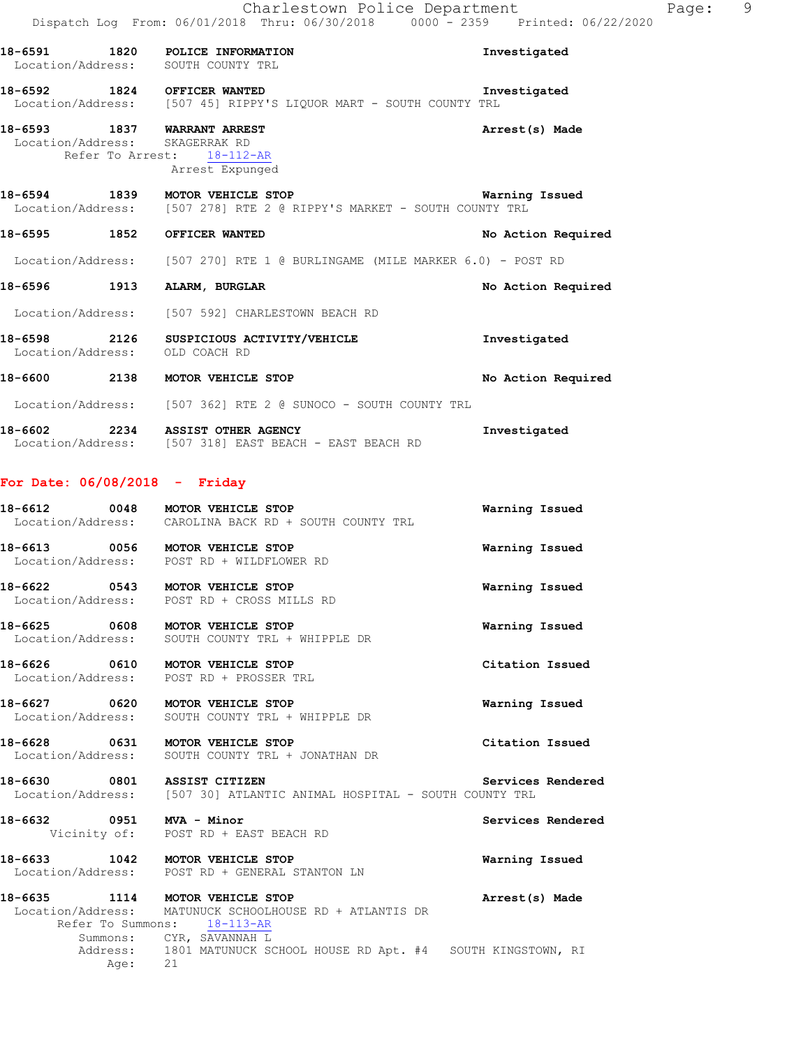|                   | Charlestown Police Department                                                  |                    | Page: | 9 |
|-------------------|--------------------------------------------------------------------------------|--------------------|-------|---|
|                   | Dispatch Log From: 06/01/2018 Thru: 06/30/2018 0000 - 2359 Printed: 06/22/2020 |                    |       |   |
|                   | 18-6591 1820 POLICE INFORMATION                                                | Investigated       |       |   |
|                   | Location/Address: SOUTH COUNTY TRL                                             |                    |       |   |
|                   | 18-6592 1824 OFFICER WANTED                                                    | Investigated       |       |   |
|                   | Location/Address: [507 45] RIPPY'S LIQUOR MART - SOUTH COUNTY TRL              |                    |       |   |
|                   | 18-6593 1837 WARRANT ARREST                                                    | Arrest(s) Made     |       |   |
|                   | Location/Address: SKAGERRAK RD<br>Refer To Arrest: 18-112-AR                   |                    |       |   |
|                   | Arrest Expunged                                                                |                    |       |   |
|                   | 18-6594 1839 MOTOR VEHICLE STOP                                                | Warning Issued     |       |   |
|                   | Location/Address: [507 278] RTE 2 @ RIPPY'S MARKET - SOUTH COUNTY TRL          |                    |       |   |
|                   | 18-6595 1852 OFFICER WANTED                                                    | No Action Required |       |   |
|                   | Location/Address: [507 270] RTE 1 @ BURLINGAME (MILE MARKER 6.0) - POST RD     |                    |       |   |
|                   | 18-6596 1913 ALARM, BURGLAR                                                    | No Action Required |       |   |
|                   | Location/Address: [507 592] CHARLESTOWN BEACH RD                               |                    |       |   |
|                   | 18-6598 2126 SUSPICIOUS ACTIVITY/VEHICLE                                       | Investigated       |       |   |
| Location/Address: | OLD COACH RD                                                                   |                    |       |   |
|                   | 18-6600 2138 MOTOR VEHICLE STOP                                                | No Action Required |       |   |
|                   | Location/Address: [507 362] RTE 2 @ SUNOCO - SOUTH COUNTY TRL                  |                    |       |   |
|                   | 18-6602 2234 ASSIST OTHER AGENCY                                               | Investigated       |       |   |
|                   | Location/Address: [507 318] EAST BEACH - EAST BEACH RD                         |                    |       |   |

### **For Date: 06/08/2018 - Friday**

| 18-6612<br>Location/Address: | 0048 | MOTOR VEHICLE STOP<br>CAROLINA BACK RD + SOUTH COUNTY TRL | Warning Issued |  |
|------------------------------|------|-----------------------------------------------------------|----------------|--|
| 18-6613<br>Location/Address: | 0056 | MOTOR VEHICLE STOP<br>POST RD + WILDFLOWER RD             | Warning Issued |  |

**18-6622 0543 MOTOR VEHICLE STOP Warning Issued**  Location/Address: POST RD + CROSS MILLS RD

**18-6625 0608 MOTOR VEHICLE STOP Warning Issued**  Location/Address: SOUTH COUNTY TRL + WHIPPLE DR

**18-6626 0610 MOTOR VEHICLE STOP Citation Issued**  Location/Address: POST RD + PROSSER TRL

**18-6627 0620 MOTOR VEHICLE STOP Warning Issued**  Location/Address: SOUTH COUNTY TRL + WHIPPLE DR

**18-6628 0631 MOTOR VEHICLE STOP Citation Issued**  Location/Address: SOUTH COUNTY TRL + JONATHAN DR

**18-6630 0801 ASSIST CITIZEN Services Rendered**  Location/Address: [507 30] ATLANTIC ANIMAL HOSPITAL - SOUTH COUNTY TRL

**18-6632 0951 MVA - Minor Services Rendered**  Vicinity of: POST RD + EAST BEACH RD

**18-6633 1042 MOTOR VEHICLE STOP Warning Issued**  Location/Address: POST RD + GENERAL STANTON LN

**18-6635 1114 MOTOR VEHICLE STOP Arrest(s) Made**  Location/Address: MATUNUCK SCHOOLHOUSE RD + ATLANTIS DR Refer To Summons: 18-113-AR Summons: CYR, SAVANNAH L 1801 MATUNUCK SCHOOL HOUSE RD Apt. #4 SOUTH KINGSTOWN, RI Address: 180<br>Age: 21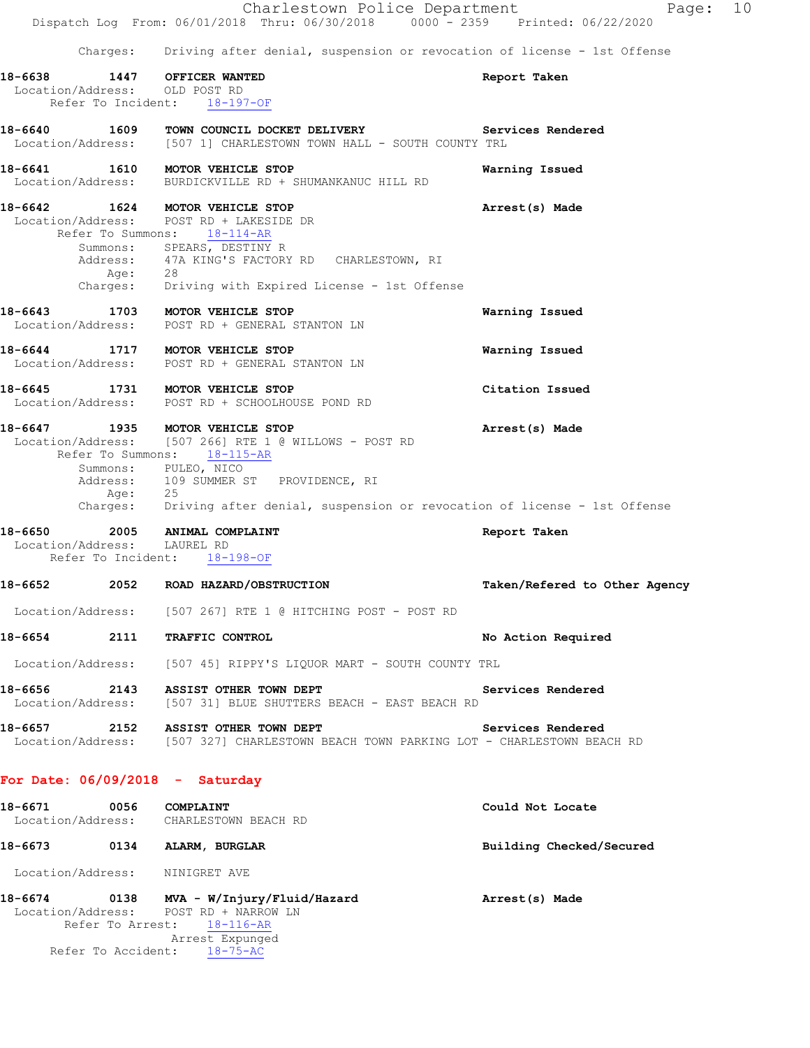|         |                              | Charlestown Police Department<br>Dispatch Log From: 06/01/2018 Thru: 06/30/2018 0000 - 2359 Printed: 06/22/2020                                                                                                                                                                 | Page:                         | 10 |
|---------|------------------------------|---------------------------------------------------------------------------------------------------------------------------------------------------------------------------------------------------------------------------------------------------------------------------------|-------------------------------|----|
|         | Charges:                     | Driving after denial, suspension or revocation of license - 1st Offense                                                                                                                                                                                                         |                               |    |
| 18-6638 | 1447                         | OFFICER WANTED                                                                                                                                                                                                                                                                  | Report Taken                  |    |
|         |                              | Location/Address: OLD POST RD<br>Refer To Incident: 18-197-OF                                                                                                                                                                                                                   |                               |    |
|         |                              | 18-6640 1609 TOWN COUNCIL DOCKET DELIVERY Services Rendered<br>Location/Address: [507 1] CHARLESTOWN TOWN HALL - SOUTH COUNTY TRL                                                                                                                                               |                               |    |
|         |                              | 18-6641 1610 MOTOR VEHICLE STOP<br>Location/Address: BURDICKVILLE RD + SHUMANKANUC HILL RD                                                                                                                                                                                      | Warning Issued                |    |
|         | Refer To Summons:<br>Age: 28 | 18-6642 1624 MOTOR VEHICLE STOP<br>Location/Address: POST RD + LAKESIDE DR<br>$18 - 114 - AR$<br>Summons: SPEARS, DESTINY R<br>Address: 47A KING'S FACTORY RD CHARLESTOWN, RI<br>Charges: Driving with Expired License - 1st Offense                                            | Arrest(s) Made                |    |
|         |                              | 18-6643 1703 MOTOR VEHICLE STOP<br>Location/Address: POST RD + GENERAL STANTON LN                                                                                                                                                                                               | Warning Issued                |    |
|         |                              | 18-6644 1717 MOTOR VEHICLE STOP<br>Location/Address: POST RD + GENERAL STANTON LN                                                                                                                                                                                               | Warning Issued                |    |
| 18-6645 |                              | 1731 MOTOR VEHICLE STOP<br>Location/Address: POST RD + SCHOOLHOUSE POND RD                                                                                                                                                                                                      | Citation Issued               |    |
| 18-6647 |                              | 1935 MOTOR VEHICLE STOP<br>Location/Address: [507 266] RTE 1 @ WILLOWS - POST RD<br>Refer To Summons: 18-115-AR<br>Summons: PULEO, NICO<br>Address: 109 SUMMER ST PROVIDENCE, RI<br>Age: 25<br>Charges: Driving after denial, suspension or revocation of license - 1st Offense | Arrest(s) Made                |    |
|         | Location/Address: LAUREL RD  | 18-6650 2005 ANIMAL COMPLAINT<br>Refer To Incident: 18-198-OF                                                                                                                                                                                                                   | Report Taken                  |    |
| 18-6652 |                              | 2052 ROAD HAZARD/OBSTRUCTION                                                                                                                                                                                                                                                    | Taken/Refered to Other Agency |    |
|         |                              | Location/Address: [507 267] RTE 1 @ HITCHING POST - POST RD                                                                                                                                                                                                                     |                               |    |
|         |                              | 18-6654 2111 TRAFFIC CONTROL                                                                                                                                                                                                                                                    | No Action Required            |    |
|         |                              | Location/Address: [507 45] RIPPY'S LIQUOR MART - SOUTH COUNTY TRL                                                                                                                                                                                                               |                               |    |
|         |                              | 18-6656 2143 ASSIST OTHER TOWN DEPT<br>Location/Address: [507 31] BLUE SHUTTERS BEACH - EAST BEACH RD                                                                                                                                                                           | Services Rendered             |    |
|         |                              | 18-6657 2152 ASSIST OTHER TOWN DEPT<br>Location/Address: [507 327] CHARLESTOWN BEACH TOWN PARKING LOT - CHARLESTOWN BEACH RD                                                                                                                                                    | Services Rendered             |    |
|         |                              | For Date: $06/09/2018$ - Saturday                                                                                                                                                                                                                                               |                               |    |
|         | 18-6671 0056 COMPLAINT       | Location/Address: CHARLESTOWN BEACH RD                                                                                                                                                                                                                                          | Could Not Locate              |    |
|         |                              | 18-6673 0134 ALARM, BURGLAR                                                                                                                                                                                                                                                     | Building Checked/Secured      |    |
|         |                              | Location/Address: NINIGRET AVE                                                                                                                                                                                                                                                  |                               |    |
|         |                              | 18-6674 0138 MVA - W/Injury/Fluid/Hazard<br>Location/Address: POST RD + NARROW LN<br>Refer To Arrest: 18-116-AR<br>Arrest Expunged                                                                                                                                              | Arrest(s) Made                |    |
|         |                              | Refer To Accident: 18-75-AC                                                                                                                                                                                                                                                     |                               |    |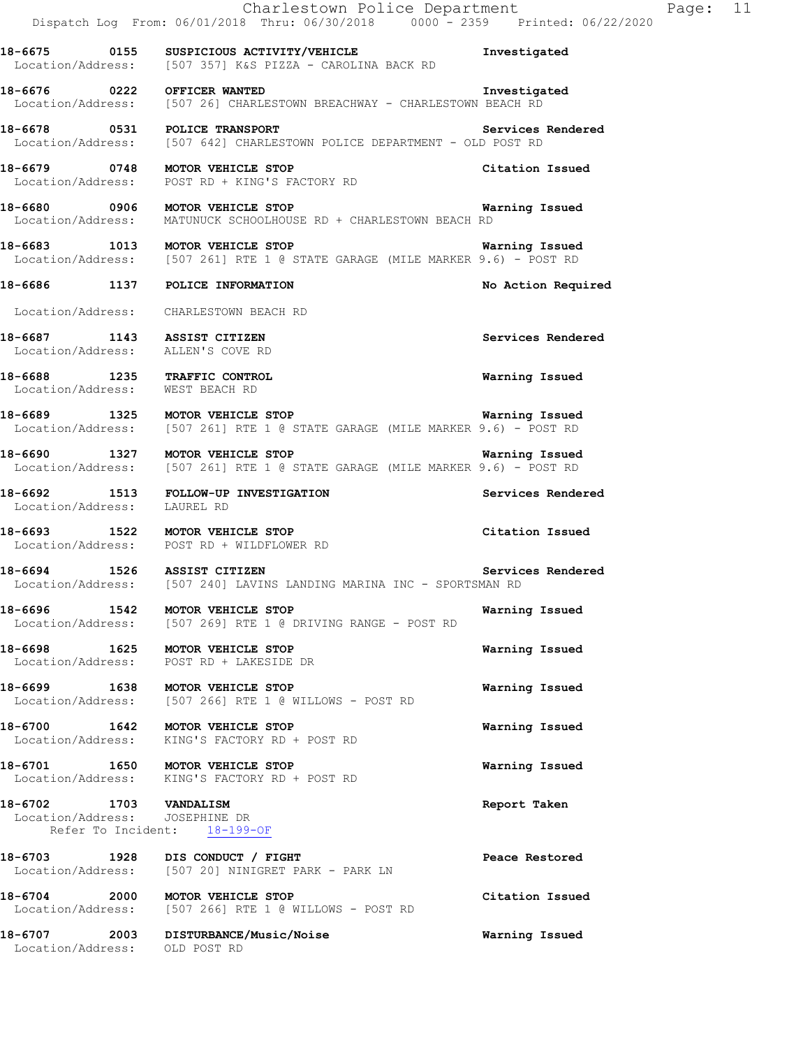|                                                                                          | Charlestown Police Department<br>Dispatch Log From: 06/01/2018 Thru: 06/30/2018 0000 <sup>-</sup> 2359 Printed: 06/22/2020              |                       | Page: 11 |  |
|------------------------------------------------------------------------------------------|-----------------------------------------------------------------------------------------------------------------------------------------|-----------------------|----------|--|
|                                                                                          | 18-6675 0155 SUSPICIOUS ACTIVITY/VEHICLE<br>Location/Address: [507 357] K&S PIZZA - CAROLINA BACK RD                                    | Investigated          |          |  |
| 18-6676 0222 OFFICER WANTED                                                              | Location/Address: [507 26] CHARLESTOWN BREACHWAY - CHARLESTOWN BEACH RD                                                                 | Investigated          |          |  |
|                                                                                          | 18-6678 0531 POLICE TRANSPORT Services<br>Location/Address: [507 642] CHARLESTOWN POLICE DEPARTMENT - OLD POST RD                       | Services Rendered     |          |  |
| 18-6679 0748 MOTOR VEHICLE STOP                                                          | Location/Address: POST RD + KING'S FACTORY RD                                                                                           | Citation Issued       |          |  |
|                                                                                          | 18-6680 0906 MOTOR VEHICLE STOP Warning Issued<br>Location/Address: MATUNUCK SCHOOLHOUSE RD + CHARLESTOWN BEACH RD                      |                       |          |  |
|                                                                                          | 18-6683 1013 MOTOR VEHICLE STOP<br>Location/Address: [507 261] RTE 1 @ STATE GARAGE (MILE MARKER 9.6) - POST RD                         | <b>Warning Issued</b> |          |  |
| 18-6686 1137 POLICE INFORMATION                                                          |                                                                                                                                         | No Action Required    |          |  |
| Location/Address: CHARLESTOWN BEACH RD                                                   |                                                                                                                                         |                       |          |  |
| 18-6687 1143 ASSIST CITIZEN<br>Location/Address: ALLEN'S COVE RD                         |                                                                                                                                         | Services Rendered     |          |  |
| 18-6688 1235 TRAFFIC CONTROL<br>Location/Address: WEST BEACH RD                          |                                                                                                                                         | Warning Issued        |          |  |
|                                                                                          | 18-6689 1325 MOTOR VEHICLE STOP Narning Issued<br>Location/Address: [507 261] RTE 1 @ STATE GARAGE (MILE MARKER 9.6) - POST RD          |                       |          |  |
|                                                                                          | 18-6690 1327 MOTOR VEHICLE STOP WARE MARKER 9.6) - POST RD Location/Address: [507 261] RTE 1 @ STATE GARAGE (MILE MARKER 9.6) - POST RD | Warning Issued        |          |  |
|                                                                                          | 18-6692 1513 FOLLOW-UP INVESTIGATION<br>Location/Address: LAUREL RD                                                                     | Services Rendered     |          |  |
|                                                                                          | 18-6693 1522 MOTOR VEHICLE STOP<br>Location/Address: POST RD + WILDFLOWER RD                                                            | Citation Issued       |          |  |
| 18-6694 1526 ASSIST CITIZEN                                                              | Location/Address: [507 240] LAVINS LANDING MARINA INC - SPORTSMAN RD                                                                    | Services Rendered     |          |  |
| 18-6696 1542 MOTOR VEHICLE STOP                                                          | Location/Address: [507 269] RTE 1 @ DRIVING RANGE - POST RD                                                                             | Warning Issued        |          |  |
| 18-6698 1625 MOTOR VEHICLE STOP<br>Location/Address:                                     | POST RD + LAKESIDE DR                                                                                                                   | Warning Issued        |          |  |
| 18-6699 1638 MOTOR VEHICLE STOP                                                          | Location/Address: [507 266] RTE 1 @ WILLOWS - POST RD                                                                                   | Warning Issued        |          |  |
| 18-6700 1642 MOTOR VEHICLE STOP                                                          | Location/Address: KING'S FACTORY RD + POST RD                                                                                           | Warning Issued        |          |  |
| 18-6701 1650 MOTOR VEHICLE STOP                                                          | Location/Address: KING'S FACTORY RD + POST RD                                                                                           | Warning Issued        |          |  |
| 18-6702 1703 VANDALISM<br>Location/Address: JOSEPHINE DR<br>Refer To Incident: 18-199-OF |                                                                                                                                         | Report Taken          |          |  |
| 18-6703 1928 DIS CONDUCT / FIGHT                                                         | Location/Address: [507 20] NINIGRET PARK - PARK LN                                                                                      | Peace Restored        |          |  |
| 18-6704 2000 MOTOR VEHICLE STOP                                                          | Location/Address: [507 266] RTE 1 @ WILLOWS - POST RD                                                                                   | Citation Issued       |          |  |
| Location/Address: OLD POST RD                                                            | 18-6707 2003 DISTURBANCE/Music/Noise                                                                                                    | Warning Issued        |          |  |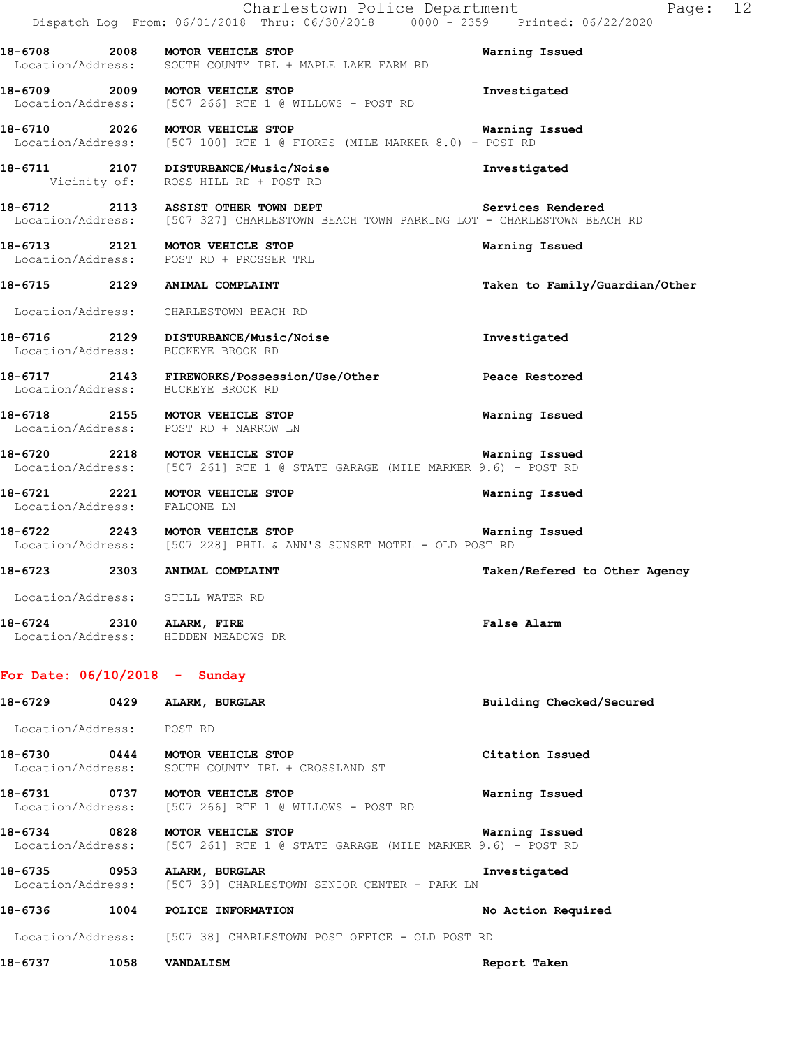|                                 |      | Charlestown Police Department<br>Dispatch Log From: 06/01/2018 Thru: 06/30/2018 0000 - 2359 Printed: 06/22/2020                                | Page: 12                       |
|---------------------------------|------|------------------------------------------------------------------------------------------------------------------------------------------------|--------------------------------|
|                                 |      | 18-6708 2008 MOTOR VEHICLE STOP<br>Location/Address: SOUTH COUNTY TRL + MAPLE LAKE FARM RD                                                     | Warning Issued                 |
|                                 |      | 18-6709 2009 MOTOR VEHICLE STOP<br>Location/Address: [507 266] RTE 1 @ WILLOWS - POST RD                                                       | Investigated                   |
|                                 |      | 18-6710 2026 MOTOR VEHICLE STOP<br>Location/Address: [507 100] RTE 1 @ FIORES (MILE MARKER 8.0) - POST RD                                      | <b>Warning Issued</b>          |
|                                 |      | 18-6711 2107 DISTURBANCE/Music/Noise<br>Vicinity of: ROSS HILL RD + POST RD                                                                    | Investigated                   |
|                                 |      | 18-6712 2113 ASSIST OTHER TOWN DEPT Services Rendered<br>Location/Address: [507 327] CHARLESTOWN BEACH TOWN PARKING LOT - CHARLESTOWN BEACH RD |                                |
|                                 |      | 18-6713 2121 MOTOR VEHICLE STOP<br>Location/Address: POST RD + PROSSER TRL                                                                     | Warning Issued                 |
|                                 |      | 18-6715 2129 ANIMAL COMPLAINT                                                                                                                  | Taken to Family/Guardian/Other |
|                                 |      | Location/Address: CHARLESTOWN BEACH RD                                                                                                         |                                |
|                                 |      | 18-6716 2129 DISTURBANCE/Music/Noise<br>Location/Address: BUCKEYE BROOK RD                                                                     | Investigated                   |
|                                 |      | 18-6717 2143 FIREWORKS/Possession/Use/Other Peace Restored<br>Location/Address: BUCKEYE BROOK RD                                               |                                |
|                                 |      | 18-6718 2155 MOTOR VEHICLE STOP<br>Location/Address: POST RD + NARROW LN                                                                       | Warning Issued                 |
|                                 |      | 18-6720 2218 MOTOR VEHICLE STOP<br>Location/Address: [507 261] RTE 1 @ STATE GARAGE (MILE MARKER 9.6) - POST RD                                | Warning Issued                 |
| Location/Address: FALCONE LN    |      | 18-6721 2221 MOTOR VEHICLE STOP                                                                                                                | Warning Issued                 |
|                                 |      | 18-6722 2243 MOTOR VEHICLE STOP Warni<br>Location/Address: [507 228] PHIL & ANN'S SUNSET MOTEL - OLD POST RD                                   | Warning Issued                 |
| 18-6723                         |      | 2303 ANIMAL COMPLAINT                                                                                                                          | Taken/Refered to Other Agency  |
| Location/Address:               |      | STILL WATER RD                                                                                                                                 |                                |
| 18-6724 2310 ALARM, FIRE        |      | Location/Address: HIDDEN MEADOWS DR                                                                                                            | False Alarm                    |
| For Date: $06/10/2018$ - Sunday |      |                                                                                                                                                |                                |
|                                 |      | 18-6729 0429 ALARM, BURGLAR                                                                                                                    | Building Checked/Secured       |
| Location/Address: POST RD       |      |                                                                                                                                                |                                |
|                                 |      | 18-6730 0444 MOTOR VEHICLE STOP<br>Location/Address: SOUTH COUNTY TRL + CROSSLAND ST                                                           | Citation Issued                |
|                                 |      | 18-6731 0737 MOTOR VEHICLE STOP<br>Location/Address: [507 266] RTE 1 @ WILLOWS - POST RD                                                       | Warning Issued                 |
|                                 |      | 18-6734 0828 MOTOR VEHICLE STOP<br>Location/Address: [507 261] RTE 1 @ STATE GARAGE (MILE MARKER 9.6) - POST RD                                | Warning Issued                 |
|                                 |      | 18-6735 0953 ALARM, BURGLAR<br>Location/Address: [507 39] CHARLESTOWN SENIOR CENTER - PARK LN                                                  | Investigated                   |
| 18-6736                         |      | 1004 POLICE INFORMATION                                                                                                                        | No Action Required             |
|                                 |      | Location/Address: [507 38] CHARLESTOWN POST OFFICE - OLD POST RD                                                                               |                                |
| 18-6737                         | 1058 | <b>VANDALISM</b>                                                                                                                               | Report Taken                   |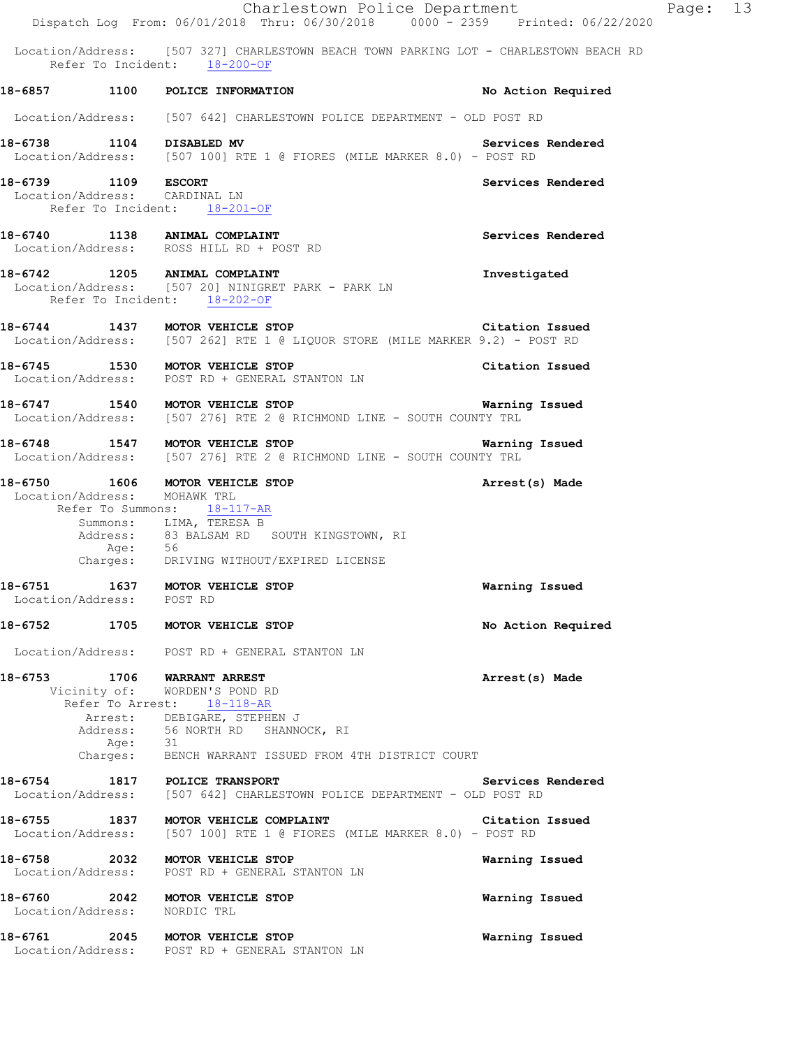|         |                     |                                                                                                                                                               | Charlestown Police Department<br>Dispatch Log From: 06/01/2018 Thru: 06/30/2018 0000 - 2359 Printed: 06/22/2020                |                    | Page: 13 |  |
|---------|---------------------|---------------------------------------------------------------------------------------------------------------------------------------------------------------|--------------------------------------------------------------------------------------------------------------------------------|--------------------|----------|--|
|         |                     | Refer To Incident: 18-200-OF                                                                                                                                  | Location/Address: [507 327] CHARLESTOWN BEACH TOWN PARKING LOT - CHARLESTOWN BEACH RD                                          |                    |          |  |
|         |                     | 18-6857 1100 POLICE INFORMATION                                                                                                                               |                                                                                                                                | No Action Required |          |  |
|         |                     |                                                                                                                                                               | Location/Address: [507 642] CHARLESTOWN POLICE DEPARTMENT - OLD POST RD                                                        |                    |          |  |
|         |                     |                                                                                                                                                               | 18-6738 1104 DISABLED MV Services<br>Location/Address: [507 100] RTE 1 @ FIORES (MILE MARKER 8.0) - POST RD                    | Services Rendered  |          |  |
|         | 18-6739 1109 ESCORT | Location/Address: CARDINAL LN<br>Refer To Incident: 18-201-OF                                                                                                 |                                                                                                                                | Services Rendered  |          |  |
|         |                     | 18-6740 1138 ANIMAL COMPLAINT<br>Location/Address: ROSS HILL RD + POST RD                                                                                     |                                                                                                                                | Services Rendered  |          |  |
|         |                     | Refer To Incident: 18-202-OF                                                                                                                                  | 18-6742 1205 ANIMAL COMPLAINT<br>Location/Address: [507 20] NINIGRET PARK - PARK LN                                            | Investigated       |          |  |
|         |                     |                                                                                                                                                               | 18-6744 1437 MOTOR VEHICLE STOP Citation Issue<br>Location/Address: [507 262] RTE 1 @ LIQUOR STORE (MILE MARKER 9.2) - POST RD | Citation Issued    |          |  |
|         |                     |                                                                                                                                                               | 18-6745 1530 MOTOR VEHICLE STOP<br>Location/Address: POST RD + GENERAL STANTON LN                                              | Citation Issued    |          |  |
|         |                     | 18-6747 1540 MOTOR VEHICLE STOP                                                                                                                               | Location/Address: [507 276] RTE 2 @ RICHMOND LINE - SOUTH COUNTY TRL                                                           | Warning Issued     |          |  |
|         |                     |                                                                                                                                                               | Location/Address: [507 276] RTE 2 @ RICHMOND LINE - SOUTH COUNTY TRL                                                           |                    |          |  |
|         |                     | 18-6750 1606 MOTOR VEHICLE STOP<br>Location/Address: MOHAWK TRL<br>Refer To Summons: 18-117-AR<br>Summons: LIMA, TERESA B                                     | Address: 83 BALSAM RD SOUTH KINGSTOWN, RI<br>Age: 56<br>Charges: DRIVING WITHOUT/EXPIRED LICENSE                               | Arrest(s) Made     |          |  |
|         | Location/Address:   | 18-6751 1637 MOTOR VEHICLE STOP<br>POST RD                                                                                                                    |                                                                                                                                | Warning Issued     |          |  |
|         |                     | 18-6752 1705 MOTOR VEHICLE STOP                                                                                                                               |                                                                                                                                | No Action Required |          |  |
|         |                     | Location/Address: POST RD + GENERAL STANTON LN                                                                                                                |                                                                                                                                |                    |          |  |
| 18-6753 | Age: 31             | <b>1706 WARRANT ARREST</b><br>Vicinity of: WORDEN'S POND RD<br>Refer To Arrest: 18-118-AR<br>Arrest: DEBIGARE, STEPHEN J<br>Address: 56 NORTH RD SHANNOCK, RI | Charges: BENCH WARRANT ISSUED FROM 4TH DISTRICT COURT                                                                          | Arrest(s) Made     |          |  |
| 18-6754 |                     | 1817 POLICE TRANSPORT                                                                                                                                         | Location/Address: [507 642] CHARLESTOWN POLICE DEPARTMENT - OLD POST RD                                                        | Services Rendered  |          |  |
|         |                     | 18-6755 1837 MOTOR VEHICLE COMPLAINT                                                                                                                          | Location/Address: [507 100] RTE 1 @ FIORES (MILE MARKER 8.0) - POST RD                                                         | Citation Issued    |          |  |
|         | 18-6758 2032        | MOTOR VEHICLE STOP                                                                                                                                            | Location/Address: POST RD + GENERAL STANTON LN                                                                                 | Warning Issued     |          |  |
|         |                     | 18-6760 2042 MOTOR VEHICLE STOP<br>Location/Address: NORDIC TRL                                                                                               |                                                                                                                                | Warning Issued     |          |  |
|         |                     |                                                                                                                                                               | Location/Address: POST RD + GENERAL STANTON LN                                                                                 | Warning Issued     |          |  |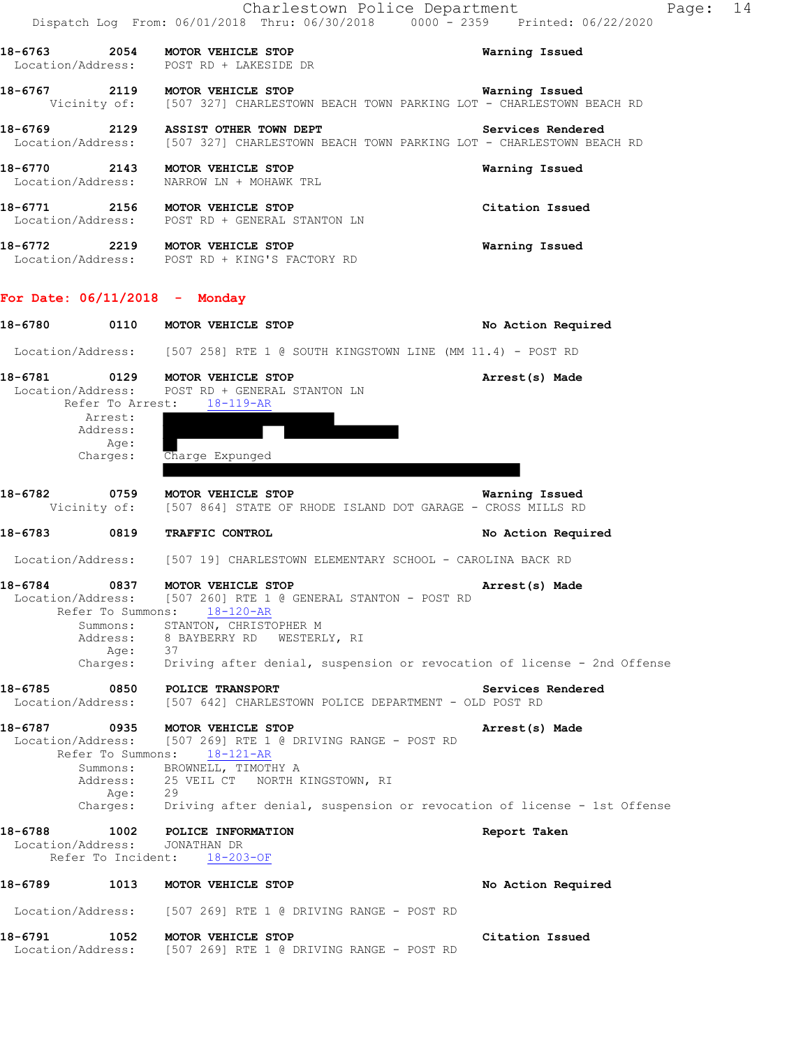|         |                                                           | Charlestown Police Department                                                                                                                                                         | Pa<br>Dispatch Log From: 06/01/2018 Thru: 06/30/2018 0000 <sup>-</sup> -2359 Printed: 06/22/2020                  |
|---------|-----------------------------------------------------------|---------------------------------------------------------------------------------------------------------------------------------------------------------------------------------------|-------------------------------------------------------------------------------------------------------------------|
|         |                                                           | 18-6763 2054 MOTOR VEHICLE STOP<br>Location/Address: POST RD + LAKESIDE DR                                                                                                            | Warning Issued                                                                                                    |
|         |                                                           | 18-6767 2119 MOTOR VEHICLE STOP                                                                                                                                                       | Warning Issued<br>Vicinity of: [507 327] CHARLESTOWN BEACH TOWN PARKING LOT - CHARLESTOWN BEACH RD                |
|         |                                                           | 18-6769 2129 ASSIST OTHER TOWN DEPT                                                                                                                                                   | <b>Services Rendered</b><br>Location/Address: [507 327] CHARLESTOWN BEACH TOWN PARKING LOT - CHARLESTOWN BEACH RD |
|         |                                                           | 18-6770 2143 MOTOR VEHICLE STOP<br>Location/Address: NARROW LN + MOHAWK TRL                                                                                                           | Warning Issued                                                                                                    |
|         |                                                           | 18-6771 2156 MOTOR VEHICLE STOP<br>Location/Address: POST RD + GENERAL STANTON LN                                                                                                     | Citation Issued                                                                                                   |
|         |                                                           | 18-6772 2219 MOTOR VEHICLE STOP<br>Location/Address: POST RD + KING'S FACTORY RD                                                                                                      | Warning Issued                                                                                                    |
|         |                                                           | For Date: $06/11/2018$ - Monday                                                                                                                                                       |                                                                                                                   |
|         |                                                           | 18-6780 0110 MOTOR VEHICLE STOP                                                                                                                                                       | No Action Required                                                                                                |
|         |                                                           | Location/Address: [507 258] RTE 1 @ SOUTH KINGSTOWN LINE (MM 11.4) - POST RD                                                                                                          |                                                                                                                   |
| 18-6781 |                                                           | 0129 MOTOR VEHICLE STOP<br>Location/Address: POST RD + GENERAL STANTON LN<br>Refer To Arrest: 18-119-AR                                                                               | Arrest(s) Made                                                                                                    |
|         | Arrest:<br>Address:                                       |                                                                                                                                                                                       |                                                                                                                   |
|         | Age:<br>Charges:                                          | Charge Expunged                                                                                                                                                                       |                                                                                                                   |
|         |                                                           | 18-6782 0759 MOTOR VEHICLE STOP<br>Vicinity of: [507 864] STATE OF RHODE ISLAND DOT GARAGE - CROSS MILLS RD                                                                           | Warning Issued                                                                                                    |
|         | 18-6783 0819                                              | TRAFFIC CONTROL                                                                                                                                                                       | No Action Required                                                                                                |
|         |                                                           | Location/Address: [507 19] CHARLESTOWN ELEMENTARY SCHOOL - CAROLINA BACK RD                                                                                                           |                                                                                                                   |
| 18-6784 | 0837<br>Refer To Summons:<br>Summons:<br>Age:<br>Charges: | MOTOR VEHICLE STOP<br>Location/Address: [507 260] RTE 1 @ GENERAL STANTON - POST RD<br>$18 - 120 - AR$<br>STANTON, CHRISTOPHER M<br>Address: 8 BAYBERRY RD WESTERLY, RI               | Arrest(s) Made<br>37<br>Driving after denial, suspension or revocation of license – 2nd Offense                   |
| 18-6785 | 0850                                                      | <b>POLICE TRANSPORT</b><br>Location/Address: [507 642] CHARLESTOWN POLICE DEPARTMENT - OLD POST RD                                                                                    | Services Rendered                                                                                                 |
| 18-6787 | 0935<br>Refer To Summons:<br>Age:                         | MOTOR VEHICLE STOP<br>Location/Address: [507 269] RTE 1 @ DRIVING RANGE - POST RD<br>$18 - 121 - AR$<br>Summons: BROWNELL, TIMOTHY A<br>Address: 25 VEIL CT NORTH KINGSTOWN, RI<br>29 | Arrest(s) Made                                                                                                    |
|         | Charges:                                                  |                                                                                                                                                                                       | 29<br>Driving after denial, suspension or revocation of license – 1st Offense                                     |
| 18-6788 | 1002<br>Location/Address:<br>Refer To Incident:           | POLICE INFORMATION<br>JONATHAN DR<br>18-203-OF                                                                                                                                        | Report Taken                                                                                                      |
| 18-6789 | 1013                                                      | MOTOR VEHICLE STOP                                                                                                                                                                    | No Action Required                                                                                                |
|         |                                                           | Location/Address: [507 269] RTE 1 @ DRIVING RANGE - POST RD                                                                                                                           |                                                                                                                   |
| 18-6791 | 1052                                                      | MOTOR VEHICLE STOP<br>Location/Address: [507 269] RTE 1 @ DRIVING RANGE - POST RD                                                                                                     | Citation Issued                                                                                                   |

ge: 14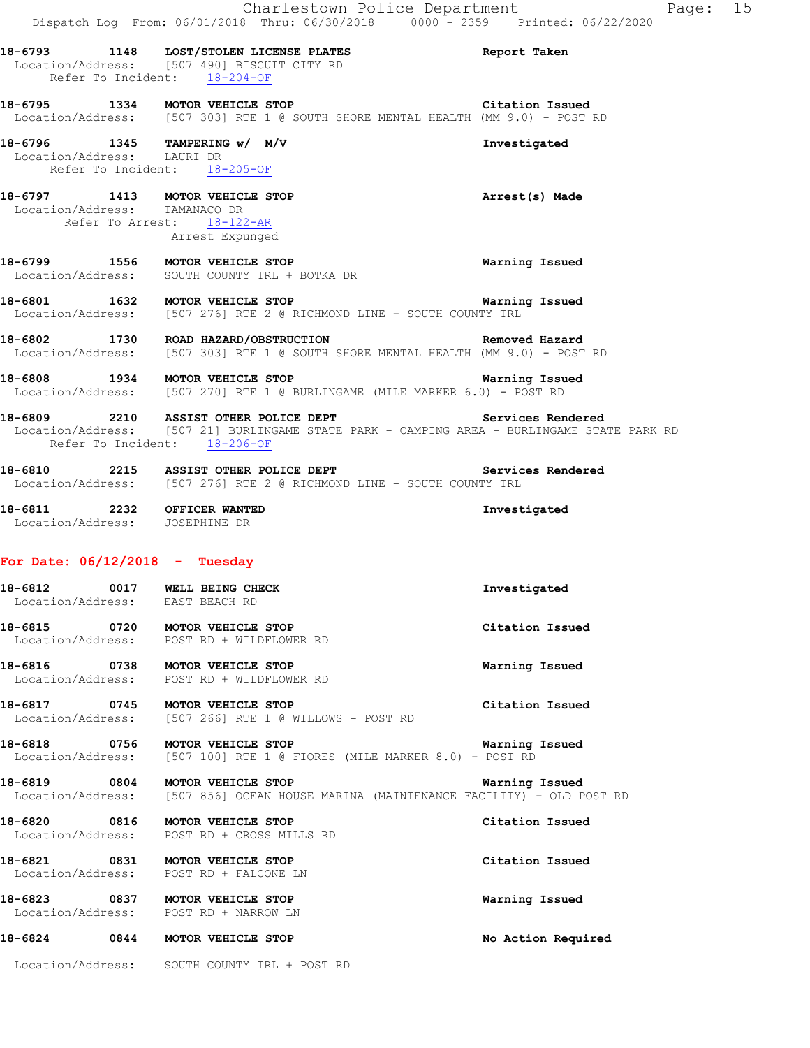|                                  | Charlestown Police Department<br>Dispatch Log From: 06/01/2018 Thru: 06/30/2018 0000 <sup>-</sup> 2359 Printed: 06/22/2020                                          | Page: 15              |  |
|----------------------------------|---------------------------------------------------------------------------------------------------------------------------------------------------------------------|-----------------------|--|
|                                  | 18-6793 1148 LOST/STOLEN LICENSE PLATES Report Taken<br>Location/Address: [507 490] BISCUIT CITY RD<br>Refer To Incident: 18-204-OF                                 |                       |  |
|                                  | 18-6795 1334 MOTOR VEHICLE STOP Citation Issued<br>Location/Address: [507 303] RTE 1 @ SOUTH SHORE MENTAL HEALTH (MM 9.0) - POST RD                                 |                       |  |
| Location/Address: LAURI DR       | 18-6796 1345 TAMPERING w/ M/V<br>Refer To Incident: 18-205-OF                                                                                                       | Investigated          |  |
| Location/Address: TAMANACO DR    | 18-6797 1413 MOTOR VEHICLE STOP<br>Refer To Arrest: 18-122-AR<br>Arrest Expunged                                                                                    | Arrest(s) Made        |  |
|                                  | 18-6799 1556 MOTOR VEHICLE STOP<br>Location/Address: SOUTH COUNTY TRL + BOTKA DR                                                                                    | Warning Issued        |  |
|                                  | 18-6801 1632 MOTOR VEHICLE STOP WATHING DOCATION/Address: [507 276] RTE 2 @ RICHMOND LINE - SOUTH COUNTY TRL                                                        | <b>Warning Issued</b> |  |
|                                  | 18-6802 1730 ROAD HAZARD/OBSTRUCTION REMOVED Removed Hazard<br>Location/Address: [507 303] RTE 1 @ SOUTH SHORE MENTAL HEALTH (MM 9.0) - POST RD                     |                       |  |
|                                  | 18-6808 1934 MOTOR VEHICLE STOP 18-6808 Warning Issued<br>Location/Address: [507 270] RTE 1 @ BURLINGAME (MILE MARKER 6.0) - POST RD                                |                       |  |
|                                  | 18-6809 2210 ASSIST OTHER POLICE DEPT<br>Location/Address: [507 21] BURLINGAME STATE PARK - CAMPING AREA - BURLINGAME STATE PARK RD<br>Refer To Incident: 18-206-OF | Services Rendered     |  |
|                                  | 18-6810 2215 ASSIST OTHER POLICE DEPT Services Rendered<br>Location/Address: [507 276] RTE 2 @ RICHMOND LINE - SOUTH COUNTY TRL                                     |                       |  |
| Location/Address: JOSEPHINE DR   | 18-6811 2232 OFFICER WANTED                                                                                                                                         | Investigated          |  |
| For Date: $06/12/2018$ - Tuesday |                                                                                                                                                                     |                       |  |
| 18-6812                          | 0017 WELL BEING CHECK<br>Location/Address: EAST BEACH RD                                                                                                            | Investigated          |  |
|                                  | 18-6815 0720 MOTOR VEHICLE STOP<br>Location/Address: POST RD + WILDFLOWER RD                                                                                        | Citation Issued       |  |
|                                  | 18-6816 0738 MOTOR VEHICLE STOP<br>Location/Address: POST RD + WILDFLOWER RD                                                                                        | Warning Issued        |  |
|                                  | 18-6817 0745 MOTOR VEHICLE STOP<br>Location/Address: [507 266] RTE 1 @ WILLOWS - POST RD                                                                            | Citation Issued       |  |
|                                  | 18-6818 0756 MOTOR VEHICLE STOP<br>Location/Address: [507 100] RTE 1 @ FIORES (MILE MARKER 8.0) - POST RD                                                           | Warning Issued        |  |
|                                  | 18-6819 0804 MOTOR VEHICLE STOP<br>Location/Address: [507 856] OCEAN HOUSE MARINA (MAINTENANCE FACILITY) - OLD POST RD                                              | Warning Issued        |  |
|                                  | 18-6820 0816 MOTOR VEHICLE STOP<br>Location/Address: POST RD + CROSS MILLS RD                                                                                       | Citation Issued       |  |
|                                  | 18-6821 0831 MOTOR VEHICLE STOP<br>Location/Address: POST RD + FALCONE LN                                                                                           | Citation Issued       |  |
| 18-6823                          | 0837 MOTOR VEHICLE STOP                                                                                                                                             | Warning Issued        |  |

**18-6824 0844 MOTOR VEHICLE STOP No Action Required** 

Location/Address: POST RD + NARROW LN

Location/Address: SOUTH COUNTY TRL + POST RD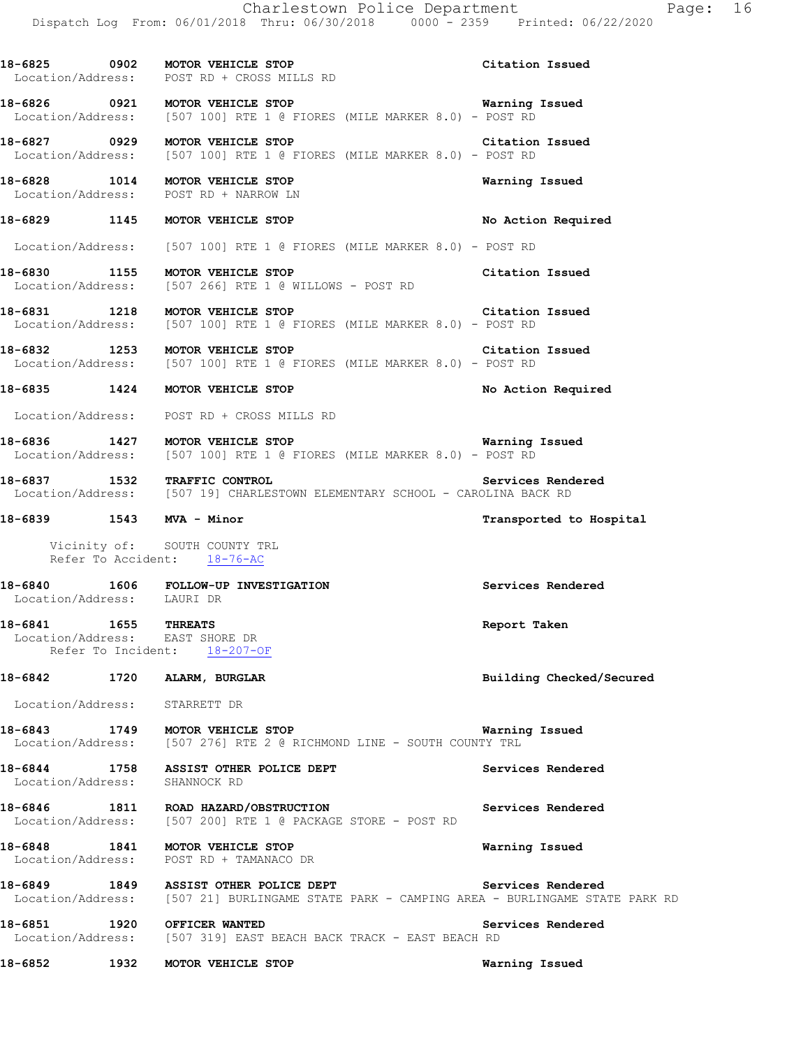**18-6825 0902 MOTOR VEHICLE STOP Citation Issued**  Location/Address: POST RD + CROSS MILLS RD **18-6826 0921 MOTOR VEHICLE STOP Warning Issued**  [507 100] RTE 1 @ FIORES (MILE MARKER 8.0) - POST RD **18-6827 0929 MOTOR VEHICLE STOP Citation Issued**  Location/Address: [507 100] RTE 1 @ FIORES (MILE MARKER 8.0) - POST RD **18-6828 1014 MOTOR VEHICLE STOP Warning Issued**  Location/Address: POST RD + NARROW LN **18-6829 1145 MOTOR VEHICLE STOP No Action Required**  Location/Address: [507 100] RTE 1 @ FIORES (MILE MARKER 8.0) - POST RD **18-6830 1155 MOTOR VEHICLE STOP Citation Issued**  Location/Address: [507 266] RTE 1 @ WILLOWS - POST RD **18-6831 1218 MOTOR VEHICLE STOP Citation Issued**  Location/Address: [507 100] RTE 1 @ FIORES (MILE MARKER 8.0) - POST RD **18-6832 1253 MOTOR VEHICLE STOP CITALION CITATION ISSUED**<br>
Location/Address: [507 100] RTE 1 @ FIORES (MILE MARKER 8.0) - POST RD [507 100] RTE 1 @ FIORES (MILE MARKER 8.0) - POST RD **18-6835 1424 MOTOR VEHICLE STOP No Action Required**  Location/Address: POST RD + CROSS MILLS RD **18-6836 1427 MOTOR VEHICLE STOP Warning Issued**  Location/Address: [507 100] RTE 1 @ FIORES (MILE MARKER 8.0) - POST RD 18-6837 1532 TRAFFIC CONTROL SERVICES Rendered **Services Rendered** Location/Address: [507 19] CHARLESTOWN ELEMENTARY SCHOOL - CAROLINA BACK RD [507 19] CHARLESTOWN ELEMENTARY SCHOOL - CAROLINA BACK RD **18-6839 1543 MVA - Minor Transported to Hospital**  Vicinity of: SOUTH COUNTY TRL Refer To Accident: 18-76-AC **18-6840 1606 FOLLOW-UP INVESTIGATION Services Rendered**  Location/Address: LAURI DR **18-6841 1655 THREATS Report Taken**  Location/Address: EAST SHORE DR Refer To Incident: 18-207-OF **18-6842 1720 ALARM, BURGLAR Building Checked/Secured**  Location/Address: STARRETT DR **18-6843 1749 MOTOR VEHICLE STOP WATER WATNING ISSUED WARREY RESULAR LOCATION/Address: [507 276] RTE 2 @ RICHMOND LINE - SOUTH COUNTY TRL** [507 276] RTE 2 @ RICHMOND LINE - SOUTH COUNTY TRL 18-6844 1758 ASSIST OTHER POLICE DEPT **18-6844** Services Rendered Location/Address: SHANNOCK RD **18-6846 1811 ROAD HAZARD/OBSTRUCTION Services Rendered**  Location/Address: [507 200] RTE 1 @ PACKAGE STORE - POST RD **18-6848 1841 MOTOR VEHICLE STOP Warning Issued**  Location/Address: POST RD + TAMANACO DR 18-6849 1849 ASSIST OTHER POLICE DEPT **Services Rendered Services Rendered Index and Services Rendered Index and Services 1807** 211 BURLINGAME STATE PARK - CAMPING AREA - BURLINGAME STATE [507 21] BURLINGAME STATE PARK - CAMPING AREA - BURLINGAME STATE PARK RD

**18-6851 1920 OFFICER WANTED Services Rendered**  Location/Address: [507 319] EAST BEACH BACK TRACK - EAST BEACH RD

**18-6852 1932 MOTOR VEHICLE STOP Warning Issued**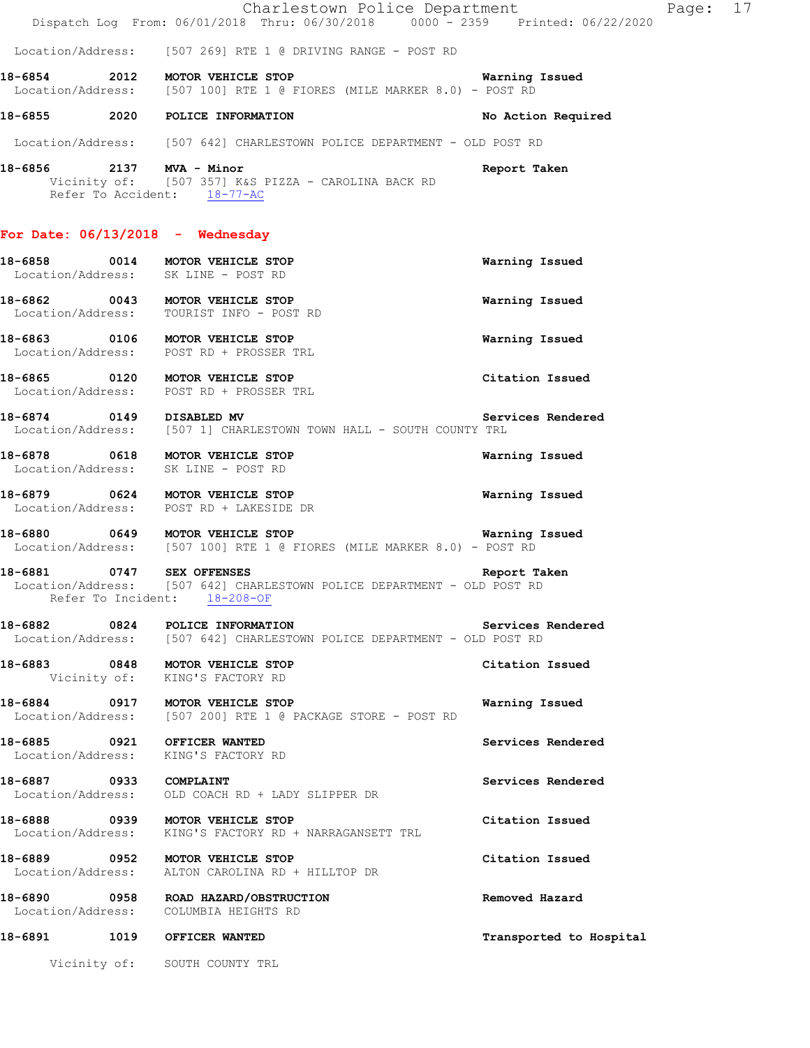|                             | Charlestown Police Department<br>Dispatch Log From: 06/01/2018 Thru: 06/30/2018 0000 <sup>-</sup> 2359 Printed: 06/22/2020                                                          |                         | Page: 17 |  |
|-----------------------------|-------------------------------------------------------------------------------------------------------------------------------------------------------------------------------------|-------------------------|----------|--|
|                             | Location/Address: [507 269] RTE 1 @ DRIVING RANGE - POST RD                                                                                                                         |                         |          |  |
|                             | 18-6854 2012 MOTOR VEHICLE STOP<br>Location/Address: [507 100] RTE 1 @ FIORES (MILE MARKER 8.0) - POST RD                                                                           | <b>Warning Issued</b>   |          |  |
|                             | 18-6855 2020 POLICE INFORMATION                                                                                                                                                     | No Action Required      |          |  |
|                             | Location/Address: [507 642] CHARLESTOWN POLICE DEPARTMENT - OLD POST RD                                                                                                             |                         |          |  |
| 18-6856 2137 MVA - Minor    | Vicinity of: [507 357] K&S PIZZA - CAROLINA BACK RD<br>Refer To Accident: 18-77-AC                                                                                                  | Report Taken            |          |  |
|                             | For Date: $06/13/2018$ - Wednesday                                                                                                                                                  |                         |          |  |
|                             | 18-6858 0014 MOTOR VEHICLE STOP<br>Location/Address: SK LINE - POST RD                                                                                                              | Warning Issued          |          |  |
|                             | 18-6862 0043 MOTOR VEHICLE STOP<br>Location/Address: TOURIST INFO - POST RD                                                                                                         | Warning Issued          |          |  |
|                             | 18-6863 0106 MOTOR VEHICLE STOP<br>Location/Address: POST RD + PROSSER TRL                                                                                                          | Warning Issued          |          |  |
|                             | 18-6865 0120 MOTOR VEHICLE STOP<br>Location/Address: POST RD + PROSSER TRL                                                                                                          | Citation Issued         |          |  |
| 18-6874 0149 DISABLED MV    | Location/Address: [507 1] CHARLESTOWN TOWN HALL - SOUTH COUNTY TRL                                                                                                                  | Services Rendered       |          |  |
|                             | 18-6878 0618 MOTOR VEHICLE STOP<br>Location/Address: SK LINE - POST RD                                                                                                              | Warning Issued          |          |  |
|                             | 18-6879 0624 MOTOR VEHICLE STOP<br>Location/Address: POST RD + LAKESIDE DR                                                                                                          | Warning Issued          |          |  |
|                             | 18-6880 0649 MOTOR VEHICLE STOP<br>Location/Address: [507 100] RTE 1 @ FIORES (MILE MARKER 8.0) - POST RD                                                                           | Warning Issued          |          |  |
|                             | 18-6881   0747   SEX OFFENSES   CHARLESTOWN POLICE DEPARTMENT - OLD POST RD Location/Address: [507 642] CHARLESTOWN POLICE DEPARTMENT - OLD POST RD<br>Refer To Incident: 18-208-OF | Report Taken            |          |  |
|                             | 18-6882 0824 POLICE INFORMATION<br>Location/Address: [507 642] CHARLESTOWN POLICE DEPARTMENT - OLD POST RD                                                                          | Services Rendered       |          |  |
|                             | 18-6883 0848 MOTOR VEHICLE STOP<br>Vicinity of: KING'S FACTORY RD                                                                                                                   | Citation Issued         |          |  |
|                             | 18-6884 0917 MOTOR VEHICLE STOP<br>Location/Address: [507 200] RTE 1 @ PACKAGE STORE - POST RD                                                                                      | Warning Issued          |          |  |
|                             | 18-6885 0921 OFFICER WANTED<br>Location/Address: KING'S FACTORY RD                                                                                                                  | Services Rendered       |          |  |
| 18-6887 0933 COMPLAINT      | Location/Address: OLD COACH RD + LADY SLIPPER DR                                                                                                                                    | Services Rendered       |          |  |
|                             | 18-6888 0939 MOTOR VEHICLE STOP<br>Location/Address: KING'S FACTORY RD + NARRAGANSETT TRL                                                                                           | Citation Issued         |          |  |
|                             | 18-6889 0952 MOTOR VEHICLE STOP<br>Location/Address: ALTON CAROLINA RD + HILLTOP DR                                                                                                 | Citation Issued         |          |  |
|                             | 18-6890 0958 ROAD HAZARD/OBSTRUCTION<br>Location/Address: COLUMBIA HEIGHTS RD                                                                                                       | Removed Hazard          |          |  |
| 18-6891 1019 OFFICER WANTED |                                                                                                                                                                                     | Transported to Hospital |          |  |
|                             | Vicinity of: SOUTH COUNTY TRL                                                                                                                                                       |                         |          |  |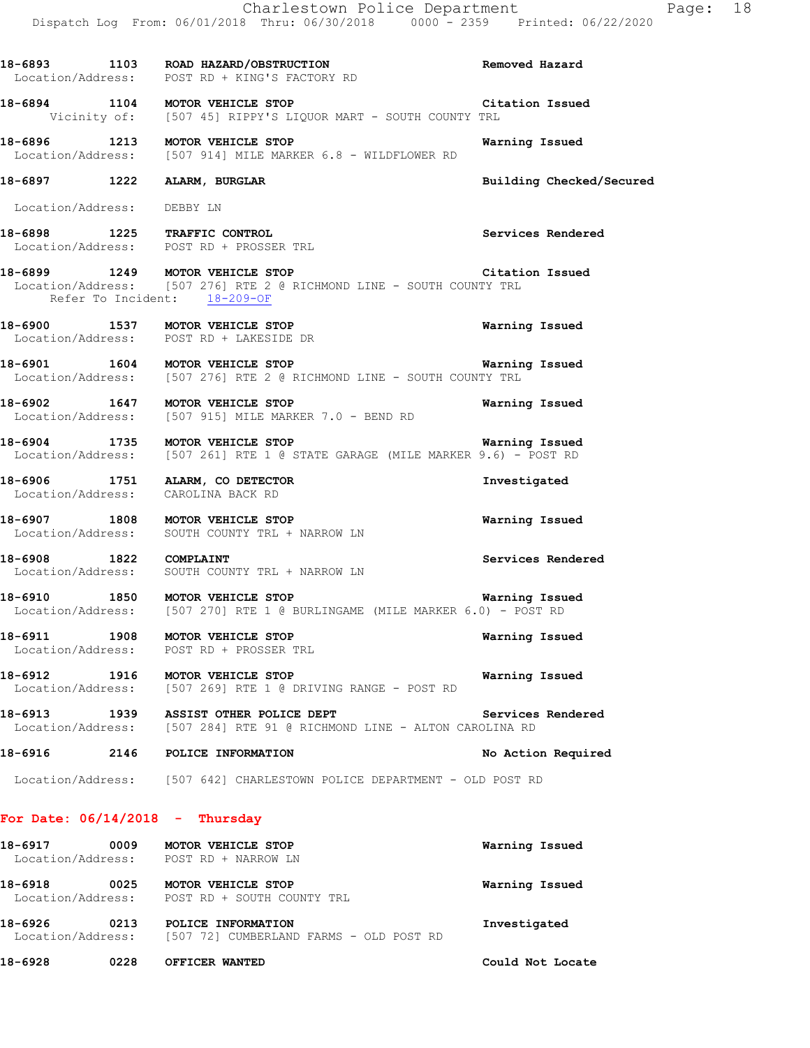|                                 | Charlestown Police Department<br>Dispatch Log From: 06/01/2018 Thru: 06/30/2018 0000 <sup>-</sup> 2359 Printed: 06/22/2020                                  |                          | Page: 18 |  |
|---------------------------------|-------------------------------------------------------------------------------------------------------------------------------------------------------------|--------------------------|----------|--|
|                                 | 18-6893 1103 ROAD HAZARD/OBSTRUCTION<br>Location/Address: POST RD + KING'S FACTORY RD                                                                       | Removed Hazard           |          |  |
|                                 | 18-6894 1104 MOTOR VEHICLE STOP<br>Vicinity of: [507 45] RIPPY'S LIQUOR MART - SOUTH COUNTY TRL                                                             | Citation Issued          |          |  |
|                                 | 18-6896 1213 MOTOR VEHICLE STOP<br>Location/Address: [507 914] MILE MARKER 6.8 - WILDFLOWER RD                                                              | Warning Issued           |          |  |
|                                 | 18-6897 1222 ALARM, BURGLAR                                                                                                                                 | Building Checked/Secured |          |  |
| Location/Address: DEBBY LN      |                                                                                                                                                             |                          |          |  |
|                                 | 18-6898 1225 TRAFFIC CONTROL<br>Location/Address: POST RD + PROSSER TRL                                                                                     | Services Rendered        |          |  |
|                                 | 18-6899 1249 MOTOR VEHICLE STOP 18 (Citation Issued<br>Location/Address: [507 276] RTE 2 @ RICHMOND LINE - SOUTH COUNTY TRL<br>Refer To Incident: 18-209-OF |                          |          |  |
|                                 | 18-6900 1537 MOTOR VEHICLE STOP<br>Location/Address: POST RD + LAKESIDE DR                                                                                  | Warning Issued           |          |  |
|                                 | 18-6901 1604 MOTOR VEHICLE STOP 1999 18 Narning Issued<br>Location/Address: [507 276] RTE 2 @ RICHMOND LINE - SOUTH COUNTY TRL                              |                          |          |  |
|                                 | 18-6902 1647 MOTOR VEHICLE STOP<br>Location/Address: [507 915] MILE MARKER 7.0 - BEND RD                                                                    | Warning Issued           |          |  |
|                                 | 18-6904 1735 MOTOR VEHICLE STOP<br>Location/Address: [507 261] RTE 1 @ STATE GARAGE (MILE MARKER 9.6) - POST RD                                             | <b>Warning Issued</b>    |          |  |
| Location/Address:               | 18-6906 1751 ALARM, CO DETECTOR<br>CAROLINA BACK RD                                                                                                         | Investigated             |          |  |
|                                 | 18-6907 1808 MOTOR VEHICLE STOP<br>Location/Address: SOUTH COUNTY TRL + NARROW LN                                                                           | Warning Issued           |          |  |
| 18-6908 1822 COMPLAINT          | Location/Address: SOUTH COUNTY TRL + NARROW LN                                                                                                              | Services Rendered        |          |  |
|                                 | 18-6910 1850 MOTOR VEHICLE STOP<br><b>Warning Issued</b><br>Location/Address: [507 270] RTE 1 @ BURLINGAME (MILE MARKER 6.0) - POST RD                      |                          |          |  |
|                                 | 18-6911 1908 MOTOR VEHICLE STOP<br>Location/Address: POST RD + PROSSER TRL                                                                                  | Warning Issued           |          |  |
|                                 | 18-6912 1916 MOTOR VEHICLE STOP<br>Location/Address: [507 269] RTE 1 @ DRIVING RANGE - POST RD                                                              | Warning Issued           |          |  |
|                                 | 18-6913 1939 ASSIST OTHER POLICE DEPT<br>Location/Address: [507 284] RTE 91 @ RICHMOND LINE - ALTON CAROLINA RD                                             | Services Rendered        |          |  |
|                                 | 18-6916 2146 POLICE INFORMATION                                                                                                                             | No Action Required       |          |  |
|                                 | Location/Address: [507 642] CHARLESTOWN POLICE DEPARTMENT - OLD POST RD                                                                                     |                          |          |  |
| For Date: 06/14/2018 - Thursday |                                                                                                                                                             |                          |          |  |
|                                 | 18-6917 0009 MOTOR VEHICLE STOP<br>Location/Address: POST RD + NARROW LN                                                                                    | Warning Issued           |          |  |
|                                 | 18-6918 0025 MOTOR VEHICLE STOP<br>Location/Address: POST RD + SOUTH COUNTY TRL                                                                             | Warning Issued           |          |  |

**18-6926 0213 POLICE INFORMATION Investigated**  Location/Address: [507 72] CUMBERLAND FARMS - OLD POST RD

**18-6928 0228 OFFICER WANTED Could Not Locate**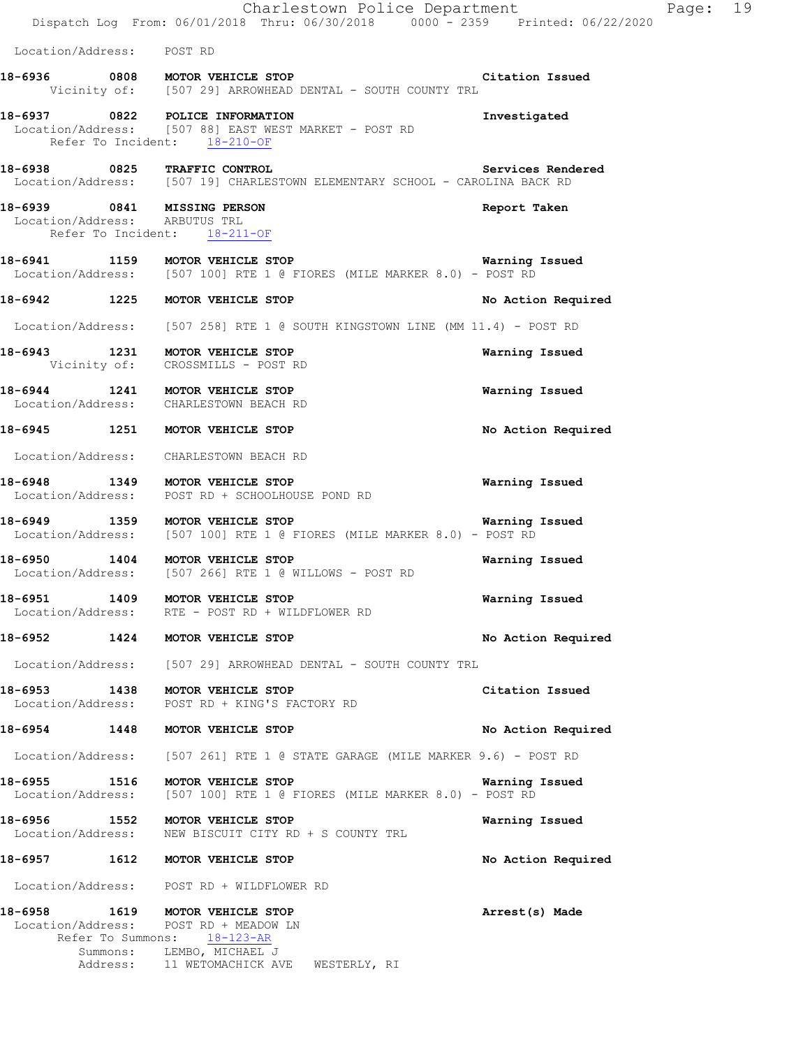|                                                                 | Charlestown Police Department<br>Dispatch Log From: 06/01/2018 Thru: 06/30/2018 0000 - 2359 Printed: 06/22/2020                               | Page: 19              |
|-----------------------------------------------------------------|-----------------------------------------------------------------------------------------------------------------------------------------------|-----------------------|
| Location/Address: POST RD                                       |                                                                                                                                               |                       |
|                                                                 | 18-6936 0808 MOTOR VEHICLE STOP 1991 18-6936 Citation Issued<br>Vicinity of: [507 29] ARROWHEAD DENTAL - SOUTH COUNTY TRL                     |                       |
| 18-6937 0822 POLICE INFORMATION<br>Refer To Incident: 18-210-OF | Location/Address: [507 88] EAST WEST MARKET - POST RD                                                                                         | Investigated          |
|                                                                 | 18-6938 0825 TRAFFIC CONTROL Services Rend<br>Location/Address: [507 19] CHARLESTOWN ELEMENTARY SCHOOL - CAROLINA BACK RD                     | Services Rendered     |
| Location/Address: ARBUTUS TRL                                   | 18-6939 0841 MISSING PERSON<br>Refer To Incident: 18-211-OF                                                                                   | Report Taken          |
|                                                                 | 18-6941 1159 MOTOR VEHICLE STOP 1991 1891 Warning Issued<br>Location/Address: [507 100] RTE 1 @ FIORES (MILE MARKER 8.0) - POST RD            |                       |
|                                                                 | 18-6942 1225 MOTOR VEHICLE STOP                                                                                                               | No Action Required    |
|                                                                 | Location/Address: [507 258] RTE 1 @ SOUTH KINGSTOWN LINE (MM 11.4) - POST RD                                                                  |                       |
|                                                                 | 18-6943 1231 MOTOR VEHICLE STOP<br>Vicinity of: CROSSMILLS - POST RD                                                                          | Warning Issued        |
|                                                                 | 18-6944 1241 MOTOR VEHICLE STOP<br>Location/Address: CHARLESTOWN BEACH RD                                                                     | Warning Issued        |
|                                                                 | 18-6945 1251 MOTOR VEHICLE STOP                                                                                                               | No Action Required    |
|                                                                 | Location/Address: CHARLESTOWN BEACH RD                                                                                                        |                       |
|                                                                 | 18-6948 1349 MOTOR VEHICLE STOP<br>Location/Address: POST RD + SCHOOLHOUSE POND RD                                                            | <b>Warning Issued</b> |
|                                                                 | 18-6949 1359 MOTOR VEHICLE STOP 1991 1891 Marning Issued<br>Location/Address: [507 100] RTE 1 @ FIORES (MILE MARKER 8.0) - POST RD            |                       |
| 18-6950 1404 MOTOR VEHICLE STOP                                 | Location/Address: [507 266] RTE 1 @ WILLOWS - POST RD                                                                                         | Warning Issued        |
| 18-6951                                                         | 1409 MOTOR VEHICLE STOP<br>Location/Address: RTE - POST RD + WILDFLOWER RD                                                                    | Warning Issued        |
| 18-6952 1424 MOTOR VEHICLE STOP                                 |                                                                                                                                               | No Action Required    |
|                                                                 | Location/Address: [507 29] ARROWHEAD DENTAL - SOUTH COUNTY TRL                                                                                |                       |
|                                                                 | 18-6953 1438 MOTOR VEHICLE STOP<br>Location/Address: POST RD + KING'S FACTORY RD                                                              | Citation Issued       |
|                                                                 | 18-6954 1448 MOTOR VEHICLE STOP                                                                                                               | No Action Required    |
|                                                                 | Location/Address: [507 261] RTE 1 @ STATE GARAGE (MILE MARKER 9.6) - POST RD                                                                  |                       |
| 18-6955 1516                                                    | MOTOR VEHICLE STOP<br>Location/Address: [507 100] RTE 1 @ FIORES (MILE MARKER 8.0) - POST RD                                                  | Warning Issued        |
| 18-6956 1552 MOTOR VEHICLE STOP<br>Location/Address:            | NEW BISCUIT CITY RD + S COUNTY TRL                                                                                                            | Warning Issued        |
| 18-6957 1612 MOTOR VEHICLE STOP                                 |                                                                                                                                               | No Action Required    |
|                                                                 | Location/Address: POST RD + WILDFLOWER RD                                                                                                     |                       |
| 18-6958 1619 MOTOR VEHICLE STOP                                 | Location/Address: POST RD + MEADOW LN<br>Refer To Summons: 18-123-AR<br>Summons: LEMBO, MICHAEL J<br>Address: 11 WETOMACHICK AVE WESTERLY, RI | Arrest(s) Made        |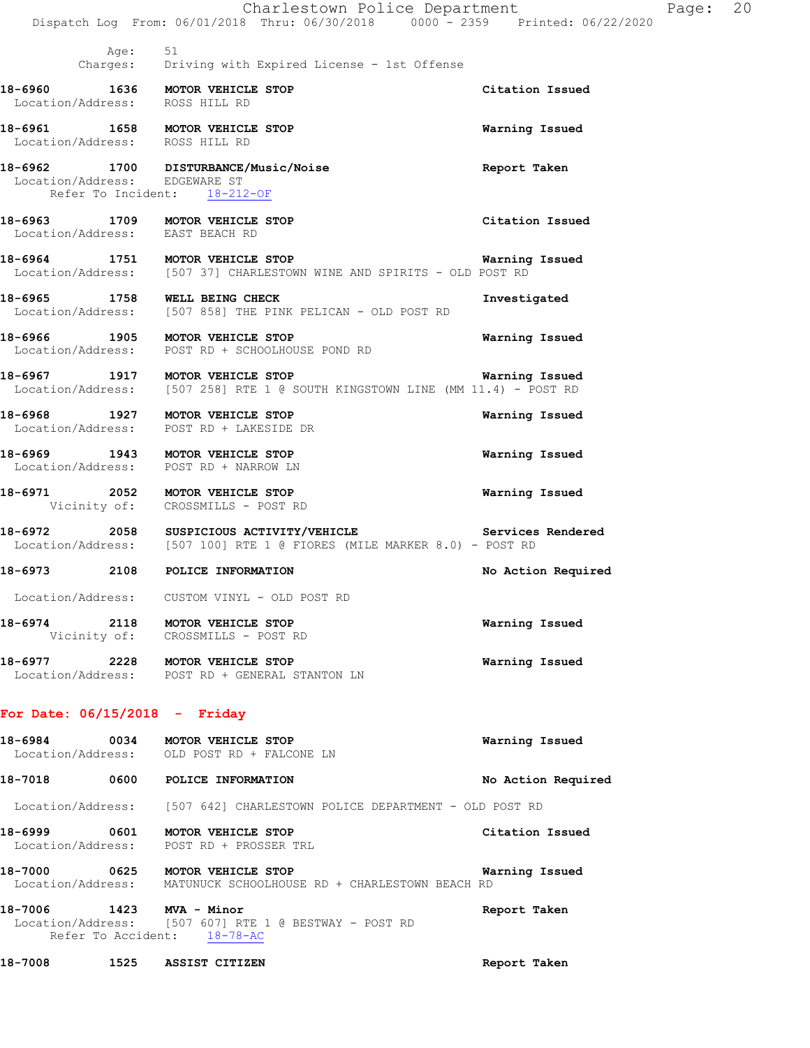|                                 |      | Charlestown Police Department<br>Dispatch Log From: 06/01/2018 Thru: 06/30/2018 0000 - 2359 Printed: 06/22/2020    |                    | Page: 20 |  |
|---------------------------------|------|--------------------------------------------------------------------------------------------------------------------|--------------------|----------|--|
|                                 | Age: | 51<br>Charges: Driving with Expired License - 1st Offense                                                          |                    |          |  |
| Location/Address: ROSS HILL RD  |      | 18-6960 1636 MOTOR VEHICLE STOP                                                                                    | Citation Issued    |          |  |
| Location/Address: ROSS HILL RD  |      | 18-6961 1658 MOTOR VEHICLE STOP                                                                                    | Warning Issued     |          |  |
| Location/Address: EDGEWARE ST   |      | 18-6962 1700 DISTURBANCE/Music/Noise<br>Refer To Incident: 18-212-OF                                               | Report Taken       |          |  |
|                                 |      | 18-6963 1709 MOTOR VEHICLE STOP<br>Location/Address: EAST BEACH RD                                                 | Citation Issued    |          |  |
|                                 |      | 18-6964 1751 MOTOR VEHICLE STOP<br>Location/Address: [507 37] CHARLESTOWN WINE AND SPIRITS - OLD POST RD           | Warning Issued     |          |  |
|                                 |      | 18-6965 1758 WELL BEING CHECK<br>Location/Address: [507 858] THE PINK PELICAN - OLD POST RD                        | Investigated       |          |  |
|                                 |      | 18-6966 1905 MOTOR VEHICLE STOP<br>Location/Address: POST RD + SCHOOLHOUSE POND RD                                 | Warning Issued     |          |  |
|                                 |      | 18-6967 1917 MOTOR VEHICLE STOP<br>Location/Address: [507 258] RTE 1 @ SOUTH KINGSTOWN LINE (MM 11.4) - POST RD    | Warning Issued     |          |  |
|                                 |      | 18-6968 1927 MOTOR VEHICLE STOP<br>Location/Address: POST RD + LAKESIDE DR                                         | Warning Issued     |          |  |
|                                 |      | 18-6969 1943 MOTOR VEHICLE STOP<br>Location/Address: POST RD + NARROW LN                                           | Warning Issued     |          |  |
|                                 |      | 18-6971 2052 MOTOR VEHICLE STOP<br>Vicinity of: CROSSMILLS - POST RD                                               | Warning Issued     |          |  |
|                                 |      | 18-6972 2058 SUSPICIOUS ACTIVITY/VEHICLE<br>Location/Address: [507 100] RTE 1 @ FIORES (MILE MARKER 8.0) - POST RD | Services Rendered  |          |  |
|                                 |      | 18-6973 2108 POLICE INFORMATION                                                                                    | No Action Required |          |  |
|                                 |      | Location/Address: CUSTOM VINYL - OLD POST RD                                                                       |                    |          |  |
|                                 |      | 18-6974 2118 MOTOR VEHICLE STOP<br>Vicinity of: CROSSMILLS - POST RD                                               | Warning Issued     |          |  |
|                                 |      | 18-6977 2228 MOTOR VEHICLE STOP<br>Location/Address: POST RD + GENERAL STANTON LN                                  | Warning Issued     |          |  |
| For Date: $06/15/2018$ - Friday |      |                                                                                                                    |                    |          |  |
|                                 |      | 18-6984 0034 MOTOR VEHICLE STOP<br>Location/Address: OLD POST RD + FALCONE LN                                      | Warning Issued     |          |  |
|                                 |      | 18-7018 0600 POLICE INFORMATION                                                                                    | No Action Required |          |  |
|                                 |      | Location/Address: [507 642] CHARLESTOWN POLICE DEPARTMENT - OLD POST RD                                            |                    |          |  |
|                                 |      | 18-6999 0601 MOTOR VEHICLE STOP<br>Location/Address: POST RD + PROSSER TRL                                         | Citation Issued    |          |  |
|                                 |      | 18-7000 0625 MOTOR VEHICLE STOP<br>Location/Address: MATUNUCK SCHOOLHOUSE RD + CHARLESTOWN BEACH RD                | Warning Issued     |          |  |
| 18-7006 1423 MVA - Minor        |      | Location/Address: [507 607] RTE 1 @ BESTWAY - POST RD<br>Refer To Accident: 18-78-AC                               | Report Taken       |          |  |
|                                 |      | 18-7008 1525 ASSIST CITIZEN                                                                                        | Report Taken       |          |  |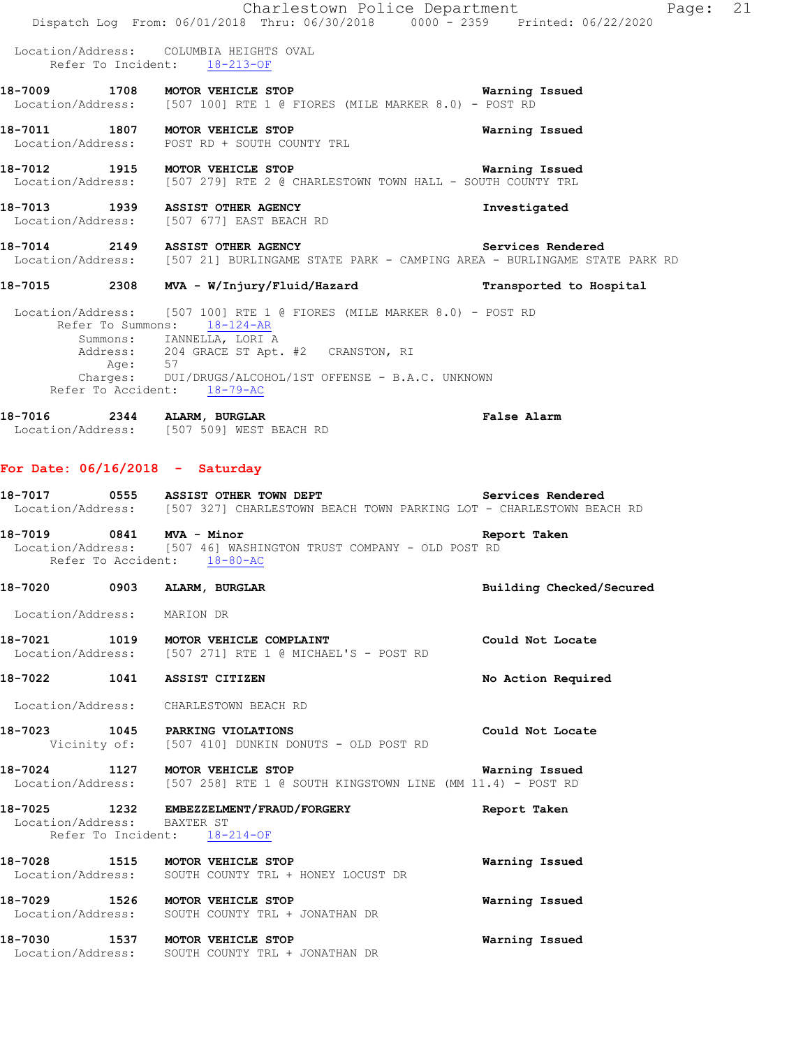|                                                         | Charlestown Police Department<br>Dispatch Log From: 06/01/2018 Thru: 06/30/2018 0000 - 2359 Printed: 06/22/2020                                                                            | Page: 21                 |  |
|---------------------------------------------------------|--------------------------------------------------------------------------------------------------------------------------------------------------------------------------------------------|--------------------------|--|
|                                                         | Location/Address: COLUMBIA HEIGHTS OVAL<br>Refer To Incident: 18-213-OF                                                                                                                    |                          |  |
|                                                         | 18-7009 1708 MOTOR VEHICLE STOP 120 18 Narning Issued<br>Location/Address: [507 100] RTE 1 @ FIORES (MILE MARKER 8.0) - POST RD                                                            |                          |  |
|                                                         | 18-7011 1807 MOTOR VEHICLE STOP<br>Location/Address: POST RD + SOUTH COUNTY TRL                                                                                                            | Warning Issued           |  |
|                                                         | 18-7012 1915 MOTOR VEHICLE STOP<br>Location/Address: [507 279] RTE 2 @ CHARLESTOWN TOWN HALL - SOUTH COUNTY TRL                                                                            | <b>Warning Issued</b>    |  |
|                                                         | 18-7013 1939 ASSIST OTHER AGENCY<br>Location/Address: [507 677] EAST BEACH RD                                                                                                              | Investigated             |  |
|                                                         | 18-7014 2149 ASSIST OTHER AGENCY<br>Location/Address: [507 21] BURLINGAME STATE PARK - CAMPING AREA - BURLINGAME STATE PARK RD                                                             | Services Rendered        |  |
|                                                         | 18-7015 2308 MVA - W/Injury/Fluid/Hazard                                                                                                                                                   | Transported to Hospital  |  |
|                                                         | Location/Address: [507 100] RTE 1 @ FIORES (MILE MARKER 8.0) - POST RD<br>Refer To Summons: 18-124-AR                                                                                      |                          |  |
|                                                         | Summons: IANNELLA, LORI A<br>Address: 204 GRACE ST Apt. #2 CRANSTON, RI                                                                                                                    |                          |  |
| Refer To Accident: 18-79-AC                             | Age: 57<br>Charges: DUI/DRUGS/ALCOHOL/1ST OFFENSE - B.A.C. UNKNOWN                                                                                                                         |                          |  |
| 18-7016 2344 ALARM, BURGLAR                             | Location/Address: [507 509] WEST BEACH RD                                                                                                                                                  | False Alarm              |  |
| For Date: $06/16/2018$ - Saturday                       |                                                                                                                                                                                            |                          |  |
|                                                         | <br>18-7017        0555    ASSIST OTHER TOWN DEPT                               Services Rendered<br>Location/Address: [507 327] CHARLESTOWN BEACH TOWN PARKING LOT - CHARLESTOWN BEACH RD |                          |  |
| 18-7019 0841 MVA - Minor<br>Refer To Accident: 18-80-AC | Location/Address: [507 46] WASHINGTON TRUST COMPANY - OLD POST RD                                                                                                                          | Report Taken             |  |
| 18-7020                                                 | 0903 ALARM, BURGLAR                                                                                                                                                                        | Building Checked/Secured |  |
| Location/Address: MARION DR                             |                                                                                                                                                                                            |                          |  |
|                                                         | 18-7021 1019 MOTOR VEHICLE COMPLAINT<br>Location/Address: [507 271] RTE 1 @ MICHAEL'S - POST RD                                                                                            | Could Not Locate         |  |
| 18-7022 1041 ASSIST CITIZEN                             |                                                                                                                                                                                            | No Action Required       |  |
| Location/Address: CHARLESTOWN BEACH RD                  |                                                                                                                                                                                            |                          |  |
| 18-7023 1045 PARKING VIOLATIONS                         | Vicinity of: [507 410] DUNKIN DONUTS - OLD POST RD                                                                                                                                         | Could Not Locate         |  |
| 18-7024 1127 MOTOR VEHICLE STOP                         | Location/Address: [507 258] RTE 1 @ SOUTH KINGSTOWN LINE (MM 11.4) - POST RD                                                                                                               | Warning Issued           |  |
| Location/Address: BAXTER ST                             | 18-7025 1232 EMBEZZELMENT/FRAUD/FORGERY<br>Refer To Incident: 18-214-OF                                                                                                                    | Report Taken             |  |
| 18-7028 1515 MOTOR VEHICLE STOP                         | Location/Address: SOUTH COUNTY TRL + HONEY LOCUST DR                                                                                                                                       | Warning Issued           |  |
| 18-7029 1526 MOTOR VEHICLE STOP                         | Location/Address: SOUTH COUNTY TRL + JONATHAN DR                                                                                                                                           | Warning Issued           |  |
| 18-7030                                                 | 1537 MOTOR VEHICLE STOP<br>Location/Address: SOUTH COUNTY TRL + JONATHAN DR                                                                                                                | Warning Issued           |  |
|                                                         |                                                                                                                                                                                            |                          |  |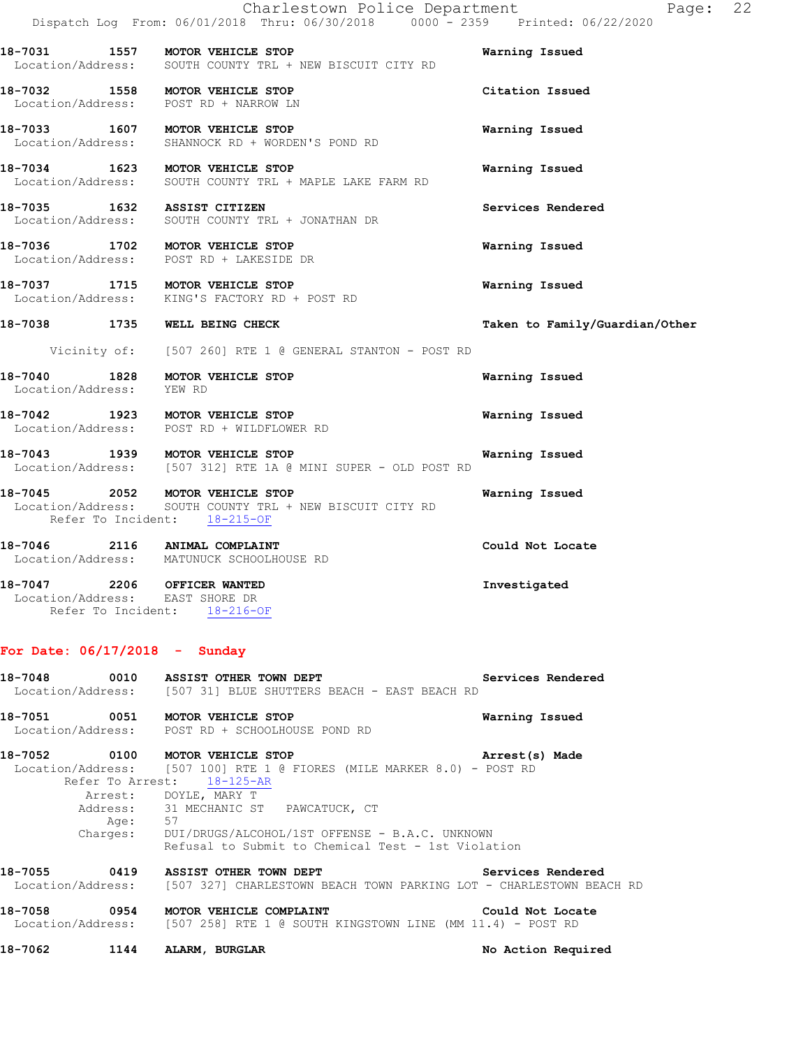Location/Address: SOUTH COUNTY TRL + NEW BISCUIT CITY RD **18-7032 1558 MOTOR VEHICLE STOP Citation Issued**  Location/Address: POST RD + NARROW LN

**18-7031 1557 MOTOR VEHICLE STOP Warning Issued** 

**18-7033 1607 MOTOR VEHICLE STOP Warning Issued**  Location/Address: SHANNOCK RD + WORDEN'S POND RD

**18-7034 1623 MOTOR VEHICLE STOP Warning Issued**  Location/Address: SOUTH COUNTY TRL + MAPLE LAKE FARM RD

**18-7035 1632 ASSIST CITIZEN Services Rendered**  Location/Address: SOUTH COUNTY TRL + JONATHAN DR

**18-7036 1702 MOTOR VEHICLE STOP Warning Issued**  Location/Address: POST RD + LAKESIDE DR

**18-7037 1715 MOTOR VEHICLE STOP Warning Issued**  Location/Address: KING'S FACTORY RD + POST RD

Vicinity of: [507 260] RTE 1 @ GENERAL STANTON - POST RD

**18-7040 1828 MOTOR VEHICLE STOP Warning Issued**  Location/Address:

**18-7042 1923 MOTOR VEHICLE STOP Warning Issued**  Location/Address: POST RD + WILDFLOWER RD

**18-7043 1939 MOTOR VEHICLE STOP Warning Issued**  Location/Address: [507 312] RTE 1A @ MINI SUPER - OLD POST RD

**18-7045 2052 MOTOR VEHICLE STOP Warning Issued**  Location/Address: SOUTH COUNTY TRL + NEW BISCUIT CITY RD Refer To Incident: 18-215-OF

**18-7046 2116 ANIMAL COMPLAINT Could Not Locate**  Location/Address: MATUNUCK SCHOOLHOUSE RD

**18-7047 2206 OFFICER WANTED Investigated**  Location/Address: EAST SHORE DR Refer To Incident: 18-216-OF

#### **For Date: 06/17/2018 - Sunday**

**18-7048 0010 ASSIST OTHER TOWN DEPT Services Rendered**  Location/Address: [507 31] BLUE SHUTTERS BEACH - EAST BEACH RD

**18-7051 0051 MOTOR VEHICLE STOP Warning Issued**  Location/Address: POST RD + SCHOOLHOUSE POND RD

**18-7052 0100 MOTOR VEHICLE STOP Arrest(s) Made**  Location/Address: [507 100] RTE 1 @ FIORES (MILE MARKER 8.0) - POST RD Refer To Arrest: 18-125-AR Arrest: DOYLE, MARY T

 Address: 31 MECHANIC ST PAWCATUCK, CT Age: 57 Charges: DUI/DRUGS/ALCOHOL/1ST OFFENSE - B.A.C. UNKNOWN Refusal to Submit to Chemical Test - 1st Violation

**18-7055 0419 ASSIST OTHER TOWN DEPT Services Rendered**  Location/Address: [507 327] CHARLESTOWN BEACH TOWN PARKING LOT - CHARLESTOWN BEACH RD

**18-7058 0954 MOTOR VEHICLE COMPLAINT Could Not Locate**  Location/Address: [507 258] RTE 1 @ SOUTH KINGSTOWN LINE (MM 11.4) - POST RD

**18-7062 1144 ALARM, BURGLAR No Action Required** 

**18-7038 1735 WELL BEING CHECK Taken to Family/Guardian/Other**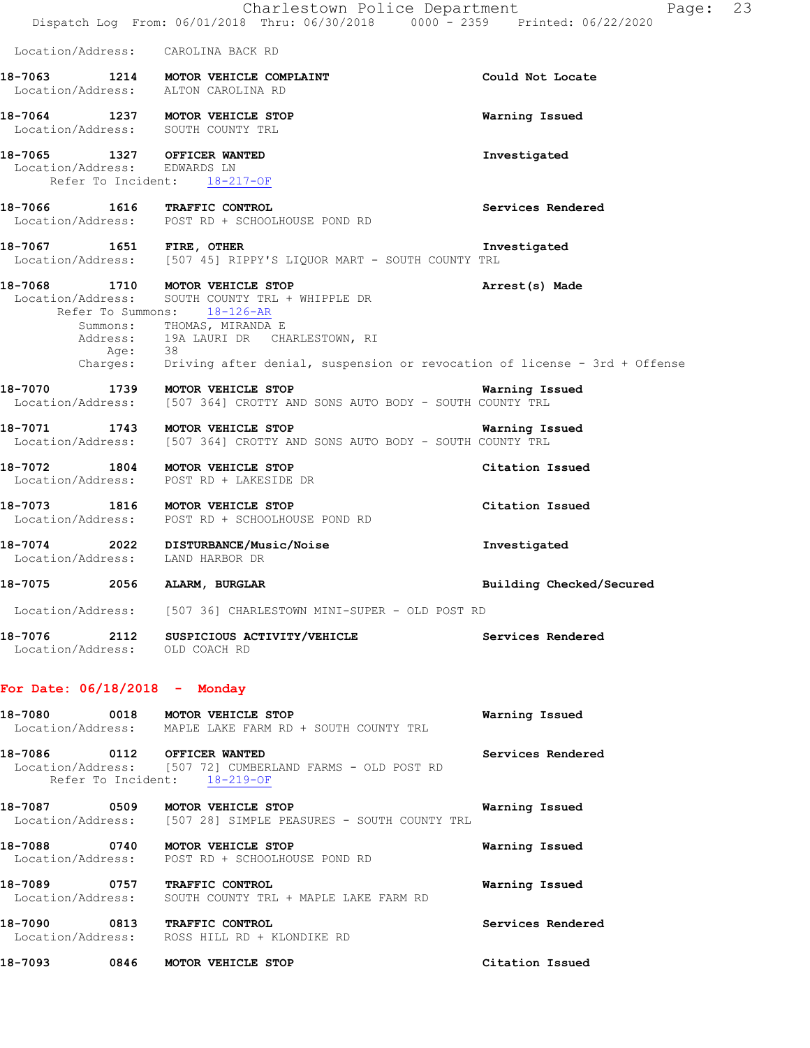|                                                                       | Charlestown Police Department<br>Dispatch Log From: 06/01/2018 Thru: 06/30/2018 0000 - 2359 Printed: 06/22/2020                                                                                                                                                                   | 23<br>Page:              |
|-----------------------------------------------------------------------|-----------------------------------------------------------------------------------------------------------------------------------------------------------------------------------------------------------------------------------------------------------------------------------|--------------------------|
| Location/Address: CAROLINA BACK RD                                    |                                                                                                                                                                                                                                                                                   |                          |
| Location/Address: ALTON CAROLINA RD                                   | 18-7063 1214 MOTOR VEHICLE COMPLAINT                                                                                                                                                                                                                                              | Could Not Locate         |
| 18-7064 1237 MOTOR VEHICLE STOP<br>Location/Address: SOUTH COUNTY TRL |                                                                                                                                                                                                                                                                                   | Warning Issued           |
| 18-7065 1327 OFFICER WANTED<br>Location/Address: EDWARDS LN           | Refer To Incident: 18-217-OF                                                                                                                                                                                                                                                      | Investigated             |
|                                                                       | 18-7066 1616 TRAFFIC CONTROL<br>Location/Address: POST RD + SCHOOLHOUSE POND RD                                                                                                                                                                                                   | Services Rendered        |
|                                                                       | Location/Address: [507 45] RIPPY'S LIQUOR MART - SOUTH COUNTY TRL                                                                                                                                                                                                                 | Investigated             |
| 18-7068                                                               | 1710 MOTOR VEHICLE STOP<br>Location/Address: SOUTH COUNTY TRL + WHIPPLE DR<br>Refer To Summons: 18-126-AR<br>Summons: THOMAS, MIRANDA E<br>Address: 19A LAURI DR CHARLESTOWN, RI<br>Age: 38<br>Charges: Driving after denial, suspension or revocation of license - 3rd + Offense | Arrest(s) Made           |
| 18-7070 1739 MOTOR VEHICLE STOP                                       | Location/Address: [507 364] CROTTY AND SONS AUTO BODY - SOUTH COUNTY TRL                                                                                                                                                                                                          | Warning Issued           |
|                                                                       | 18-7071 1743 MOTOR VEHICLE STOP<br>Location/Address: [507 364] CROTTY AND SONS AUTO BODY - SOUTH COUNTY TRL                                                                                                                                                                       | Warning Issued           |
| 18-7072 1804 MOTOR VEHICLE STOP<br>Location/Address:                  | POST RD + LAKESIDE DR                                                                                                                                                                                                                                                             | Citation Issued          |
| 18-7073 1816 MOTOR VEHICLE STOP                                       | Location/Address: POST RD + SCHOOLHOUSE POND RD                                                                                                                                                                                                                                   | Citation Issued          |
| Location/Address:                                                     | 18-7074 2022 DISTURBANCE/Music/Noise<br>LAND HARBOR DR                                                                                                                                                                                                                            | Investigated             |
| 2056<br>18-7075                                                       | ALARM, BURGLAR                                                                                                                                                                                                                                                                    | Building Checked/Secured |
|                                                                       | Location/Address: [507 36] CHARLESTOWN MINI-SUPER - OLD POST RD                                                                                                                                                                                                                   |                          |
|                                                                       | 18-7076 2112 SUSPICIOUS ACTIVITY/VEHICLE Services Rendered Location/Address: OLD COACH RD                                                                                                                                                                                         |                          |
| For Date: $06/18/2018$ - Monday                                       |                                                                                                                                                                                                                                                                                   |                          |
|                                                                       | Location/Address: MAPLE LAKE FARM RD + SOUTH COUNTY TRL                                                                                                                                                                                                                           | Warning Issued           |
| 18-7086 0112 OFFICER WANTED                                           | Location/Address: [507 72] CUMBERLAND FARMS - OLD POST RD<br>Refer To Incident: 18-219-OF                                                                                                                                                                                         | Services Rendered        |
| 18-7087 0509 MOTOR VEHICLE STOP                                       | Location/Address: [507 28] SIMPLE PEASURES - SOUTH COUNTY TRL                                                                                                                                                                                                                     | Warning Issued           |
| 18-7088 0740 MOTOR VEHICLE STOP                                       | Location/Address: POST RD + SCHOOLHOUSE POND RD                                                                                                                                                                                                                                   | Warning Issued           |
| 18-7089 0757 TRAFFIC CONTROL                                          | Location/Address: SOUTH COUNTY TRL + MAPLE LAKE FARM RD                                                                                                                                                                                                                           | Warning Issued           |
| 18-7090                                                               | 0813 TRAFFIC CONTROL<br>Location/Address: ROSS HILL RD + KLONDIKE RD                                                                                                                                                                                                              | Services Rendered        |
| 18-7093 0846 MOTOR VEHICLE STOP                                       |                                                                                                                                                                                                                                                                                   | Citation Issued          |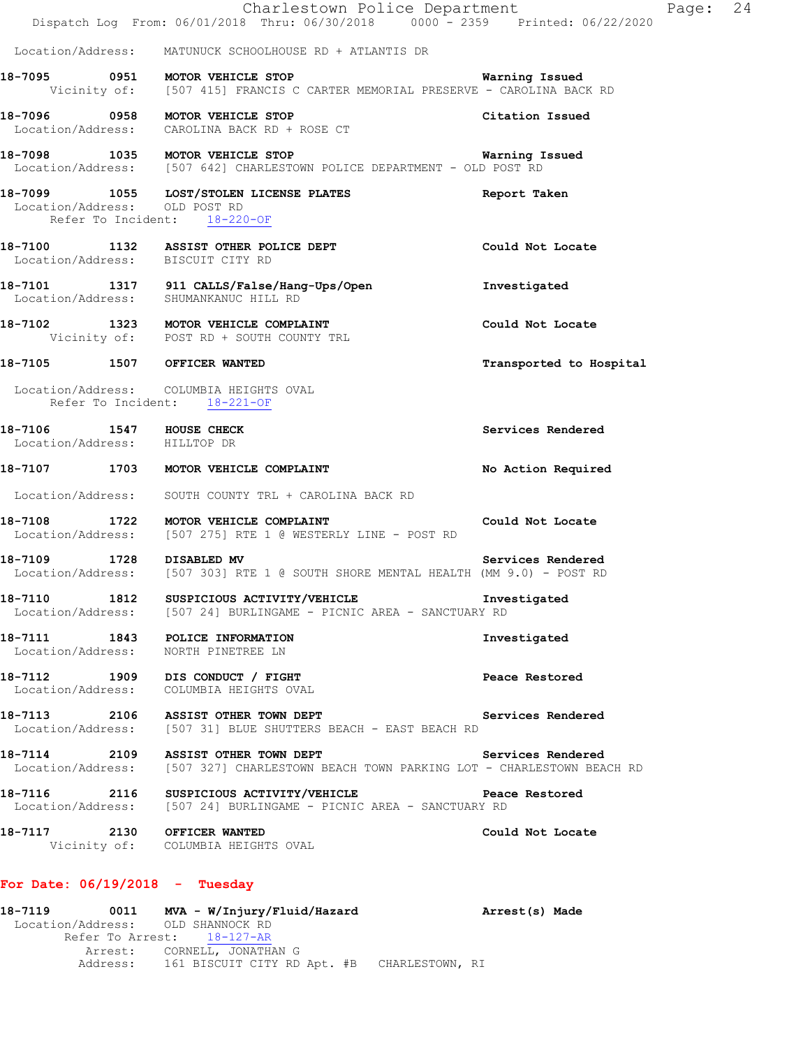|  | Charlestown Police Department<br>Dispatch Log From: 06/01/2018 Thru: 06/30/2018 0000 <sup>-</sup> 2359 Printed: 06/22/2020     |                         | Page: 24 |  |
|--|--------------------------------------------------------------------------------------------------------------------------------|-------------------------|----------|--|
|  | Location/Address: MATUNUCK SCHOOLHOUSE RD + ATLANTIS DR                                                                        |                         |          |  |
|  | 18-7095 0951 MOTOR VEHICLE STOP<br>Vicinity of: [507 415] FRANCIS C CARTER MEMORIAL PRESERVE - CAROLINA BACK RD                | <b>Warning Issued</b>   |          |  |
|  | 18-7096 0958 MOTOR VEHICLE STOP<br>Location/Address: CAROLINA BACK RD + ROSE CT                                                | Citation Issued         |          |  |
|  | 18-7098 1035 MOTOR VEHICLE STOP<br>Location/Address: [507 642] CHARLESTOWN POLICE DEPARTMENT - OLD POST RD                     | <b>Warning Issued</b>   |          |  |
|  | 18-7099 1055 LOST/STOLEN LICENSE PLATES<br>Location/Address: OLD POST RD<br>Refer To Incident: 18-220-OF                       | Report Taken            |          |  |
|  | 18-7100 1132 ASSIST OTHER POLICE DEPT<br>Location/Address: BISCUIT CITY RD                                                     | Could Not Locate        |          |  |
|  | 18-7101 1317 911 CALLS/False/Hang-Ups/Open<br>Location/Address: SHUMANKANUC HILL RD                                            | Investigated            |          |  |
|  | 18-7102 1323 MOTOR VEHICLE COMPLAINT<br>Vicinity of: POST RD + SOUTH COUNTY TRL                                                | Could Not Locate        |          |  |
|  | 18-7105 1507 OFFICER WANTED                                                                                                    | Transported to Hospital |          |  |
|  | Location/Address: COLUMBIA HEIGHTS OVAL<br>Refer To Incident: 18-221-OF                                                        |                         |          |  |
|  | 18-7106 1547 HOUSE CHECK<br>Location/Address: HILLTOP DR                                                                       | Services Rendered       |          |  |
|  | 18-7107 1703 MOTOR VEHICLE COMPLAINT                                                                                           | No Action Required      |          |  |
|  | Location/Address: SOUTH COUNTY TRL + CAROLINA BACK RD                                                                          |                         |          |  |
|  | 18-7108 1722 MOTOR VEHICLE COMPLAINT<br><b>Could Not Locate</b><br>Location/Address: [507 275] RTE 1 @ WESTERLY LINE - POST RD |                         |          |  |
|  | 18-7109 1728 DISABLED MV<br>Location/Address: [507 303] RTE 1 @ SOUTH SHORE MENTAL HEALTH (MM 9.0) - POST RD                   | Services Rendered       |          |  |
|  | 18-7110 1812 SUSPICIOUS ACTIVITY/VEHICLE Threstigated<br>Location/Address: [507 24] BURLINGAME - PICNIC AREA - SANCTUARY RD    |                         |          |  |
|  | 18-7111 1843 POLICE INFORMATION<br>Location/Address: NORTH PINETREE LN                                                         | Investigated            |          |  |
|  | 18-7112 1909 DIS CONDUCT / FIGHT<br>Location/Address: COLUMBIA HEIGHTS OVAL                                                    | Peace Restored          |          |  |
|  | 18-7113 2106 ASSIST OTHER TOWN DEPT<br>Location/Address: [507 31] BLUE SHUTTERS BEACH - EAST BEACH RD                          | Services Rendered       |          |  |
|  | 18-7114 2109 ASSIST OTHER TOWN DEPT<br>Location/Address: [507 327] CHARLESTOWN BEACH TOWN PARKING LOT - CHARLESTOWN BEACH RD   | Services Rendered       |          |  |
|  | 18-7116 2116 SUSPICIOUS ACTIVITY/VEHICLE Peace Restored<br>Location/Address: [507 24] BURLINGAME - PICNIC AREA - SANCTUARY RD  |                         |          |  |
|  | 18-7117 2130 OFFICER WANTED<br>Vicinity of: COLUMBIA HEIGHTS OVAL                                                              | Could Not Locate        |          |  |
|  | For Date: $06/19/2018$ - Tuesday                                                                                               |                         |          |  |
|  | Location/Address: OLD SHANNOCK RD                                                                                              |                         |          |  |
|  | Refer To Arrest: 18-127-AR                                                                                                     |                         |          |  |
|  | Arrest: CORNELL, JONATHAN G                                                                                                    |                         |          |  |

Address: 161 BISCUIT CITY RD Apt. #B CHARLESTOWN, RI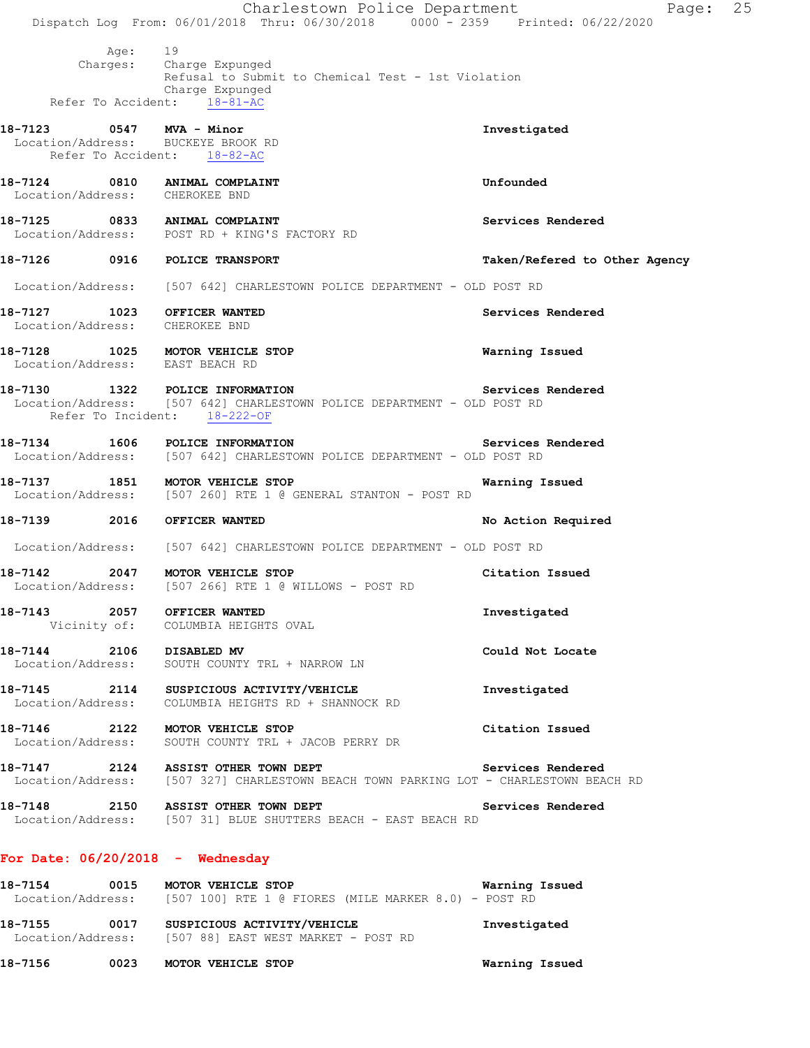Charlestown Police Department Page: 25 Dispatch Log From: 06/01/2018 Thru: 06/30/2018 0000 - 2359 Printed: 06/22/2020 Age: 19<br>Charges: Ch Charge Expunged Refusal to Submit to Chemical Test - 1st Violation Charge Expunged<br>ht: 18-81-AC Refer To Accident: **18-7123 0547 MVA - Minor Investigated**  Location/Address: BUCKEYE BROOK RD Refer To Accident: 18-82-AC **18-7124 0810 ANIMAL COMPLAINT Unfounded**  Location/Address: CHEROKEE BND 18-7125 0833 ANIMAL COMPLAINT **Services Rendered**  Location/Address: POST RD + KING'S FACTORY RD **18-7126 0916 POLICE TRANSPORT Taken/Refered to Other Agency** Location/Address: [507 642] CHARLESTOWN POLICE DEPARTMENT - OLD POST RD **18-7127 1023 OFFICER WANTED Services Rendered**  Location/Address: CHEROKEE BND **18-7128 1025 MOTOR VEHICLE STOP Warning Issued**  Location/Address: EAST BEACH RD **18-7130 1322 POLICE INFORMATION Services Rendered**  Location/Address: [507 642] CHARLESTOWN POLICE DEPARTMENT - OLD POST RD Refer To Incident: 18-222-OF **18-7134 1606 POLICE INFORMATION Services Rendered**  Location/Address: [507 642] CHARLESTOWN POLICE DEPARTMENT - OLD POST RD **18-7137 1851 MOTOR VEHICLE STOP Warning Issued**  Location/Address: [507 260] RTE 1 @ GENERAL STANTON - POST RD **18-7139 2016 OFFICER WANTED No Action Required**  Location/Address: [507 642] CHARLESTOWN POLICE DEPARTMENT - OLD POST RD **18-7142** 2047 MOTOR VEHICLE STOP Citation Issued Location/Address: [507 266] RTE 1 @ WILLOWS - POST RD [507 266] RTE 1 @ WILLOWS - POST RD **18-7143 2057 OFFICER WANTED Investigated**  Vicinity of: COLUMBIA HEIGHTS OVAL **18-7144 2106 DISABLED MV Could Not Locate**  Location/Address: SOUTH COUNTY TRL + NARROW LN **18-7145 2114 SUSPICIOUS ACTIVITY/VEHICLE Investigated**  Location/Address: COLUMBIA HEIGHTS RD + SHANNOCK RD **18-7146 2122 MOTOR VEHICLE STOP Citation Issued**  Location/Address: SOUTH COUNTY TRL + JACOB PERRY DR **18-7147 2124 ASSIST OTHER TOWN DEPT Services Rendered**  [507 327] CHARLESTOWN BEACH TOWN PARKING LOT - CHARLESTOWN BEACH RD **18-7148 2150 ASSIST OTHER TOWN DEPT Services Rendered**  Location/Address: [507 31] BLUE SHUTTERS BEACH - EAST BEACH RD **For Date: 06/20/2018 - Wednesday 18-7154 0015 MOTOR VEHICLE STOP Warning Issued**  Location/Address: [507 100] RTE 1 @ FIORES (MILE MARKER 8.0) - POST RD

**18-7155 0017 SUSPICIOUS ACTIVITY/VEHICLE Investigated**  Location/Address: [507 88] EAST WEST MARKET - POST RD

**18-7156 0023 MOTOR VEHICLE STOP Warning Issued**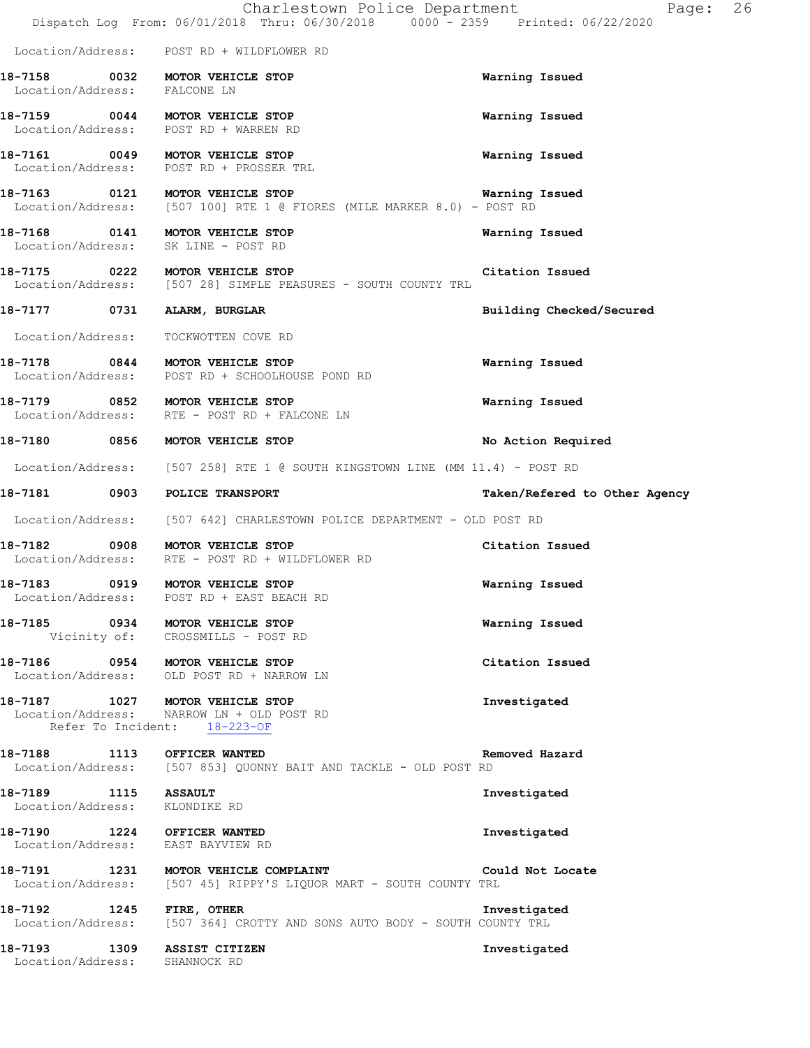|                                                       | Charlestown Police Department<br>Dispatch Log From: 06/01/2018 Thru: 06/30/2018 0000 - 2359 Printed: 06/22/2020 | Page:                         | 26 |
|-------------------------------------------------------|-----------------------------------------------------------------------------------------------------------------|-------------------------------|----|
|                                                       | Location/Address: POST RD + WILDFLOWER RD                                                                       |                               |    |
| Location/Address: FALCONE LN                          | 18-7158 0032 MOTOR VEHICLE STOP                                                                                 | Warning Issued                |    |
|                                                       | 18-7159 0044 MOTOR VEHICLE STOP<br>Location/Address: POST RD + WARREN RD                                        | Warning Issued                |    |
|                                                       | 18-7161 0049 MOTOR VEHICLE STOP<br>Location/Address: POST RD + PROSSER TRL                                      | Warning Issued                |    |
|                                                       | 18-7163 0121 MOTOR VEHICLE STOP<br>Location/Address: [507 100] RTE 1 @ FIORES (MILE MARKER 8.0) - POST RD       | Warning Issued                |    |
|                                                       | 18-7168 0141 MOTOR VEHICLE STOP<br>Location/Address: SK LINE - POST RD                                          | Warning Issued                |    |
|                                                       | 18-7175 0222 MOTOR VEHICLE STOP<br>Location/Address: [507 28] SIMPLE PEASURES - SOUTH COUNTY TRL                | Citation Issued               |    |
|                                                       | 18-7177 0731 ALARM, BURGLAR                                                                                     | Building Checked/Secured      |    |
|                                                       | Location/Address: TOCKWOTTEN COVE RD                                                                            |                               |    |
|                                                       | 18-7178 0844 MOTOR VEHICLE STOP<br>Location/Address: POST RD + SCHOOLHOUSE POND RD                              | Warning Issued                |    |
|                                                       | 18-7179 0852 MOTOR VEHICLE STOP<br>Location/Address: RTE - POST RD + FALCONE LN                                 | Warning Issued                |    |
|                                                       | 18-7180 0856 MOTOR VEHICLE STOP                                                                                 | No Action Required            |    |
|                                                       | Location/Address: [507 258] RTE 1 @ SOUTH KINGSTOWN LINE (MM 11.4) - POST RD                                    |                               |    |
|                                                       | 18-7181 0903 POLICE TRANSPORT                                                                                   | Taken/Refered to Other Agency |    |
|                                                       | Location/Address: [507 642] CHARLESTOWN POLICE DEPARTMENT - OLD POST RD                                         |                               |    |
|                                                       | 18-7182 0908 MOTOR VEHICLE STOP<br>Location/Address: RTE - POST RD + WILDFLOWER RD                              | Citation Issued               |    |
| 18–7183                                               | 0919 MOTOR VEHICLE STOP<br>Location/Address: POST RD + EAST BEACH RD                                            | Warning Issued                |    |
|                                                       | 18-7185 0934 MOTOR VEHICLE STOP<br>Vicinity of: CROSSMILLS - POST RD                                            | Warning Issued                |    |
|                                                       | 18-7186 0954 MOTOR VEHICLE STOP<br>Location/Address: OLD POST RD + NARROW LN                                    | Citation Issued               |    |
|                                                       | 18-7187 1027 MOTOR VEHICLE STOP<br>Location/Address: NARROW LN + OLD POST RD<br>Refer To Incident: 18-223-OF    | Investigated                  |    |
|                                                       | 18-7188 1113 OFFICER WANTED<br>Location/Address: [507 853] QUONNY BAIT AND TACKLE - OLD POST RD                 | Removed Hazard                |    |
| 18-7189 1115 ASSAULT<br>Location/Address: KLONDIKE RD |                                                                                                                 | Investigated                  |    |
|                                                       | 18-7190 1224 OFFICER WANTED<br>Location/Address: EAST BAYVIEW RD                                                | Investigated                  |    |
|                                                       | Location/Address: [507 45] RIPPY'S LIQUOR MART - SOUTH COUNTY TRL                                               |                               |    |
| 18-7192 1245 FIRE, OTHER                              | Location/Address: [507 364] CROTTY AND SONS AUTO BODY - SOUTH COUNTY TRL                                        | Investigated                  |    |
| Location/Address: SHANNOCK RD                         | 18-7193 1309 ASSIST CITIZEN                                                                                     | Investigated                  |    |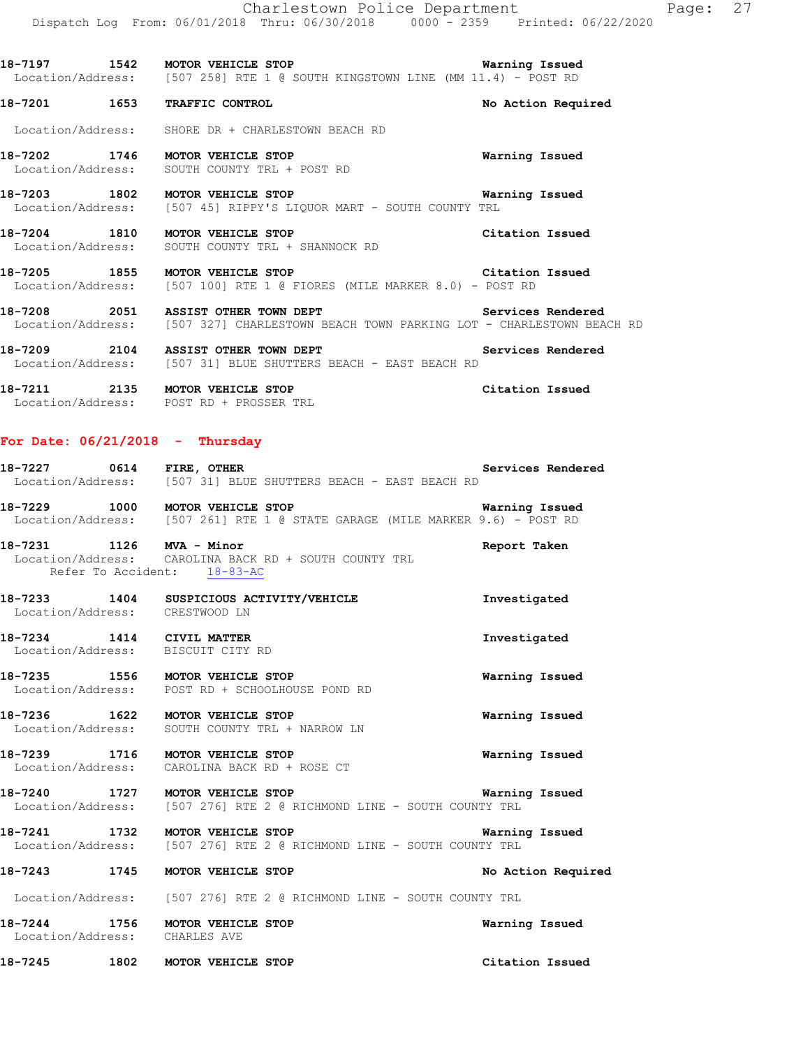**18-7197 1542 MOTOR VEHICLE STOP Warning Issued**  Location/Address: [507 258] RTE 1 @ SOUTH KINGSTOWN LINE (MM 11.4) - POST RD

**18-7201 1653 TRAFFIC CONTROL No Action Required** 

Location/Address: SHORE DR + CHARLESTOWN BEACH RD

**18-7202 1746 MOTOR VEHICLE STOP Warning Issued**  Location/Address: SOUTH COUNTY TRL + POST RD

**18-7203 1802 MOTOR VEHICLE STOP Warning Issued**  Location/Address: [507 45] RIPPY'S LIQUOR MART - SOUTH COUNTY TRL

**18-7204 1810 MOTOR VEHICLE STOP Citation Issued**  Location/Address: SOUTH COUNTY TRL + SHANNOCK RD

**18-7205 1855 MOTOR VEHICLE STOP Citation Issued**  Location/Address: [507 100] RTE 1 @ FIORES (MILE MARKER 8.0) - POST RD

18-7208 2051 ASSIST OTHER TOWN DEPT **18-7208** Services Rendered Location/Address: [507 327] CHARLESTOWN BEACH TOWN PARKING LOT - CHARLESTOWN BEACH RD

**18-7209 2104 ASSIST OTHER TOWN DEPT Services Rendered**  Location/Address: [507 31] BLUE SHUTTERS BEACH - EAST BEACH RD

**18-7211 2135 MOTOR VEHICLE STOP Citation Issued**  Location/Address: POST RD + PROSSER TRL

### **For Date: 06/21/2018 - Thursday**

| 18-7227<br>0614<br>Location/Address:  | Services Rendered<br>FIRE, OTHER<br>[507 31] BLUE SHUTTERS BEACH - EAST BEACH RD                                            |  |
|---------------------------------------|-----------------------------------------------------------------------------------------------------------------------------|--|
| 18-7229<br>1000                       | Warning Issued<br><b>MOTOR VEHICLE STOP</b><br>Location/Address: [507 261] RTE 1 @ STATE GARAGE (MILE MARKER 9.6) - POST RD |  |
| 18-7231<br>1126<br>Refer To Accident: | MVA - Minor<br>Report Taken<br>Location/Address: CAROLINA BACK RD + SOUTH COUNTY TRL<br>$18 - 83 - AC$                      |  |
| 1404<br>18-7233<br>Location/Address:  | SUSPICIOUS ACTIVITY/VEHICLE<br>Investigated<br>CRESTWOOD LN                                                                 |  |

**18-7234 1414 CIVIL MATTER Investigated**  Location/Address: BISCUIT CITY RD

**18-7235 1556 MOTOR VEHICLE STOP Warning Issued**  Location/Address: POST RD + SCHOOLHOUSE POND RD

**18-7236 1622 MOTOR VEHICLE STOP Warning Issued**  Location/Address: SOUTH COUNTY TRL + NARROW LN

**18-7239 1716 MOTOR VEHICLE STOP Warning Issued**  Location/Address: CAROLINA BACK RD + ROSE CT

**18-7240 1727 MOTOR VEHICLE STOP Warning Issued**  Location/Address: [507 276] RTE 2 @ RICHMOND LINE - SOUTH COUNTY TRL

**18-7241 1732 MOTOR VEHICLE STOP Warning Issued**  Location/Address: [507 276] RTE 2 @ RICHMOND LINE - SOUTH COUNTY TRL

**18-7243 1745 MOTOR VEHICLE STOP No Action Required** 

Location/Address: [507 276] RTE 2 @ RICHMOND LINE - SOUTH COUNTY TRL

**18-7244 1756 MOTOR VEHICLE STOP Warning Issued**  Location/Address: CHARLES AVE

**18-7245 1802 MOTOR VEHICLE STOP Citation Issued**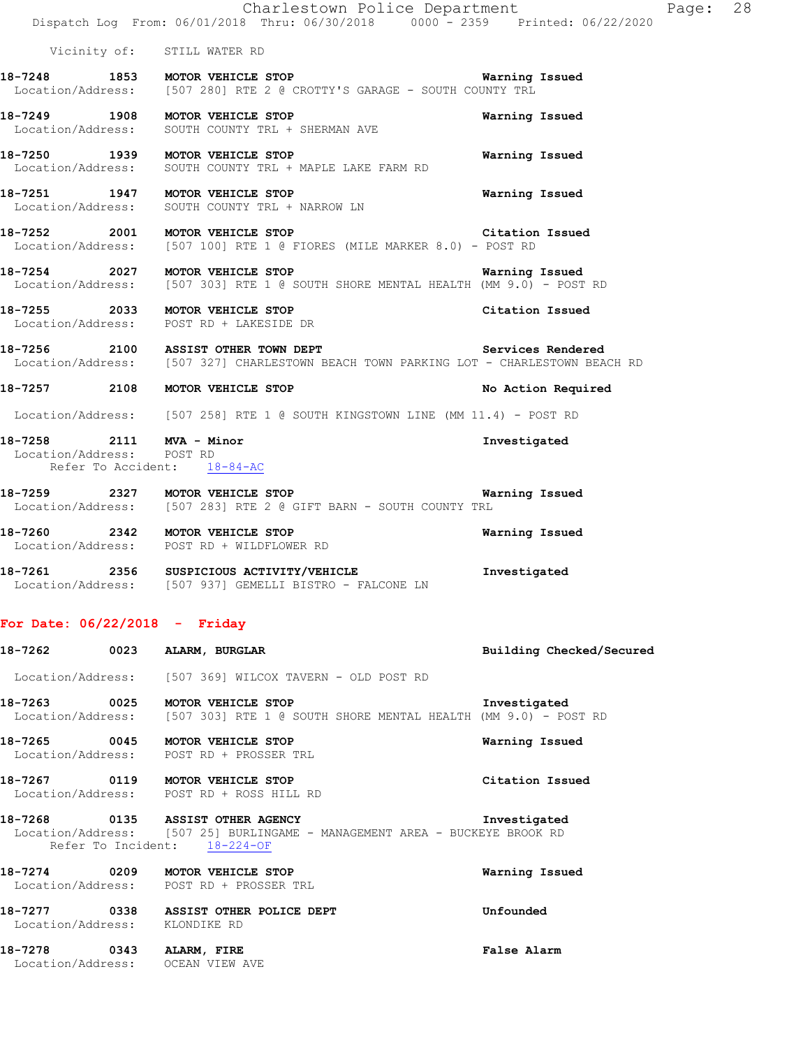|                                 |      | Charlestown Police Department<br>Dispatch Log From: 06/01/2018 Thru: 06/30/2018 0000 - 2359 Printed: 06/22/2020                                |                          | Page: 28 |
|---------------------------------|------|------------------------------------------------------------------------------------------------------------------------------------------------|--------------------------|----------|
|                                 |      | Vicinity of: STILL WATER RD                                                                                                                    |                          |          |
|                                 |      | 18-7248 1853 MOTOR VEHICLE STOP<br>Location/Address: [507 280] RTE 2 @ CROTTY'S GARAGE - SOUTH COUNTY TRL                                      | Warning Issued           |          |
|                                 |      | 18-7249 1908 MOTOR VEHICLE STOP<br>Location/Address: SOUTH COUNTY TRL + SHERMAN AVE                                                            | Warning Issued           |          |
|                                 |      | 18-7250 1939 MOTOR VEHICLE STOP<br>Location/Address: SOUTH COUNTY TRL + MAPLE LAKE FARM RD                                                     | Warning Issued           |          |
|                                 |      | 18-7251 1947 MOTOR VEHICLE STOP<br>Location/Address: SOUTH COUNTY TRL + NARROW LN                                                              | Warning Issued           |          |
|                                 |      | 18-7252 2001 MOTOR VEHICLE STOP<br>Location/Address: [507 100] RTE 1 @ FIORES (MILE MARKER 8.0) - POST RD                                      | Citation Issued          |          |
|                                 |      | 18-7254 2027 MOTOR VEHICLE STOP 1991 18 Warning Issued<br>Location/Address: [507 303] RTE 1 @ SOUTH SHORE MENTAL HEALTH (MM 9.0) - POST RD     |                          |          |
|                                 |      | 18-7255 2033 MOTOR VEHICLE STOP<br>Location/Address: POST RD + LAKESIDE DR                                                                     | Citation Issued          |          |
|                                 |      | 18-7256 2100 ASSIST OTHER TOWN DEPT Services Rendered<br>Location/Address: [507 327] CHARLESTOWN BEACH TOWN PARKING LOT - CHARLESTOWN BEACH RD |                          |          |
|                                 |      | 18-7257 2108 MOTOR VEHICLE STOP                                                                                                                | No Action Required       |          |
|                                 |      | Location/Address: [507 258] RTE 1 @ SOUTH KINGSTOWN LINE (MM 11.4) - POST RD                                                                   |                          |          |
| Location/Address: POST RD       |      | 18-7258 2111 MVA - Minor<br>Refer To Accident: 18-84-AC                                                                                        | Investigated             |          |
|                                 |      | 18-7259 2327 MOTOR VEHICLE STOP CONTROL TO Marning Issued<br>Location/Address: [507 283] RTE 2 @ GIFT BARN - SOUTH COUNTY TRL                  |                          |          |
|                                 |      | 18-7260 2342 MOTOR VEHICLE STOP<br>Location/Address: POST RD + WILDFLOWER RD                                                                   | Warning Issued           |          |
|                                 |      | 18-7261 2356 SUSPICIOUS ACTIVITY/VEHICLE<br>Location/Address: [507 937] GEMELLI BISTRO - FALCONE LN                                            | Investigated             |          |
| For Date: $06/22/2018$ - Friday |      |                                                                                                                                                |                          |          |
| 18-7262                         | 0023 | ALARM, BURGLAR                                                                                                                                 | Building Checked/Secured |          |
| Location/Address:               |      | [507 369] WILCOX TAVERN - OLD POST RD                                                                                                          |                          |          |
| 18-7263<br>Location/Address:    | 0025 | MOTOR VEHICLE STOP<br>[507 303] RTE 1 @ SOUTH SHORE MENTAL HEALTH (MM 9.0) - POST RD                                                           | Investigated             |          |
| 18-7265<br>Location/Address:    | 0045 | MOTOR VEHICLE STOP<br>POST RD + PROSSER TRL                                                                                                    | Warning Issued           |          |
| 18-7267                         | 0119 | MOTOR VEHICLE STOP<br>Location/Address: POST RD + ROSS HILL RD                                                                                 | Citation Issued          |          |
| 18-7268                         | 0135 | ASSIST OTHER AGENCY                                                                                                                            | Investigated             |          |

 Location/Address: [507 25] BURLINGAME - MANAGEMENT AREA - BUCKEYE BROOK RD Refer To Incident:  $18-224-OF$ 

**18-7274 0209 MOTOR VEHICLE STOP Warning Issued**  Location/Address: POST RD + PROSSER TRL **18-7277 0338 ASSIST OTHER POLICE DEPT Unfounded** 

Location/Address: KLONDIKE RD

**18-7278 0343 ALARM, FIRE False Alarm**  Location/Address: OCEAN VIEW AVE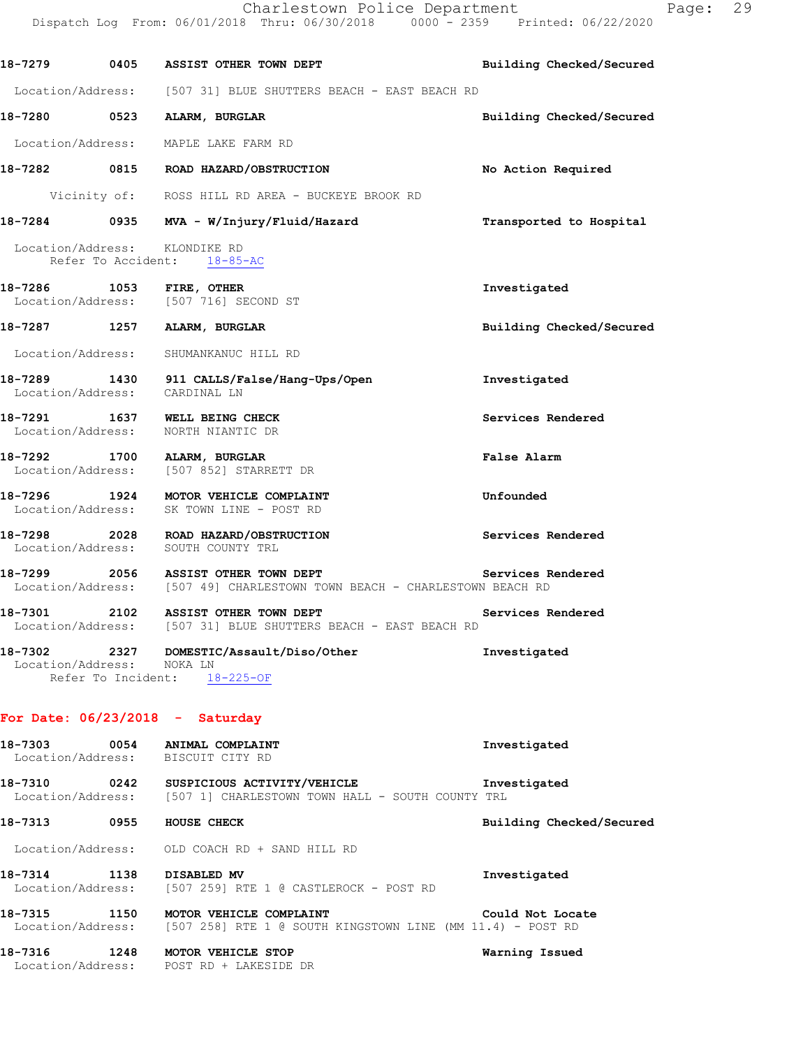|                           | 18-7279 0405 ASSIST OTHER TOWN DEPT                                                                                     | Building Checked/Secured |
|---------------------------|-------------------------------------------------------------------------------------------------------------------------|--------------------------|
|                           | Location/Address: [507 31] BLUE SHUTTERS BEACH - EAST BEACH RD                                                          |                          |
|                           | 18-7280 0523 ALARM, BURGLAR                                                                                             | Building Checked/Secured |
|                           | Location/Address: MAPLE LAKE FARM RD                                                                                    |                          |
|                           | 18-7282 0815 ROAD HAZARD/OBSTRUCTION                                                                                    | No Action Required       |
|                           | Vicinity of: ROSS HILL RD AREA - BUCKEYE BROOK RD                                                                       |                          |
|                           | 18-7284 0935 MVA - W/Injury/Fluid/Hazard <b>18-7284 18-7284</b> to Hospital                                             |                          |
|                           | Location/Address: KLONDIKE RD<br>Refer To Accident: 18-85-AC                                                            |                          |
|                           | 18-7286 1053 FIRE, OTHER<br>Location/Address: [507 716] SECOND ST                                                       | Investigated             |
|                           | 18-7287 1257 ALARM, BURGLAR                                                                                             | Building Checked/Secured |
|                           | Location/Address: SHUMANKANUC HILL RD                                                                                   |                          |
|                           | 18-7289 1430 911 CALLS/False/Hang-Ups/Open Investigated<br>Location/Address: CARDINAL LN                                |                          |
|                           | 18-7291 1637 WELL BEING CHECK<br>Location/Address: NORTH NIANTIC DR                                                     | Services Rendered        |
|                           | 18-7292 1700 ALARM, BURGLAR<br>Location/Address: [507 852] STARRETT DR                                                  | False Alarm              |
|                           | 18-7296 1924 MOTOR VEHICLE COMPLAINT<br>Location/Address: SK TOWN LINE - POST RD                                        | Unfounded                |
|                           | 18-7298 2028 ROAD HAZARD/OBSTRUCTION<br>Location/Address: SOUTH COUNTY TRL                                              | Services Rendered        |
|                           | 18-7299 2056 ASSIST OTHER TOWN DEPT<br>Location/Address: [507 49] CHARLESTOWN TOWN BEACH - CHARLESTOWN BEACH RD         | Services Rendered        |
|                           | 18-7301 2102 ASSIST OTHER TOWN DEPT SERVICES Rendered<br>Location/Address: [507 31] BLUE SHUTTERS BEACH - EAST BEACH RD |                          |
| Location/Address: NOKA LN | Refer To Incident: 18-225-OF                                                                                            |                          |
|                           | For Date: $06/23/2018$ - Saturday                                                                                       |                          |
| 18-7303                   | 0054 ANIMAL COMPLAINT<br>Location/Address: BISCUIT CITY RD                                                              | Investigated             |
|                           | 18-7310 0242 SUSPICIOUS ACTIVITY/VEHICLE 18-7310 DOGATION/Address: [507 1] CHARLESTOWN TOWN HALL - SOUTH COUNTY TRL     | Investigated             |
|                           | 18-7313 0955 HOUSE CHECK                                                                                                | Building Checked/Secured |
|                           | Location/Address: OLD COACH RD + SAND HILL RD                                                                           |                          |
|                           | 18-7314 1138 DISABLED MV<br>Location/Address: [507 259] RTE 1 @ CASTLEROCK - POST RD                                    | Investigated             |
|                           | 18-7315 1150 MOTOR VEHICLE COMPLAINT<br>Location/Address: [507 258] RTE 1 @ SOUTH KINGSTOWN LINE (MM 11.4) - POST RD    | Could Not Locate         |
| 18–7316                   | 1248 MOTOR VEHICLE STOP<br>Location/Address: POST RD + LAKESIDE DR                                                      | Warning Issued           |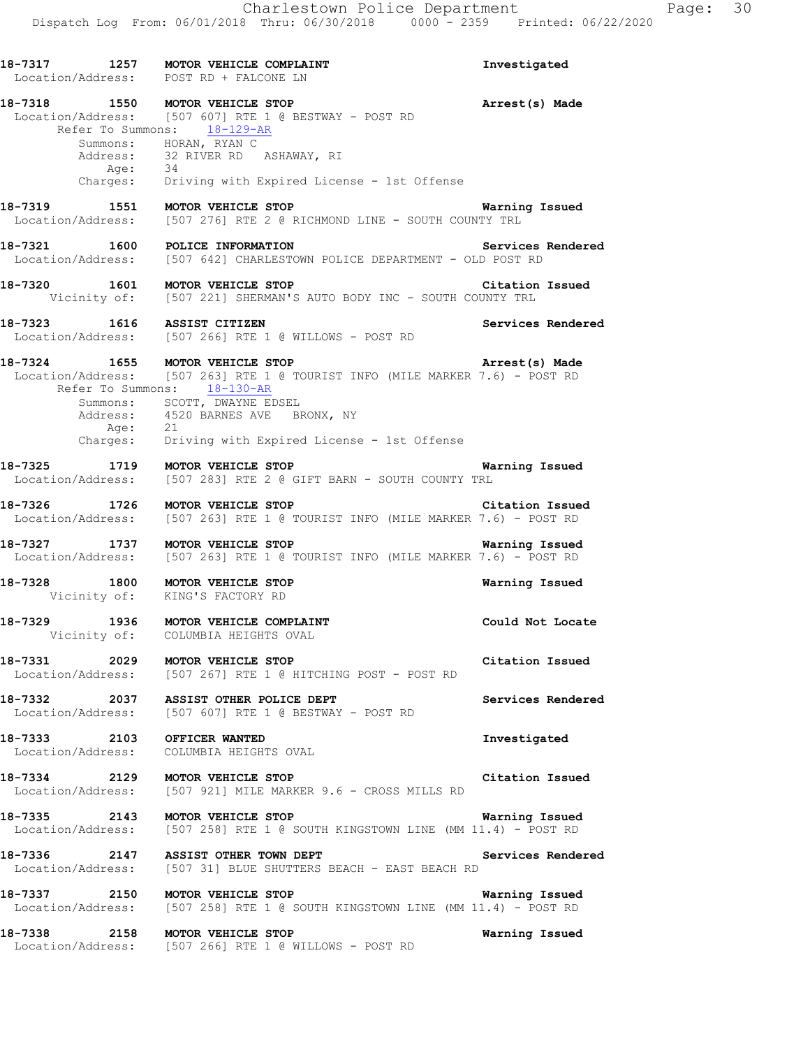18-7317 1257 MOTOR VEHICLE COMPLAINT **18-7317** Investigated Location/Address: POST RD + FALCONE LN **18-7318 1550 MOTOR VEHICLE STOP Arrest(s) Made**  Location/Address: [507 607] RTE 1 @ BESTWAY - POST RD Refer To Summons: 18-129-AR Summons: HORAN, RYAN C Address: 32 RIVER RD ASHAWAY, RI<br>Age: 34 Age:<br>:Charges Driving with Expired License - 1st Offense **18-7319 1551 MOTOR VEHICLE STOP Warning Issued**  Location/Address: [507 276] RTE 2 @ RICHMOND LINE - SOUTH COUNTY TRL **18-7321 1600 POLICE INFORMATION Services Rendered**  Location/Address: [507 642] CHARLESTOWN POLICE DEPARTMENT - OLD POST RD **18-7320 1601 MOTOR VEHICLE STOP Citation Issued**  Vicinity of: [507 221] SHERMAN'S AUTO BODY INC - SOUTH COUNTY TRL **18-7323 1616 ASSIST CITIZEN Services Rendered**  Location/Address: [507 266] RTE 1 @ WILLOWS - POST RD **18-7324 1655 MOTOR VEHICLE STOP Arrest(s) Made**  Location/Address: [507 263] RTE 1 @ TOURIST INFO (MILE MARKER 7.6) - POST RD Refer To Summons: 18-130-AR Summons: SCOTT, DWAYNE EDSEL Address: 4520 BARNES AVE BRONX, NY Age: 21 Charges: Driving with Expired License - 1st Offense **18-7325 1719 MOTOR VEHICLE STOP WARE MARGE WARN OF A SERVIT PARN - SOUTH COUNTY TRL**<br>Location/Address: [507 283] RTE 2 @ GIFT BARN - SOUTH COUNTY TRL [507 283] RTE 2 @ GIFT BARN - SOUTH COUNTY TRL **18-7326 1726 MOTOR VEHICLE STOP Citation Issued**  Location/Address: [507 263] RTE 1 @ TOURIST INFO (MILE MARKER 7.6) - POST RD **18-7327 1737 MOTOR VEHICLE STOP Warning Issued**  Location/Address: [507 263] RTE 1 @ TOURIST INFO (MILE MARKER 7.6) - POST RD **18-7328 1800 MOTOR VEHICLE STOP Warning Issued**  Vicinity of: KING'S FACTORY RD 18-7329 1936 MOTOR VEHICLE COMPLAINT **18-7329** Could Not Locate Vicinity of: COLUMBIA HEIGHTS OVAL **18-7331 2029 MOTOR VEHICLE STOP Citation Issued**  Location/Address: [507 267] RTE 1 @ HITCHING POST - POST RD 18-7332 2037 ASSIST OTHER POLICE DEPT **Services Rendered**  Location/Address: [507 607] RTE 1 @ BESTWAY - POST RD **18-7333 2103 OFFICER WANTED Investigated**  Location/Address: COLUMBIA HEIGHTS OVAL **18-7334 2129 MOTOR VEHICLE STOP Citation Issued**  Location/Address: [507 921] MILE MARKER 9.6 - CROSS MILLS RD **18-7335 2143 MOTOR VEHICLE STOP Warning Issued**  Location/Address: [507 258] RTE 1 @ SOUTH KINGSTOWN LINE (MM 11.4) - POST RD 18-7336 2147 ASSIST OTHER TOWN DEPT **18-7336** Services Rendered Location/Address: [507 31] BLUE SHUTTERS BEACH - EAST BEACH RD **18-7337 2150 MOTOR VEHICLE STOP WARE WARE WEEN CONSUMENT OF STOP**<br>Location/Address: [507 258] RTE 1 @ SOUTH KINGSTOWN LINE (MM 11.4) - POST RD [507 258] RTE 1 @ SOUTH KINGSTOWN LINE (MM 11.4) - POST RD **18-7338 2158 MOTOR VEHICLE STOP Warning Issued**  Location/Address: [507 266] RTE 1 @ WILLOWS - POST RD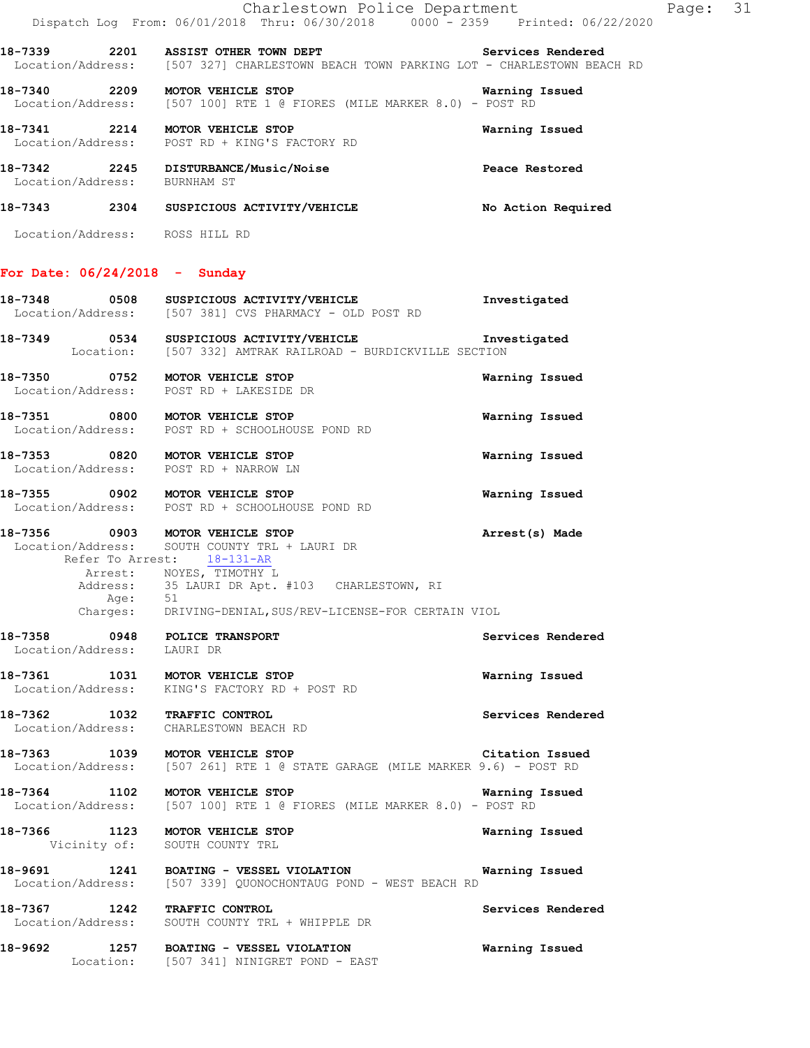|                                                                            | Charlestown Police Department<br>Dispatch Log From: 06/01/2018 Thru: 06/30/2018 0000 - 2359 Printed: 06/22/2020                                                                              |                       |
|----------------------------------------------------------------------------|----------------------------------------------------------------------------------------------------------------------------------------------------------------------------------------------|-----------------------|
|                                                                            | 18-7339 2201 ASSIST OTHER TOWN DEPT Services Rendered<br>Location/Address: [507 327] CHARLESTOWN BEACH TOWN PARKING LOT - CHARLESTOWN BEACH RD                                               |                       |
|                                                                            | 18-7340 2209 MOTOR VEHICLE STOP<br>Location/Address: [507 100] RTE 1 @ FIORES (MILE MARKER 8.0) - POST RD                                                                                    | <b>Warning Issued</b> |
|                                                                            | 18-7341 2214 MOTOR VEHICLE STOP<br>Location/Address: POST RD + KING'S FACTORY RD                                                                                                             | Warning Issued        |
|                                                                            | 18-7342 2245 DISTURBANCE/Music/Noise<br>Location/Address: BURNHAM ST                                                                                                                         | Peace Restored        |
|                                                                            | 18-7343 2304 SUSPICIOUS ACTIVITY/VEHICLE                                                                                                                                                     | No Action Required    |
| Location/Address: ROSS HILL RD                                             |                                                                                                                                                                                              |                       |
| For Date: $06/24/2018$ - Sunday                                            |                                                                                                                                                                                              |                       |
|                                                                            | 18-7348 0508 SUSPICIOUS ACTIVITY/VEHICLE<br>Location/Address: [507 381] CVS PHARMACY - OLD POST RD                                                                                           | Investigated          |
|                                                                            | 18-7349 0534 SUSPICIOUS ACTIVITY/VEHICLE <b>Investigated Investigated</b> Location: [507 332] AMTRAK RAILROAD - BURDICKVILLE SECTION                                                         |                       |
| 18-7350 0752 MOTOR VEHICLE STOP<br>Location/Address: POST RD + LAKESIDE DR |                                                                                                                                                                                              | Warning Issued        |
| 18-7351 0800 MOTOR VEHICLE STOP                                            | Location/Address: POST RD + SCHOOLHOUSE POND RD                                                                                                                                              | Warning Issued        |
| 18-7353 0820 MOTOR VEHICLE STOP<br>Location/Address: POST RD + NARROW LN   |                                                                                                                                                                                              | Warning Issued        |
| 18-7355 0902 MOTOR VEHICLE STOP                                            | Location/Address: POST RD + SCHOOLHOUSE POND RD                                                                                                                                              | Warning Issued        |
| Age: 51                                                                    | 18-7356 0903 MOTOR VEHICLE STOP<br>Location/Address: SOUTH COUNTY TRL + LAURI DR<br>Refer To Arrest: 18-131-AR<br>Arrest: NOYES, TIMOTHY L<br>Address: 35 LAURI DR Apt. #103 CHARLESTOWN, RI | Arrest(s) Made        |

### Charges: DRIVING-DENIAL,SUS/REV-LICENSE-FOR CERTAIN VIOL

| 18-7358<br>Location/Address: | 0948 | POLICE TRANSPORT<br>LAURI DR                                                            | Services Rendered |
|------------------------------|------|-----------------------------------------------------------------------------------------|-------------------|
| 18-7361<br>Location/Address: | 1031 | <b>MOTOR VEHICLE STOP</b><br>KING'S FACTORY RD + POST RD                                | Warning Issued    |
| 18-7362<br>Location/Address: | 1032 | TRAFFIC CONTROL<br>CHARLESTOWN BEACH RD                                                 | Services Rendered |
| 18-7363<br>Location/Address: | 1039 | <b>MOTOR VEHICLE STOP</b><br>[507 261] RTE 1 @ STATE GARAGE (MILE MARKER 9.6) - POST RD | Citation Issued   |
| 18-7364<br>$T = 5 + 1 - 12$  | 1102 | <b>MOTOR VEHICLE STOP</b>                                                               | Warning Issued    |

# Location/Address: [507 100] RTE 1 @ FIORES (MILE MARKER 8.0) - POST RD **18-7366 1123 MOTOR VEHICLE STOP Warning Issued**

 Vicinity of: SOUTH COUNTY TRL **18-9691 1241 BOATING - VESSEL VIOLATION Warning Issued**  Location/Address: [507 339] QUONOCHONTAUG POND - WEST BEACH RD

**18-7367 1242 TRAFFIC CONTROL Services Rendered**  Location/Address: SOUTH COUNTY TRL + WHIPPLE DR

**18-9692 1257 BOATING - VESSEL VIOLATION Warning Issued**  Location: [507 341] NINIGRET POND - EAST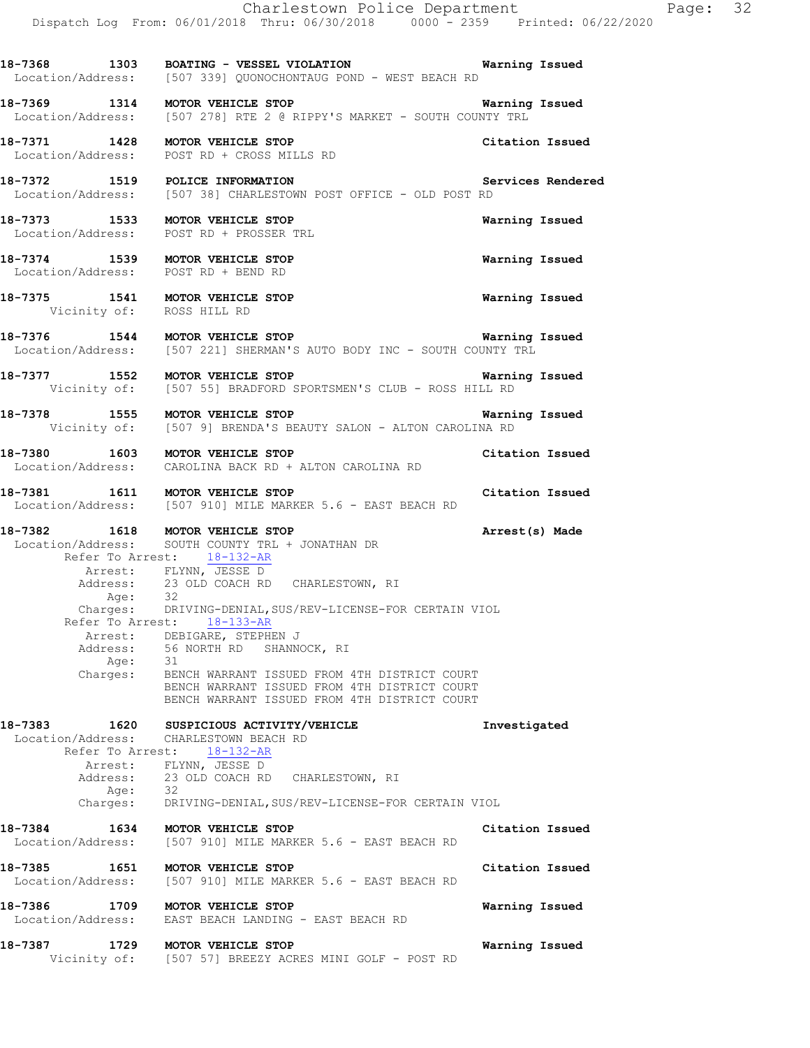|                            | Charlestown Police Department<br>Dispatch Log From: 06/01/2018 Thru: 06/30/2018 0000 <sup>-</sup> 2359 Printed: 06/22/2020                                                                                                                                                                                                                                                                                                                                                                                            |                       |
|----------------------------|-----------------------------------------------------------------------------------------------------------------------------------------------------------------------------------------------------------------------------------------------------------------------------------------------------------------------------------------------------------------------------------------------------------------------------------------------------------------------------------------------------------------------|-----------------------|
|                            | 18-7368 1303 BOATING - VESSEL VIOLATION Warning Issued<br>Location/Address: [507 339] QUONOCHONTAUG POND - WEST BEACH RD                                                                                                                                                                                                                                                                                                                                                                                              |                       |
|                            | 18-7369 1314 MOTOR VEHICLE STOP Warning I<br>Location/Address: [507 278] RTE 2 @ RIPPY'S MARKET - SOUTH COUNTY TRL                                                                                                                                                                                                                                                                                                                                                                                                    | <b>Warning Issued</b> |
|                            | 18-7371 1428 MOTOR VEHICLE STOP<br>Location/Address: POST RD + CROSS MILLS RD                                                                                                                                                                                                                                                                                                                                                                                                                                         | Citation Issued       |
|                            | 18-7372 1519 POLICE INFORMATION<br>Location/Address: [507 38] CHARLESTOWN POST OFFICE - OLD POST RD                                                                                                                                                                                                                                                                                                                                                                                                                   | Services Rendered     |
|                            | 18-7373 1533 MOTOR VEHICLE STOP<br>Location/Address: POST RD + PROSSER TRL                                                                                                                                                                                                                                                                                                                                                                                                                                            | Warning Issued        |
|                            | 18-7374 1539 MOTOR VEHICLE STOP<br>Location/Address: POST RD + BEND RD                                                                                                                                                                                                                                                                                                                                                                                                                                                | Warning Issued        |
|                            | 18-7375 1541 MOTOR VEHICLE STOP<br>Vicinity of: ROSS HILL RD                                                                                                                                                                                                                                                                                                                                                                                                                                                          | Warning Issued        |
|                            | 18-7376 1544 MOTOR VEHICLE STOP Warning<br>Location/Address: [507 221] SHERMAN'S AUTO BODY INC - SOUTH COUNTY TRL                                                                                                                                                                                                                                                                                                                                                                                                     | Warning Issued        |
|                            | 18-7377 1552 MOTOR VEHICLE STOP Warning Issued<br>Vicinity of: [507 55] BRADFORD SPORTSMEN'S CLUB - ROSS HILL RD                                                                                                                                                                                                                                                                                                                                                                                                      |                       |
|                            | 18-7378 1555 MOTOR VEHICLE STOP Warni<br>Vicinity of: [507 9] BRENDA'S BEAUTY SALON - ALTON CAROLINA RD                                                                                                                                                                                                                                                                                                                                                                                                               | Warning Issued        |
|                            | 18-7380 1603 MOTOR VEHICLE STOP<br>Location/Address: CAROLINA BACK RD + ALTON CAROLINA RD                                                                                                                                                                                                                                                                                                                                                                                                                             | Citation Issued       |
|                            | 18-7381 1611 MOTOR VEHICLE STOP<br>Location/Address: [507 910] MILE MARKER 5.6 - EAST BEACH RD                                                                                                                                                                                                                                                                                                                                                                                                                        | Citation Issued       |
| Age:<br>Refer To Arrest:   | 18-7382 1618 MOTOR VEHICLE STOP<br>Location/Address: SOUTH COUNTY TRL + JONATHAN DR<br>Refer To Arrest: 18-132-AR<br>Arrest: FLYNN, JESSE D<br>Address: 23 OLD COACH RD CHARLESTOWN, RI<br>32<br>Charges: DRIVING-DENIAL, SUS/REV-LICENSE-FOR CERTAIN VIOL<br>$18 - 133 - AR$<br>Arrest: DEBIGARE, STEPHEN J<br>Address: 56 NORTH RD SHANNOCK, RI<br>Age: 31<br>Charges: BENCH WARRANT ISSUED FROM 4TH DISTRICT COURT<br>BENCH WARRANT ISSUED FROM 4TH DISTRICT COURT<br>BENCH WARRANT ISSUED FROM 4TH DISTRICT COURT | Arrest(s) Made        |
| 1620<br>18-7383<br>Age: 32 | SUSPICIOUS ACTIVITY/VEHICLE<br>Location/Address: CHARLESTOWN BEACH RD<br>Refer To Arrest: 18-132-AR<br>Arrest: FLYNN, JESSE D<br>Address: 23 OLD COACH RD CHARLESTOWN, RI                                                                                                                                                                                                                                                                                                                                             | Investigated          |
|                            | Charges: DRIVING-DENIAL, SUS/REV-LICENSE-FOR CERTAIN VIOL<br>18-7384 1634 MOTOR VEHICLE STOP                                                                                                                                                                                                                                                                                                                                                                                                                          | Citation Issued       |
| 18-7385                    | Location/Address: [507 910] MILE MARKER 5.6 - EAST BEACH RD<br>1651 MOTOR VEHICLE STOP                                                                                                                                                                                                                                                                                                                                                                                                                                | Citation Issued       |
|                            | Location/Address: [507 910] MILE MARKER 5.6 - EAST BEACH RD                                                                                                                                                                                                                                                                                                                                                                                                                                                           |                       |
| 18-7386                    | 8-7386 1709 MOTOR VEHICLE STOP<br>Location/Address: EAST BEACH LANDING - EAST BEACH RD                                                                                                                                                                                                                                                                                                                                                                                                                                | Warning Issued        |
| 18-7387                    | 1729 MOTOR VEHICLE STOP                                                                                                                                                                                                                                                                                                                                                                                                                                                                                               | Warning Issued        |

Vicinity of: [507 57] BREEZY ACRES MINI GOLF - POST RD

Page: 32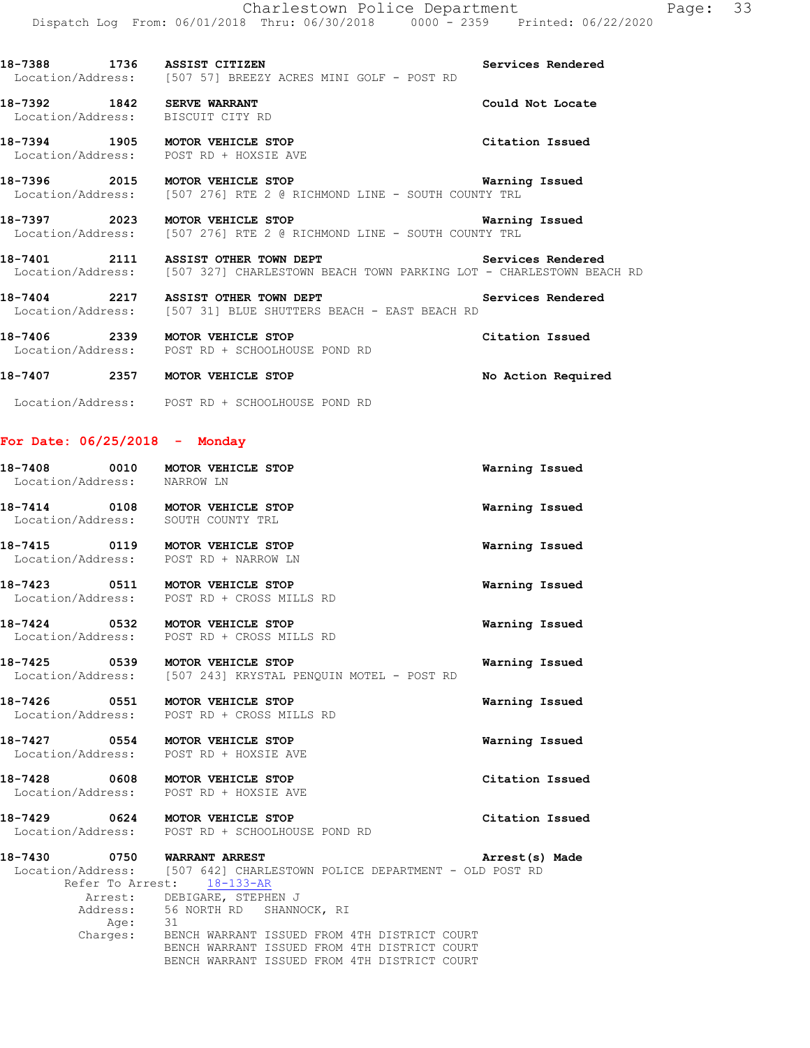**18-7392 1842 SERVE WARRANT Could Not Locate**  Location/Address: BISCUIT CITY RD

**18-7394 1905 MOTOR VEHICLE STOP Citation Issued**  Location/Address: POST RD + HOXSIE AVE

**18-7396 2015 MOTOR VEHICLE STOP Warning Issued**  Location/Address: [507 276] RTE 2 @ RICHMOND LINE - SOUTH COUNTY TRL

**18-7397 2023 MOTOR VEHICLE STOP Warning Issued**  Location/Address: [507 276] RTE 2 @ RICHMOND LINE - SOUTH COUNTY TRL

**18-7401 2111 ASSIST OTHER TOWN DEPT Services Rendered**  Location/Address: [507 327] CHARLESTOWN BEACH TOWN PARKING LOT - CHARLESTOWN BEACH RD

18-7404 2217 ASSIST OTHER TOWN DEPT **18-7404** Services Rendered Location/Address: [507 31] BLUE SHUTTERS BEACH - EAST BEACH RD

**18-7406 2339 MOTOR VEHICLE STOP Citation Issued**  Location/Address: POST RD + SCHOOLHOUSE POND RD

**18-7407 2357 MOTOR VEHICLE STOP No Action Required** 

Location/Address: POST RD + SCHOOLHOUSE POND RD

### **For Date: 06/25/2018 - Monday**

| 18-7408 0010 MOTOR VEHICLE STOP<br>Location/Address: NARROW LN            |                                                                               | Warning Issued  |
|---------------------------------------------------------------------------|-------------------------------------------------------------------------------|-----------------|
| 18-7414 0108 MOTOR VEHICLE STOP<br>Location/Address: SOUTH COUNTY TRL     |                                                                               | Warning Issued  |
| Location/Address: POST RD + NARROW LN                                     |                                                                               | Warning Issued  |
| 18-7423 0511 MOTOR VEHICLE STOP                                           | Location/Address: POST RD + CROSS MILLS RD                                    | Warning Issued  |
| 18-7424 0532 MOTOR VEHICLE STOP                                           | Location/Address: POST RD + CROSS MILLS RD                                    | Warning Issued  |
| 18-7425 0539 MOTOR VEHICLE STOP                                           | Location/Address: [507 243] KRYSTAL PENQUIN MOTEL - POST RD                   | Warning Issued  |
|                                                                           | 18-7426 0551 MOTOR VEHICLE STOP<br>Location/Address: POST RD + CROSS MILLS RD | Warning Issued  |
| 18-7427 0554 MOTOR VEHICLE STOP<br>Location/Address: POST RD + HOXSIE AVE |                                                                               | Warning Issued  |
| 18-7428 0608 MOTOR VEHICLE STOP<br>Location/Address: POST RD + HOXSIE AVE |                                                                               | Citation Issued |
| 18-7429 0624 MOTOR VEHICLE STOP                                           | Location/Address: POST RD + SCHOOLHOUSE POND RD                               | Citation Issued |
| 18-7430 0750 WARRANT ARREST                                               |                                                                               | Arrest(s) Made  |
|                                                                           | Location/Address: [507 642] CHARLESTOWN POLICE DEPARTMENT - OLD POST RD       |                 |
|                                                                           | Refer To Arrest: 18-133-AR                                                    |                 |
|                                                                           | Arrest: DEBIGARE, STEPHEN J                                                   |                 |
|                                                                           | Address: 56 NORTH RD SHANNOCK, RI                                             |                 |
| Age: 31                                                                   |                                                                               |                 |
|                                                                           | Charges: BENCH WARRANT ISSUED FROM 4TH DISTRICT COURT                         |                 |
|                                                                           | BENCH WARRANT ISSUED FROM 4TH DISTRICT COURT                                  |                 |
|                                                                           | BENCH WARRANT ISSUED FROM 4TH DISTRICT COURT                                  |                 |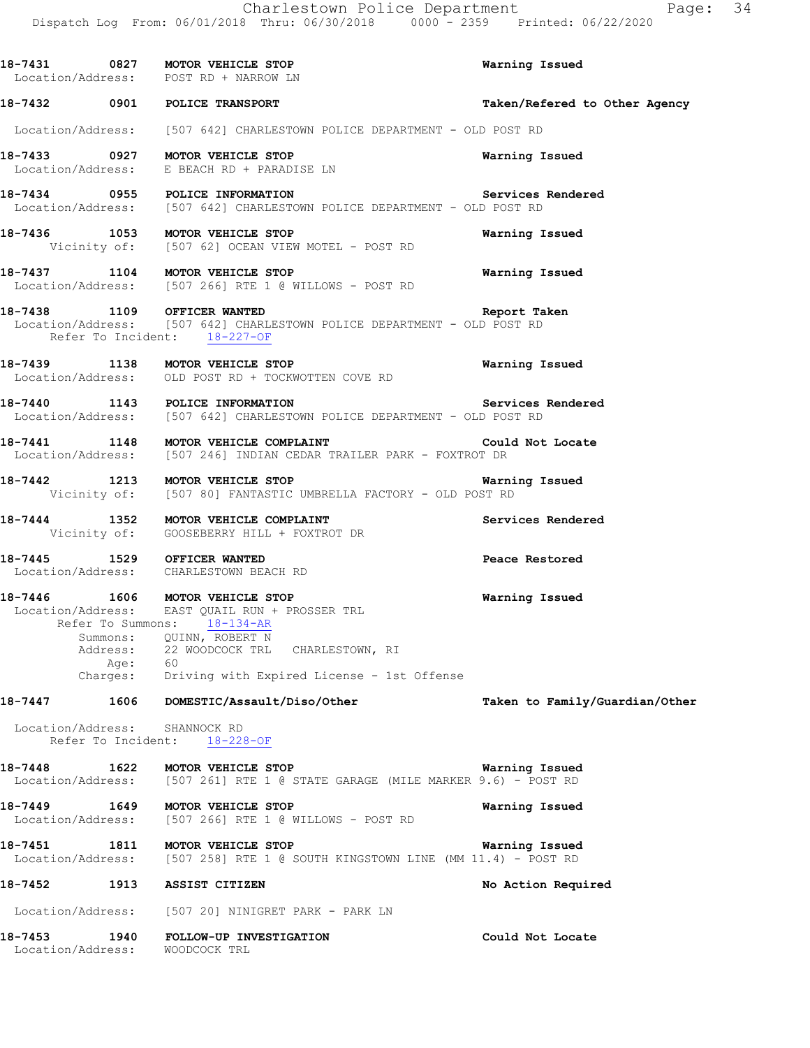**18-7431 0827 MOTOR VEHICLE STOP Warning Issued**  Location/Address: POST RD + NARROW LN **18-7432 0901 POLICE TRANSPORT Taken/Refered to Other Agency** Location/Address: [507 642] CHARLESTOWN POLICE DEPARTMENT - OLD POST RD **18-7433 0927 MOTOR VEHICLE STOP Warning Issued**  Location/Address: E BEACH RD + PARADISE LN **18-7434** 0955 POLICE INFORMATION Services Rendered Location/Address: [507 642] CHARLESTOWN POLICE DEPARTMENT - OLD POST RD [507 642] CHARLESTOWN POLICE DEPARTMENT - OLD POST RD **18-7436 1053 MOTOR VEHICLE STOP Warning Issued**  Vicinity of: [507 62] OCEAN VIEW MOTEL - POST RD **18-7437 1104 MOTOR VEHICLE STOP Warning Issued**  Location/Address: [507 266] RTE 1 @ WILLOWS - POST RD **18-7438 1109 OFFICER WANTED Report Taken**  Location/Address: [507 642] CHARLESTOWN POLICE DEPARTMENT - OLD POST RD Refer To Incident: 18-227-OF **18-7439 1138 MOTOR VEHICLE STOP Warning Issued**  Location/Address: OLD POST RD + TOCKWOTTEN COVE RD **18-7440 1143 POLICE INFORMATION Services Rendered**  Location/Address: [507 642] CHARLESTOWN POLICE DEPARTMENT - OLD POST RD 18-7441 1148 MOTOR VEHICLE COMPLAINT **18-7441** Could Not Locate Location/Address: [507 246] INDIAN CEDAR TRAILER PARK - FOXTROT DR **18-7442 1213 MOTOR VEHICLE STOP Warning Issued**  Vicinity of: [507 80] FANTASTIC UMBRELLA FACTORY - OLD POST RD **18-7444 1352 MOTOR VEHICLE COMPLAINT Services Rendered**  Vicinity of: GOOSEBERRY HILL + FOXTROT DR **18-7445 1529 OFFICER WANTED Peace Restored**  Location/Address: CHARLESTOWN BEACH RD **18-7446 1606 MOTOR VEHICLE STOP Warning Issued**  Location/Address: EAST QUAIL RUN + PROSSER TRL Refer To Summons: 18-134-AR Summons: QUINN, ROBERT N<br>Address: 22 WOODCOCK TRL 22 WOODCOCK TRL CHARLESTOWN, RI Age:<br>:Charges Driving with Expired License - 1st Offense **18-7447 1606 DOMESTIC/Assault/Diso/Other Taken to Family/Guardian/Other** Location/Address: SHANNOCK RD Refer To Incident: 18-228-OF **18-7448 1622 MOTOR VEHICLE STOP Warning Issued**  Location/Address: [507 261] RTE 1 @ STATE GARAGE (MILE MARKER 9.6) - POST RD **18-7449 1649 MOTOR VEHICLE STOP Warning Issued**  Location/Address: [507 266] RTE 1 @ WILLOWS - POST RD **18-7451 1811 MOTOR VEHICLE STOP Warning Issued**  Location/Address: [507 258] RTE 1 @ SOUTH KINGSTOWN LINE (MM 11.4) - POST RD **18-7452 1913 ASSIST CITIZEN No Action Required**  Location/Address: [507 20] NINIGRET PARK - PARK LN **18-7453 1940 FOLLOW-UP INVESTIGATION Could Not Locate**  Location/Address: WOODCOCK TRL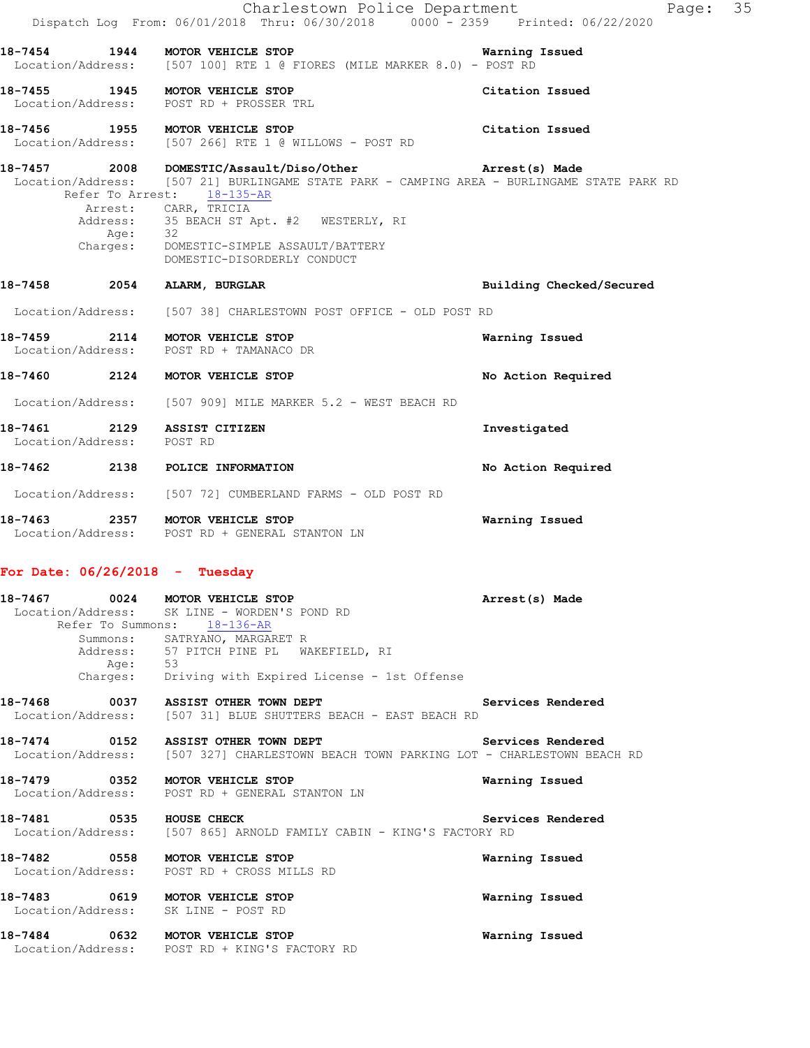|                                                          |                     | Charlestown Police Department<br>Dispatch Log From: 06/01/2018 Thru: 06/30/2018 0000 <sup>-</sup> 2359 Printed: 06/22/2020                                                                                                                                                                                                                           | Page:                    | 35 |
|----------------------------------------------------------|---------------------|------------------------------------------------------------------------------------------------------------------------------------------------------------------------------------------------------------------------------------------------------------------------------------------------------------------------------------------------------|--------------------------|----|
|                                                          |                     | 18-7454 1944 MOTOR VEHICLE STOP <b>18-7454</b> Warning Issued<br>Location/Address: [507 100] RTE 1 @ FIORES (MILE MARKER 8.0) - POST RD                                                                                                                                                                                                              |                          |    |
|                                                          |                     | 18-7455 1945 MOTOR VEHICLE STOP<br>Location/Address: POST RD + PROSSER TRL                                                                                                                                                                                                                                                                           | Citation Issued          |    |
|                                                          |                     | 18-7456 1955 MOTOR VEHICLE STOP<br>Location/Address: [507 266] RTE 1 @ WILLOWS - POST RD                                                                                                                                                                                                                                                             | Citation Issued          |    |
|                                                          | Age: 32<br>Charges: | 18-7457 2008 DOMESTIC/Assault/Diso/Other <b>https://water/2008</b> Arrest(s) Made<br>Location/Address: [507 21] BURLINGAME STATE PARK - CAMPING AREA - BURLINGAME STATE PARK RD<br>Refer To Arrest: 18-135-AR<br>Arrest: CARR, TRICIA<br>Address: 35 BEACH ST Apt. #2 WESTERLY, RI<br>DOMESTIC-SIMPLE ASSAULT/BATTERY<br>DOMESTIC-DISORDERLY CONDUCT |                          |    |
| 18-7458 2054                                             |                     | ALARM, BURGLAR                                                                                                                                                                                                                                                                                                                                       | Building Checked/Secured |    |
|                                                          |                     | Location/Address: [507 38] CHARLESTOWN POST OFFICE - OLD POST RD                                                                                                                                                                                                                                                                                     |                          |    |
|                                                          |                     | 18-7459 2114 MOTOR VEHICLE STOP<br>Location/Address: POST RD + TAMANACO DR                                                                                                                                                                                                                                                                           | Warning Issued           |    |
|                                                          |                     | 18-7460 2124 MOTOR VEHICLE STOP                                                                                                                                                                                                                                                                                                                      | No Action Required       |    |
|                                                          |                     | Location/Address: [507 909] MILE MARKER 5.2 - WEST BEACH RD                                                                                                                                                                                                                                                                                          |                          |    |
| 18-7461 2129 ASSIST CITIZEN<br>Location/Address: POST RD |                     |                                                                                                                                                                                                                                                                                                                                                      | Investigated             |    |
|                                                          |                     | 18-7462 2138 POLICE INFORMATION                                                                                                                                                                                                                                                                                                                      | No Action Required       |    |
|                                                          |                     | Location/Address: [507 72] CUMBERLAND FARMS - OLD POST RD                                                                                                                                                                                                                                                                                            |                          |    |
|                                                          |                     | 18-7463 2357 MOTOR VEHICLE STOP<br>Location/Address: POST RD + GENERAL STANTON LN                                                                                                                                                                                                                                                                    | Warning Issued           |    |

# **For Date: 06/26/2018 - Tuesday**

|                          |         | 18-7467 0024 MOTOR VEHICLE STOP<br>Location/Address: SK LINE - WORDEN'S POND RD       | Arrest(s) Made    |  |
|--------------------------|---------|---------------------------------------------------------------------------------------|-------------------|--|
|                          |         | Refer To Summons: 18-136-AR                                                           |                   |  |
|                          |         | Summons: SATRYANO, MARGARET R                                                         |                   |  |
|                          |         | Address: 57 PITCH PINE PL WAKEFIELD, RI                                               |                   |  |
|                          | Age: 53 |                                                                                       |                   |  |
|                          |         | Charges: Driving with Expired License - 1st Offense                                   |                   |  |
|                          |         | 18-7468 0037 ASSIST OTHER TOWN DEPT Services Rendered                                 |                   |  |
|                          |         | Location/Address: [507 31] BLUE SHUTTERS BEACH - EAST BEACH RD                        |                   |  |
|                          |         | 18-7474 0152 ASSIST OTHER TOWN DEPT Services Rendered                                 |                   |  |
|                          |         | Location/Address: [507 327] CHARLESTOWN BEACH TOWN PARKING LOT - CHARLESTOWN BEACH RD |                   |  |
|                          |         | 18-7479 0352 MOTOR VEHICLE STOP                                                       | Warning Issued    |  |
|                          |         | Location/Address: POST RD + GENERAL STANTON LN                                        |                   |  |
| 18-7481 0535 HOUSE CHECK |         |                                                                                       | Services Rendered |  |
|                          |         | Location/Address: [507 865] ARNOLD FAMILY CABIN - KING'S FACTORY RD                   |                   |  |
|                          |         | 18-7482 0558 MOTOR VEHICLE STOP                                                       | Warning Issued    |  |
|                          |         | Location/Address: POST RD + CROSS MILLS RD                                            |                   |  |
|                          |         | 18-7483 0619 MOTOR VEHICLE STOP                                                       | Warning Issued    |  |
|                          |         | Location/Address: SK LINE - POST RD                                                   |                   |  |
|                          |         | 18-7484 0632 MOTOR VEHICLE STOP                                                       | Warning Issued    |  |
|                          |         | Location/Address: POST RD + KING'S FACTORY RD                                         |                   |  |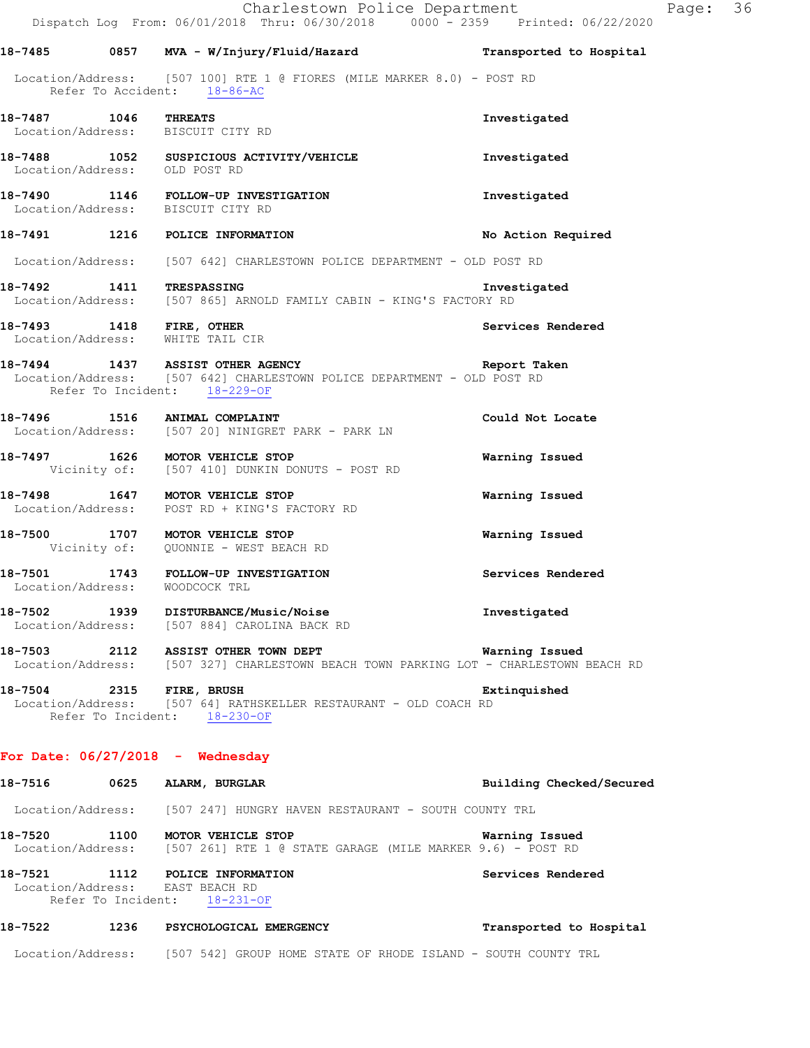|  | Charlestown Police Department<br>Dispatch Log From: 06/01/2018 Thru: 06/30/2018 0000 <sup>-</sup> 2359 Printed: 06/22/2020                  |                          | Page: 36 |  |
|--|---------------------------------------------------------------------------------------------------------------------------------------------|--------------------------|----------|--|
|  | 18-7485 		 0857 		 MVA - W/Injury/Fluid/Hazard 		 Transported to Hospital                                                                   |                          |          |  |
|  | Location/Address: [507 100] RTE 1 @ FIORES (MILE MARKER 8.0) - POST RD<br>Refer To Accident: 18-86-AC                                       |                          |          |  |
|  | 18-7487 1046 THREATS<br>Location/Address: BISCUIT CITY RD                                                                                   | Investigated             |          |  |
|  | 18-7488 1052 SUSPICIOUS ACTIVITY/VEHICLE<br>Location/Address: OLD POST RD                                                                   | Investigated             |          |  |
|  | 18-7490 1146 FOLLOW-UP INVESTIGATION<br>Location/Address: BISCUIT CITY RD                                                                   | Investigated             |          |  |
|  | 18-7491 1216 POLICE INFORMATION                                                                                                             | No Action Required       |          |  |
|  | Location/Address: [507 642] CHARLESTOWN POLICE DEPARTMENT - OLD POST RD                                                                     |                          |          |  |
|  | 18-7492 1411 TRESPASSING Inves<br>Location/Address: [507 865] ARNOLD FAMILY CABIN - KING'S FACTORY RD<br>Investigated                       |                          |          |  |
|  | 18-7493 1418 FIRE, OTHER<br>Location/Address: WHITE TAIL CIR                                                                                | Services Rendered        |          |  |
|  | 18-7494 1437 ASSIST OTHER AGENCY<br>Location/Address: [507 642] CHARLESTOWN POLICE DEPARTMENT - OLD POST RD<br>Refer To Incident: 18-229-OF | Report Taken             |          |  |
|  | 18-7496 1516 ANIMAL COMPLAINT<br>Location/Address: [507 20] NINIGRET PARK - PARK LN                                                         | Could Not Locate         |          |  |
|  | 18-7497 1626 MOTOR VEHICLE STOP<br>Vicinity of: [507 410] DUNKIN DONUTS - POST RD                                                           | Warning Issued           |          |  |
|  | 18-7498 1647 MOTOR VEHICLE STOP<br>Location/Address: POST RD + KING'S FACTORY RD                                                            | Warning Issued           |          |  |
|  | 18-7500 1707 MOTOR VEHICLE STOP<br>Vicinity of: QUONNIE - WEST BEACH RD                                                                     | Warning Issued           |          |  |
|  | 18-7501 1743 FOLLOW-UP INVESTIGATION<br>Location/Address: WOODCOCK TRL                                                                      | Services Rendered        |          |  |
|  | 18-7502   1939   DISTURBANCE/Music/Noise<br>Location/Address: [507-884] CAROLINA BACK RD                                                    | Investigated             |          |  |
|  | 18-7503 2112 ASSIST OTHER TOWN DEPT<br>Location/Address: [507 327] CHARLESTOWN BEACH TOWN PARKING LOT - CHARLESTOWN BEACH RD                | Warning Issued           |          |  |
|  | 18-7504 2315 FIRE, BRUSH<br>Location/Address: [507 64] RATHSKELLER RESTAURANT - OLD COACH RD<br>Refer To Incident: 18-230-OF                | Extinquished             |          |  |
|  | For Date: $06/27/2018$ - Wednesday                                                                                                          |                          |          |  |
|  | 18-7516 0625 ALARM, BURGLAR                                                                                                                 | Building Checked/Secured |          |  |
|  | Location/Address: [507 247] HUNGRY HAVEN RESTAURANT - SOUTH COUNTY TRL                                                                      |                          |          |  |
|  | 18-7520 1100 MOTOR VEHICLE STOP<br>Location/Address: [507 261] RTE 1 @ STATE GARAGE (MILE MARKER 9.6) - POST RD                             | Warning Issued           |          |  |
|  | 18-7521 1112 POLICE INFORMATION<br>Location/Address: EAST BEACH RD<br>Refer To Incident: 18-231-OF                                          | Services Rendered        |          |  |
|  |                                                                                                                                             | Transported to Hospital  |          |  |
|  | Location/Address: [507 542] GROUP HOME STATE OF RHODE ISLAND - SOUTH COUNTY TRL                                                             |                          |          |  |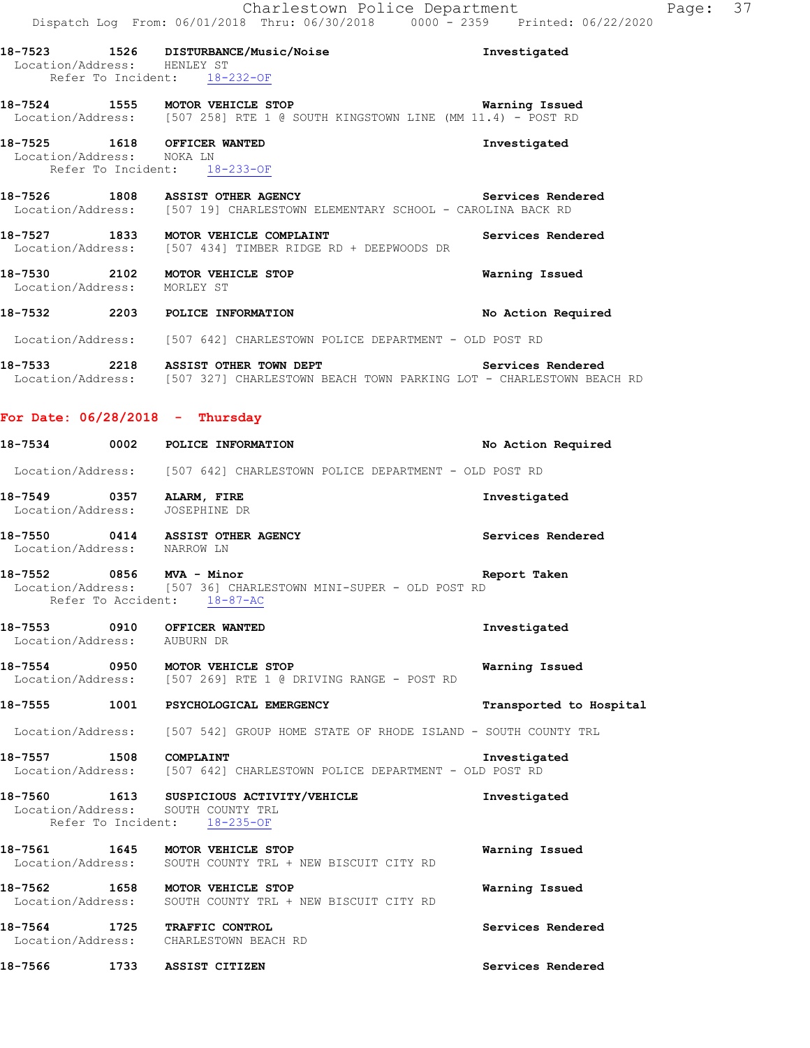|                             | Charlestown Police Department<br>Dispatch Log From: 06/01/2018 Thru: 06/30/2018 0000 <sup>-</sup> 2359 Printed: 06/22/2020                     |                         | Page: 37 |  |
|-----------------------------|------------------------------------------------------------------------------------------------------------------------------------------------|-------------------------|----------|--|
| Location/Address: HENLEY ST | 18-7523 1526 DISTURBANCE/Music/Noise<br>Refer To Incident: 18-232-OF                                                                           | Investigated            |          |  |
|                             | 18-7524 1555 MOTOR VEHICLE STOP Warning Issued<br>Location/Address: [507 258] RTE 1 @ SOUTH KINGSTOWN LINE (MM 11.4) - POST RD                 |                         |          |  |
| Location/Address: NOKA LN   | 18-7525 1618 OFFICER WANTED<br>Refer To Incident: 18-233-OF                                                                                    | Investigated            |          |  |
|                             | 18-7526 1808 ASSIST OTHER AGENCY <b>Services Rendered</b><br>Location/Address: [507 19] CHARLESTOWN ELEMENTARY SCHOOL - CAROLINA BACK RD       |                         |          |  |
|                             | 18-7527 1833 MOTOR VEHICLE COMPLAINT<br>Location/Address: [507 434] TIMBER RIDGE RD + DEEPWOODS DR                                             | Services Rendered       |          |  |
| Location/Address: MORLEY ST | 18-7530 2102 MOTOR VEHICLE STOP                                                                                                                | Warning Issued          |          |  |
|                             | 18-7532 2203 POLICE INFORMATION                                                                                                                | No Action Required      |          |  |
|                             | Location/Address: [507 642] CHARLESTOWN POLICE DEPARTMENT - OLD POST RD                                                                        |                         |          |  |
|                             | 18-7533 2218 ASSIST OTHER TOWN DEPT Services Rendered<br>Location/Address: [507 327] CHARLESTOWN BEACH TOWN PARKING LOT - CHARLESTOWN BEACH RD |                         |          |  |
|                             | For Date: $06/28/2018$ - Thursday                                                                                                              |                         |          |  |
|                             | 18-7534 0002 POLICE INFORMATION                                                                                                                | No Action Required      |          |  |
|                             | Location/Address: [507 642] CHARLESTOWN POLICE DEPARTMENT - OLD POST RD                                                                        |                         |          |  |
|                             | 18-7549 0357 ALARM, FIRE<br>Location/Address: JOSEPHINE DR                                                                                     | Investigated            |          |  |
| Location/Address: NARROW LN | 18-7550 0414 ASSIST OTHER AGENCY                                                                                                               | Services Rendered       |          |  |
|                             | $18-7552$ 0856 MVA - Minor<br>Location/Address: [507 36] CHARLESTOWN MINI-SUPER - OLD POST RD<br>Refer To Accident: 18-87-AC                   | Report Taken            |          |  |
| Location/Address: AUBURN DR | 18-7553 0910 OFFICER WANTED                                                                                                                    | Investigated            |          |  |
|                             | 18-7554 0950 MOTOR VEHICLE STOP<br>Location/Address: [507 269] RTE 1 @ DRIVING RANGE - POST RD                                                 | Warning Issued          |          |  |
|                             | 18-7555 1001 PSYCHOLOGICAL EMERGENCY                                                                                                           | Transported to Hospital |          |  |
|                             | Location/Address: [507 542] GROUP HOME STATE OF RHODE ISLAND - SOUTH COUNTY TRL                                                                |                         |          |  |
|                             | 18-7557 1508 COMPLAINT<br>Location/Address: [507 642] CHARLESTOWN POLICE DEPARTMENT - OLD POST RD                                              | Investigated            |          |  |
|                             | 18-7560 1613 SUSPICIOUS ACTIVITY/VEHICLE<br>Location/Address: SOUTH COUNTY TRL<br>Refer To Incident: 18-235-OF                                 | Investigated            |          |  |
|                             | 18-7561 1645 MOTOR VEHICLE STOP<br>Location/Address: SOUTH COUNTY TRL + NEW BISCUIT CITY RD                                                    | Warning Issued          |          |  |
| Location/Address:           | 18-7562 1658 MOTOR VEHICLE STOP<br>SOUTH COUNTY TRL + NEW BISCUIT CITY RD                                                                      | Warning Issued          |          |  |
|                             | 18-7564 1725 TRAFFIC CONTROL<br>Location/Address: CHARLESTOWN BEACH RD                                                                         | Services Rendered       |          |  |
|                             | 18-7566 1733 ASSIST CITIZEN                                                                                                                    | Services Rendered       |          |  |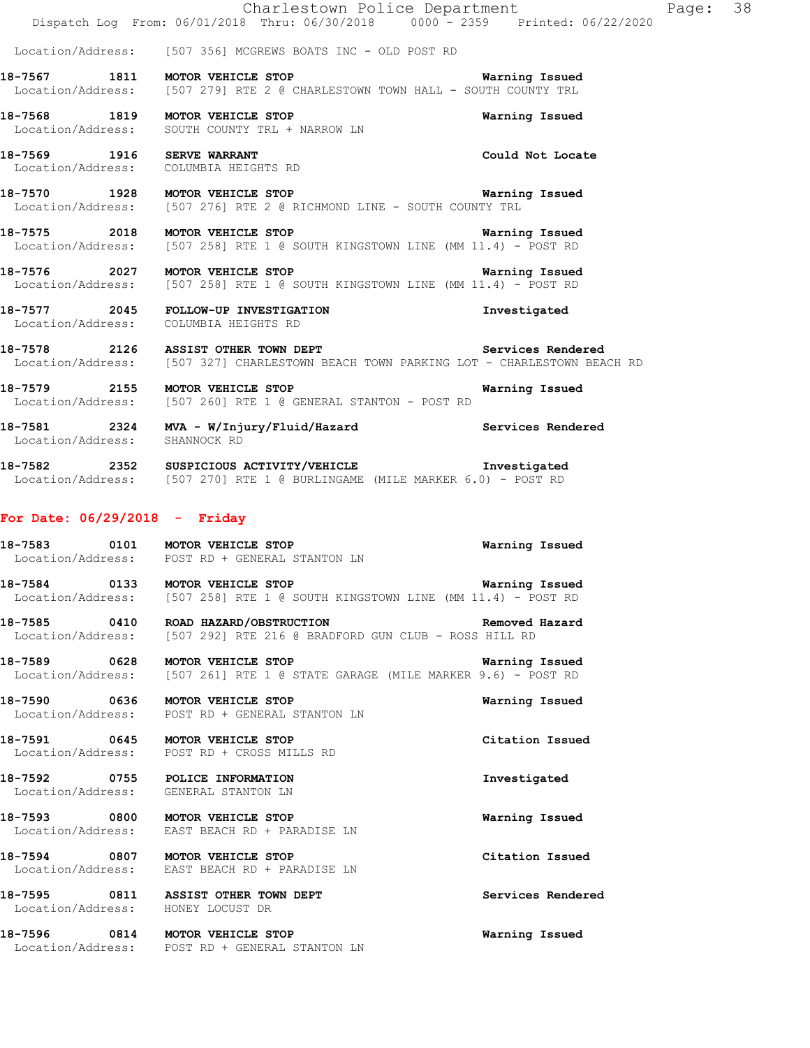|                               | Charlestown Police Department<br>Dispatch Log From: 06/01/2018 Thru: 06/30/2018 0000 - 2359 Printed: 06/22/2020                                |                       | Page: 38 |  |
|-------------------------------|------------------------------------------------------------------------------------------------------------------------------------------------|-----------------------|----------|--|
|                               | Location/Address: [507 356] MCGREWS BOATS INC - OLD POST RD                                                                                    |                       |          |  |
|                               | 18-7567 1811 MOTOR VEHICLE STOP<br>Location/Address: [507 279] RTE 2 @ CHARLESTOWN TOWN HALL - SOUTH COUNTY TRL                                | <b>Warning Issued</b> |          |  |
|                               | 18-7568 1819 MOTOR VEHICLE STOP<br>Location/Address: SOUTH COUNTY TRL + NARROW LN                                                              | Warning Issued        |          |  |
|                               | 18-7569 1916 SERVE WARRANT<br>Location/Address: COLUMBIA HEIGHTS RD                                                                            | Could Not Locate      |          |  |
|                               | 18-7570 1928 MOTOR VEHICLE STOP <b>18-7570 Warning Issued</b><br>Location/Address: [507 276] RTE 2 @ RICHMOND LINE - SOUTH COUNTY TRL          |                       |          |  |
|                               | 18-7575 2018 MOTOR VEHICLE STOP<br>Location/Address: [507 258] RTE 1 @ SOUTH KINGSTOWN LINE (MM 11.4) - POST RD                                | Warning Issued        |          |  |
|                               | 18-7576 2027 MOTOR VEHICLE STOP Warning Issued<br>Location/Address: [507 258] RTE 1 @ SOUTH KINGSTOWN LINE (MM 11.4) - POST RD                 |                       |          |  |
|                               | 18-7577 2045 FOLLOW-UP INVESTIGATION<br>Location/Address: COLUMBIA HEIGHTS RD                                                                  | Investigated          |          |  |
|                               | 18-7578 2126 ASSIST OTHER TOWN DEPT Services Rendered<br>Location/Address: [507 327] CHARLESTOWN BEACH TOWN PARKING LOT - CHARLESTOWN BEACH RD |                       |          |  |
|                               | 18-7579 2155 MOTOR VEHICLE STOP<br>Location/Address: [507 260] RTE 1 @ GENERAL STANTON - POST RD                                               | Warning Issued        |          |  |
| Location/Address: SHANNOCK RD | 18-7581 2324 MVA - W/Injury/Fluid/Hazard Services Rendered                                                                                     |                       |          |  |
|                               | 18-7582 2352 SUSPICIOUS ACTIVITY/VEHICLE Threstigated<br>Location/Address: [507 270] RTE 1 @ BURLINGAME (MILE MARKER 6.0) - POST RD            |                       |          |  |
|                               | For Date: $06/29/2018$ - Friday                                                                                                                |                       |          |  |
|                               | 18-7583 0101 MOTOR VEHICLE STOP<br>Location/Address: POST RD + GENERAL STANTON LN                                                              | Warning Issued        |          |  |
|                               | 18-7584 0133 MOTOR VEHICLE STOP<br>Location/Address: [507 258] RTE 1 @ SOUTH KINGSTOWN LINE (MM 11.4) - POST RD                                | Warning Issued        |          |  |
|                               | 18-7585 0410 ROAD HAZARD/OBSTRUCTION<br>Location/Address: [507 292] RTE 216 @ BRADFORD GUN CLUB - ROSS HILL RD                                 | Removed Hazard        |          |  |
|                               | 18-7589 0628 MOTOR VEHICLE STOP<br>Location/Address: [507 261] RTE 1 @ STATE GARAGE (MILE MARKER 9.6) - POST RD                                | Warning Issued        |          |  |
|                               | 18-7590 0636 MOTOR VEHICLE STOP<br>Location/Address: POST RD + GENERAL STANTON LN                                                              | Warning Issued        |          |  |
|                               | 18-7591 0645 MOTOR VEHICLE STOP<br>Location/Address: POST RD + CROSS MILLS RD                                                                  | Citation Issued       |          |  |
|                               | 18-7592 0755 POLICE INFORMATION<br>Location/Address: GENERAL STANTON LN                                                                        | Investigated          |          |  |
|                               | 18-7593 0800 MOTOR VEHICLE STOP<br>Location/Address: EAST BEACH RD + PARADISE LN                                                               | Warning Issued        |          |  |
|                               | 18-7594 0807 MOTOR VEHICLE STOP<br>Location/Address: EAST BEACH RD + PARADISE LN                                                               | Citation Issued       |          |  |
|                               | 18-7595 0811 ASSIST OTHER TOWN DEPT<br>Location/Address: HONEY LOCUST DR                                                                       | Services Rendered     |          |  |
|                               | 18-7596 0814 MOTOR VEHICLE STOP<br>Location/Address: POST RD + GENERAL STANTON LN                                                              | Warning Issued        |          |  |
|                               |                                                                                                                                                |                       |          |  |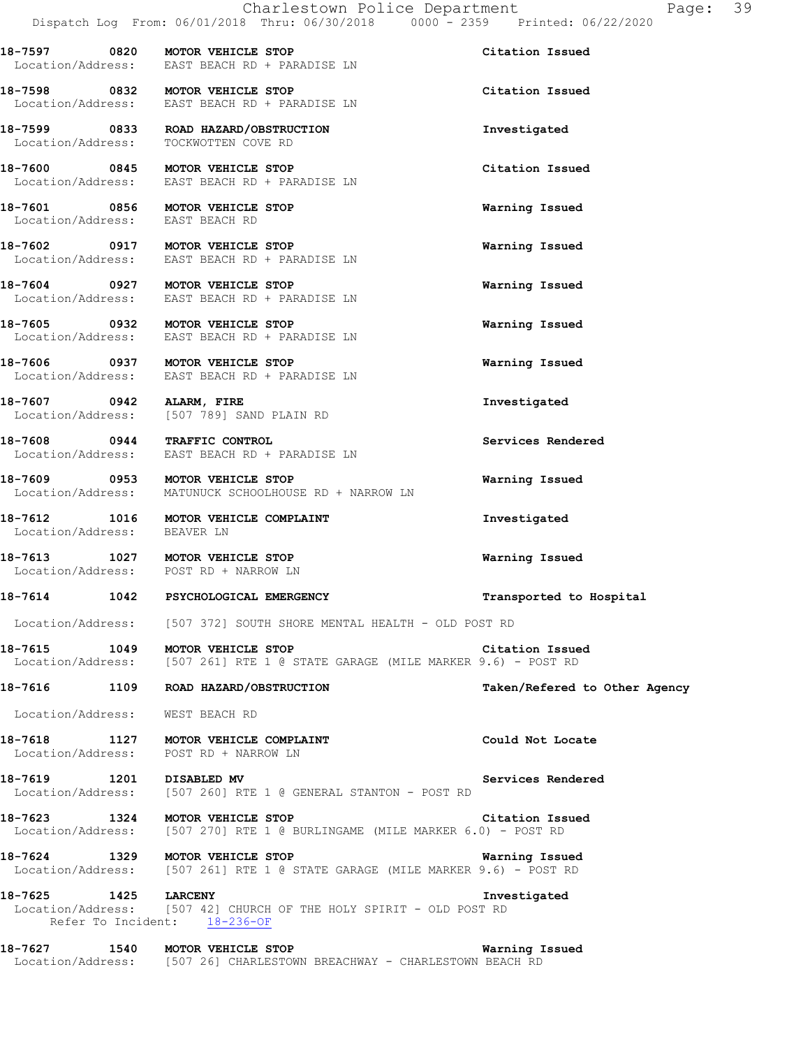**18-7597 0820 MOTOR VEHICLE STOP Citation Issued** 

Location/Address: EAST BEACH RD + PARADISE LN

**18-7598 0832 MOTOR VEHICLE STOP Citation Issued**  Location/Address: EAST BEACH RD + PARADISE LN **18-7599 0833 ROAD HAZARD/OBSTRUCTION Investigated**  Location/Address: TOCKWOTTEN COVE RD **18-7600 0845 MOTOR VEHICLE STOP Citation Issued**  Location/Address: EAST BEACH RD + PARADISE LN **18-7601 0856 MOTOR VEHICLE STOP Warning Issued**  Location/Address: EAST BEACH RD **18-7602 0917 MOTOR VEHICLE STOP Warning Issued**  Location/Address: EAST BEACH RD + PARADISE LN **18-7604 0927 MOTOR VEHICLE STOP Warning Issued**  Location/Address: EAST BEACH RD + PARADISE LN **18-7605 0932 MOTOR VEHICLE STOP Warning Issued**  Location/Address: EAST BEACH RD + PARADISE LN **18-7606 0937 MOTOR VEHICLE STOP Warning Issued**  Location/Address: EAST BEACH RD + PARADISE LN **18-7607 0942 ALARM, FIRE Investigated**  Location/Address: [507 789] SAND PLAIN RD **18-7608 0944 TRAFFIC CONTROL Services Rendered**  Location/Address: EAST BEACH RD + PARADISE LN **18-7609 0953 MOTOR VEHICLE STOP Warning Issued**  Location/Address: MATUNUCK SCHOOLHOUSE RD + NARROW LN **18-7612 1016 MOTOR VEHICLE COMPLAINT Investigated**  Location/Address: BEAVER LN **18-7613 1027 MOTOR VEHICLE STOP Warning Issued**  Location/Address: POST RD + NARROW LN **18-7614 1042 PSYCHOLOGICAL EMERGENCY Transported to Hospital**  Location/Address: [507 372] SOUTH SHORE MENTAL HEALTH - OLD POST RD **18-7615 1049 MOTOR VEHICLE STOP Citation Issued**  Location/Address: [507 261] RTE 1 @ STATE GARAGE (MILE MARKER 9.6) - POST RD **18-7616 1109 ROAD HAZARD/OBSTRUCTION Taken/Refered to Other Agency** Location/Address: WEST BEACH RD 18-7618 1127 MOTOR VEHICLE COMPLAINT **18-7618** Could Not Locate Location/Address: POST RD + NARROW LN **18-7619 1201 DISABLED MV Services Rendered**  Location/Address: [507 260] RTE 1 @ GENERAL STANTON - POST RD **18-7623 1324 MOTOR VEHICLE STOP Citation Issued**  Location/Address: [507 270] RTE 1 @ BURLINGAME (MILE MARKER 6.0) - POST RD **18-7624 1329 MOTOR VEHICLE STOP Warning Issued**<br>Location/Address: [507 261] RTE 1 @ STATE GARAGE (MILE MARKER 9.6) - POST RD [507 261] RTE 1 @ STATE GARAGE (MILE MARKER 9.6) - POST RD **18-7625 1425 LARCENY Investigated 1425 LARCENY Investigated Investigated Instigated Instigated Instigated** [507 42] CHURCH OF THE HOLY SPIRIT - OLD POST RD Refer To Incident: 18-236-OF

**18-7627 1540 MOTOR VEHICLE STOP Warning Issued**  Location/Address: [507 26] CHARLESTOWN BREACHWAY - CHARLESTOWN BEACH RD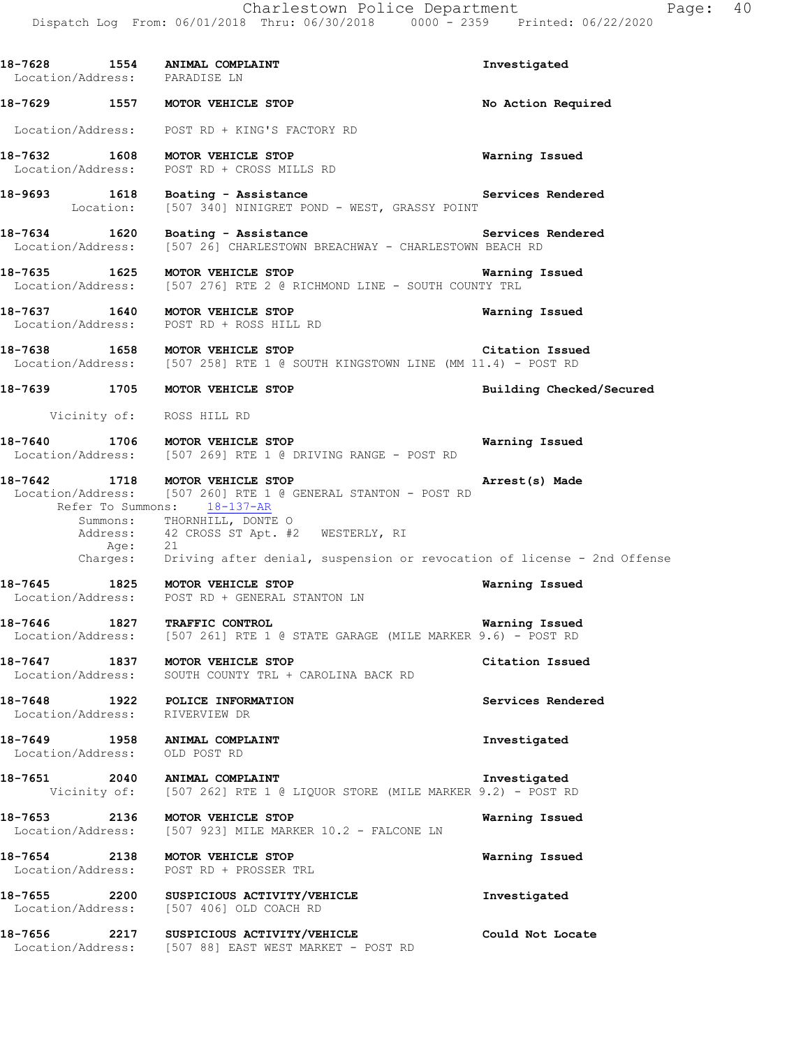**18-7628 1554 ANIMAL COMPLAINT Investigated**  Location/Address: PARADISE LN **18-7629 1557 MOTOR VEHICLE STOP No Action Required**  Location/Address: POST RD + KING'S FACTORY RD **18-7632 1608 MOTOR VEHICLE STOP Warning Issued**  Location/Address: POST RD + CROSS MILLS RD 18-9693 1618 Boating - Assistance **Services Rendered 18-9693** Location: [507 340] NINIGRET POND - WEST, GRASSY POINT [507 340] NINIGRET POND - WEST, GRASSY POINT **18-7634 1620 Boating - Assistance Services Rendered**  Location/Address: [507 26] CHARLESTOWN BREACHWAY - CHARLESTOWN BEACH RD **18-7635 1625 MOTOR VEHICLE STOP Warning Issued**  Location/Address: [507 276] RTE 2 @ RICHMOND LINE - SOUTH COUNTY TRL **18-7637 1640 MOTOR VEHICLE STOP Warning Issued**  Location/Address: POST RD + ROSS HILL RD **18-7638 1658 MOTOR VEHICLE STOP Citation Issued**<br>Location/Address: [507 258] RTE 1 @ SOUTH KINGSTOWN LINE (MM 11.4) - POST RD [507 258] RTE 1 @ SOUTH KINGSTOWN LINE (MM 11.4) - POST RD **18-7639 1705 MOTOR VEHICLE STOP Building Checked/Secured**  Vicinity of: ROSS HILL RD **18-7640 1706 MOTOR VEHICLE STOP Warning Issued**  Location/Address: [507 269] RTE 1 @ DRIVING RANGE - POST RD **18-7642 1718 MOTOR VEHICLE STOP Arrest(s) Made**  Location/Address: [507 260] RTE 1 @ GENERAL STANTON - POST RD Refer To Summons: 18-137-AR Summons: THORNHILL, DONTE O Address: 42 CROSS ST Apt. #2 WESTERLY, RI Age: 21 Charges: Driving after denial, suspension or revocation of license - 2nd Offense **18-7645 1825 MOTOR VEHICLE STOP Warning Issued**  Location/Address: POST RD + GENERAL STANTON LN **18-7646 1827 TRAFFIC CONTROL Warning Issued**  Location/Address: [507 261] RTE 1 @ STATE GARAGE (MILE MARKER 9.6) - POST RD **18-7647 1837 MOTOR VEHICLE STOP Citation Issued**  Location/Address: SOUTH COUNTY TRL + CAROLINA BACK RD **18-7648 1922 POLICE INFORMATION Services Rendered**  Location/Address: RIVERVIEW DR **18-7649 1958 ANIMAL COMPLAINT Investigated**  Location/Address: OLD POST RD **18-7651 2040 ANIMAL COMPLAINT Investigated**  Vicinity of: [507 262] RTE 1 @ LIQUOR STORE (MILE MARKER 9.2) - POST RD **18-7653 2136 MOTOR VEHICLE STOP Warning Issued**  Location/Address: [507 923] MILE MARKER 10.2 - FALCONE LN **18-7654 2138 MOTOR VEHICLE STOP Warning Issued**  Location/Address: POST RD + PROSSER TRL **18-7655 2200 SUSPICIOUS ACTIVITY/VEHICLE 18-7655 2200 SUSPICIOUS ACTIVITY/VEHICLE Investigated Investigated** [507 406] OLD COACH RD **18-7656 2217 SUSPICIOUS ACTIVITY/VEHICLE Could Not Locate** 

Location/Address: [507 88] EAST WEST MARKET - POST RD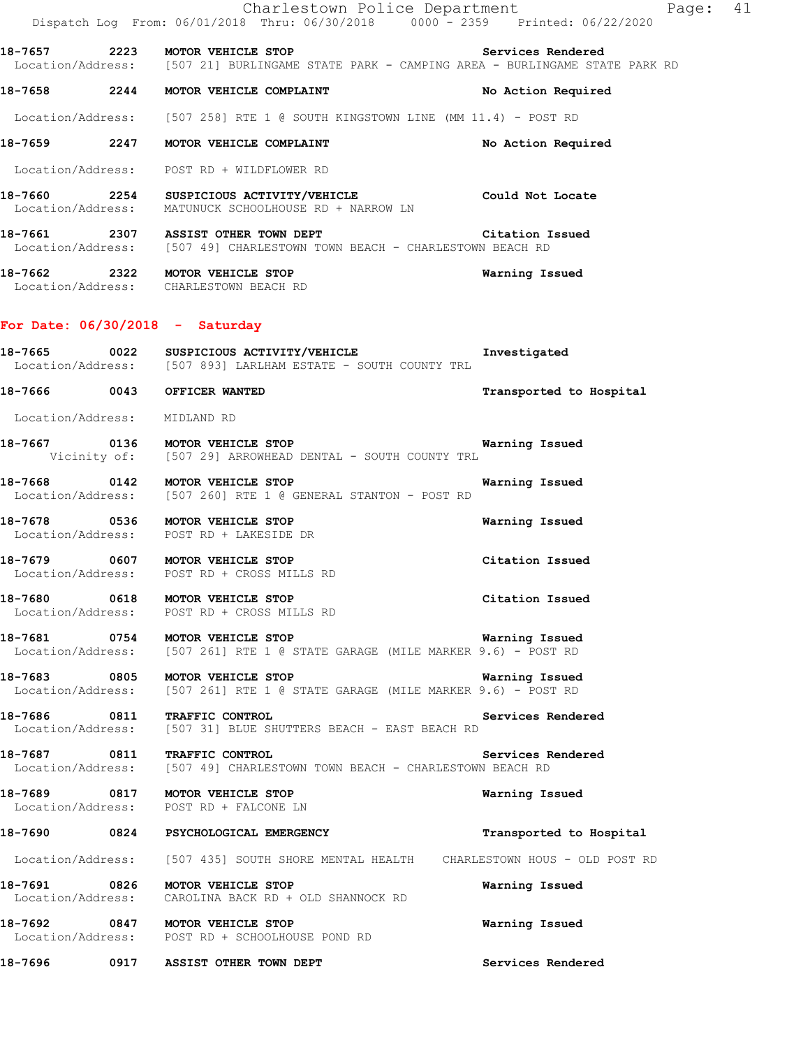|         | Charlestown Police Department<br>Dispatch Log From: 06/01/2018 Thru: 06/30/2018 0000 <sup>-</sup> 2359 Printed: 06/22/2020                                     |                         | Page: 41 |  |
|---------|----------------------------------------------------------------------------------------------------------------------------------------------------------------|-------------------------|----------|--|
|         | 18-7657 2223 MOTOR VEHICLE STOP <b>18-7657</b> Services Rendered<br>Location/Address: [507 21] BURLINGAME STATE PARK - CAMPING AREA - BURLINGAME STATE PARK RD |                         |          |  |
|         | 18-7658 2244 MOTOR VEHICLE COMPLAINT                                                                                                                           | No Action Required      |          |  |
|         | Location/Address: [507 258] RTE 1 @ SOUTH KINGSTOWN LINE (MM 11.4) - POST RD                                                                                   |                         |          |  |
|         | 18-7659 2247 MOTOR VEHICLE COMPLAINT                                                                                                                           | No Action Required      |          |  |
|         | Location/Address: POST RD + WILDFLOWER RD                                                                                                                      |                         |          |  |
|         | 18-7660 2254 SUSPICIOUS ACTIVITY/VEHICLE Could Not Locate<br>Location/Address: MATUNUCK SCHOOLHOUSE RD + NARROW LN                                             |                         |          |  |
|         | 18-7661 2307 ASSIST OTHER TOWN DEPT<br>Location/Address: [507 49] CHARLESTOWN TOWN BEACH - CHARLESTOWN BEACH RD                                                | Citation Issued         |          |  |
|         | 18-7662 2322 MOTOR VEHICLE STOP<br>Location/Address: CHARLESTOWN BEACH RD                                                                                      | Warning Issued          |          |  |
|         | For Date: $06/30/2018$ - Saturday                                                                                                                              |                         |          |  |
|         | 18-7665 0022 SUSPICIOUS ACTIVITY/VEHICLE Threstigated<br>Location/Address: [507 893] LARLHAM ESTATE - SOUTH COUNTY TRL                                         |                         |          |  |
|         | 18-7666 0043 OFFICER WANTED                                                                                                                                    | Transported to Hospital |          |  |
|         | Location/Address: MIDLAND RD                                                                                                                                   |                         |          |  |
|         | 18-7667 0136 MOTOR VEHICLE STOP <b>18-7667</b> Warning Issued<br>Vicinity of: [507 29] ARROWHEAD DENTAL - SOUTH COUNTY TRL                                     |                         |          |  |
|         | 18-7668 0142 MOTOR VEHICLE STOP<br>Location/Address: [507 260] RTE 1 @ GENERAL STANTON - POST RD                                                               | Warning Issued          |          |  |
|         | 18-7678 0536 MOTOR VEHICLE STOP<br>Location/Address: POST RD + LAKESIDE DR                                                                                     | Warning Issued          |          |  |
|         | 18-7679 0607 MOTOR VEHICLE STOP<br>Location/Address: POST RD + CROSS MILLS RD                                                                                  | Citation Issued         |          |  |
|         | 18-7680 0618 MOTOR VEHICLE STOP<br>Location/Address: POST RD + CROSS MILLS RD                                                                                  | Citation Issued         |          |  |
|         | 18-7681 0754 MOTOR VEHICLE STOP<br>Location/Address: [507 261] RTE 1 @ STATE GARAGE (MILE MARKER 9.6) - POST RD                                                | <b>Warning Issued</b>   |          |  |
|         | 18-7683 0805 MOTOR VEHICLE STOP<br>Location/Address: [507 261] RTE 1 @ STATE GARAGE (MILE MARKER 9.6) - POST RD                                                | Warning Issued          |          |  |
|         | 18-7686 0811 TRAFFIC CONTROL<br>Location/Address: [507 31] BLUE SHUTTERS BEACH - EAST BEACH RD                                                                 | Services Rendered       |          |  |
|         | 18-7687 0811 TRAFFIC CONTROL TOWER TOWER TOWER SETVICES R<br>Location/Address: [507 49] CHARLESTOWN TOWN BEACH - CHARLESTOWN BEACH RD                          | Services Rendered       |          |  |
|         | 18-7689 0817 MOTOR VEHICLE STOP<br>Location/Address: POST RD + FALCONE LN                                                                                      | Warning Issued          |          |  |
|         | 18-7690 0824 PSYCHOLOGICAL EMERGENCY                                                                                                                           | Transported to Hospital |          |  |
|         | Location/Address: [507 435] SOUTH SHORE MENTAL HEALTH CHARLESTOWN HOUS - OLD POST RD                                                                           |                         |          |  |
|         | 18-7691 0826 MOTOR VEHICLE STOP<br>Location/Address: CAROLINA BACK RD + OLD SHANNOCK RD                                                                        | Warning Issued          |          |  |
|         | 18-7692 0847 MOTOR VEHICLE STOP<br>Location/Address: POST RD + SCHOOLHOUSE POND RD                                                                             | Warning Issued          |          |  |
| 18-7696 | 0917 ASSIST OTHER TOWN DEPT                                                                                                                                    | Services Rendered       |          |  |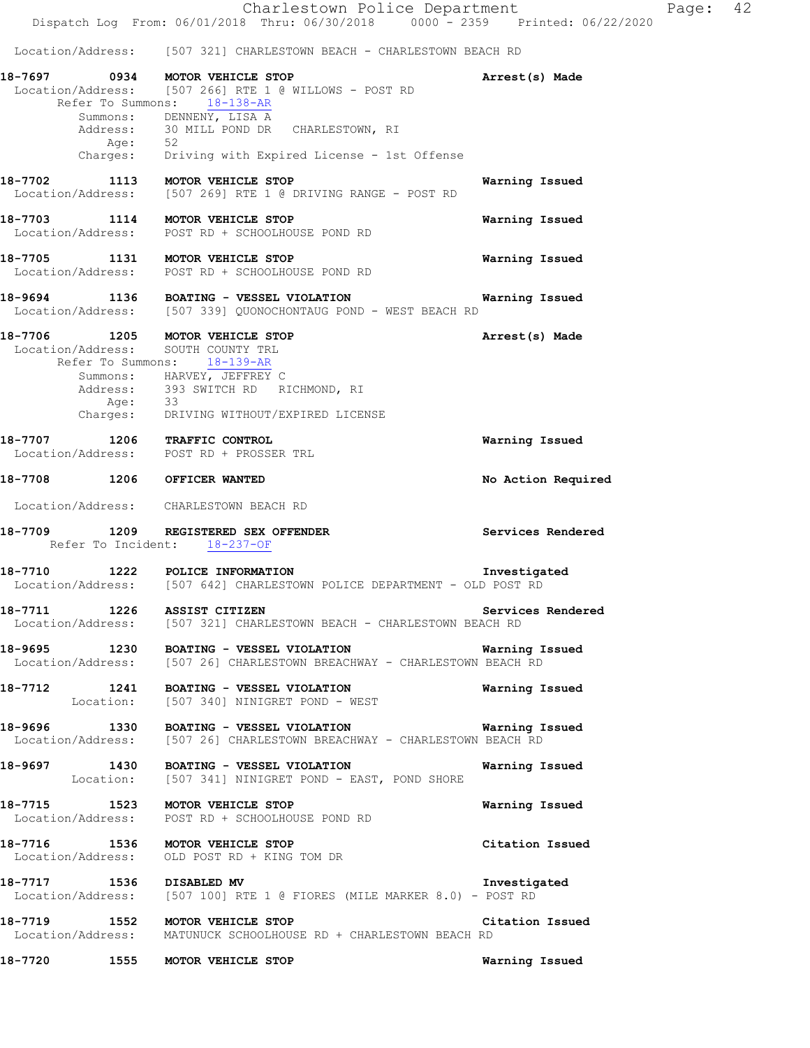Charlestown Police Department Page: 42 Dispatch Log From: 06/01/2018 Thru: 06/30/2018 0000 - 2359 Printed: 06/22/2020 Location/Address: [507 321] CHARLESTOWN BEACH - CHARLESTOWN BEACH RD **18-7697 0934 MOTOR VEHICLE STOP Arrest(s) Made**  Location/Address: [507 266] RTE 1 @ WILLOWS - POST RD Refer To Summons: 18-138-AR Summons: DENNENY, LISA A<br>Address: 30 MILL POND DR 30 MILL POND DR CHARLESTOWN, RI Age: 52 Charges: Driving with Expired License - 1st Offense **18-7702 1113 MOTOR VEHICLE STOP Warning Issued**  Location/Address: [507 269] RTE 1 @ DRIVING RANGE - POST RD **18-7703 1114 MOTOR VEHICLE STOP Warning Issued**  Location/Address: POST RD + SCHOOLHOUSE POND RD **18-7705 1131 MOTOR VEHICLE STOP Warning Issued**  Location/Address: POST RD + SCHOOLHOUSE POND RD **18-9694 1136 BOATING - VESSEL VIOLATION Warning Issued**  Location/Address: [507 339] QUONOCHONTAUG POND - WEST BEACH RD **18-7706 1205 MOTOR VEHICLE STOP Arrest(s) Made**  Location/Address: SOUTH COUNTY TRL Refer To Summons: 18-139-AR Summons: HARVEY, JEFFREY C Address: 393 SWITCH RD RICHMOND, RI Age: 33 Charges: DRIVING WITHOUT/EXPIRED LICENSE **18-7707 1206 TRAFFIC CONTROL Warning Issued**  Location/Address: POST RD + PROSSER TRL **18-7708 1206 OFFICER WANTED No Action Required**  Location/Address: CHARLESTOWN BEACH RD **18-7709 1209 REGISTERED SEX OFFENDER Services Rendered**  Refer To Incident: 18-237-OF **18-7710 1222 POLICE INFORMATION Investigated**  Location/Address: [507 642] CHARLESTOWN POLICE DEPARTMENT - OLD POST RD **18-7711 1226 ASSIST CITIZEN Services Rendered**  Location/Address: [507 321] CHARLESTOWN BEACH - CHARLESTOWN BEACH RD **18-9695 1230 BOATING - VESSEL VIOLATION Warning Issued**  Location/Address: [507 26] CHARLESTOWN BREACHWAY - CHARLESTOWN BEACH RD **18-7712 1241 BOATING - VESSEL VIOLATION Warning Issued**  Location: [507 340] NINIGRET POND - WEST **18-9696 1330 BOATING - VESSEL VIOLATION WATHLESTOWN Warning Issued** Location/Address: [507 26] CHARLESTOWN BEACHWAY - CHARLESTOWN BEACH RD [507 26] CHARLESTOWN BREACHWAY - CHARLESTOWN BEACH RD **18-9697 1430 BOATING - VESSEL VIOLATION Warning Issued**  Location: [507 341] NINIGRET POND - EAST, POND SHORE **18-7715 1523 MOTOR VEHICLE STOP Warning Issued**  Location/Address: POST RD + SCHOOLHOUSE POND RD **18-7716 1536 MOTOR VEHICLE STOP Citation Issued**  Location/Address: OLD POST RD + KING TOM DR **18-7717 1536 DISABLED MV Investigated**  Location/Address: [507 100] RTE 1 @ FIORES (MILE MARKER 8.0) - POST RD **18-7719 1552 MOTOR VEHICLE STOP Citation Issued**  Location/Address: MATUNUCK SCHOOLHOUSE RD + CHARLESTOWN BEACH RD

**18-7720 1555 MOTOR VEHICLE STOP Warning Issued**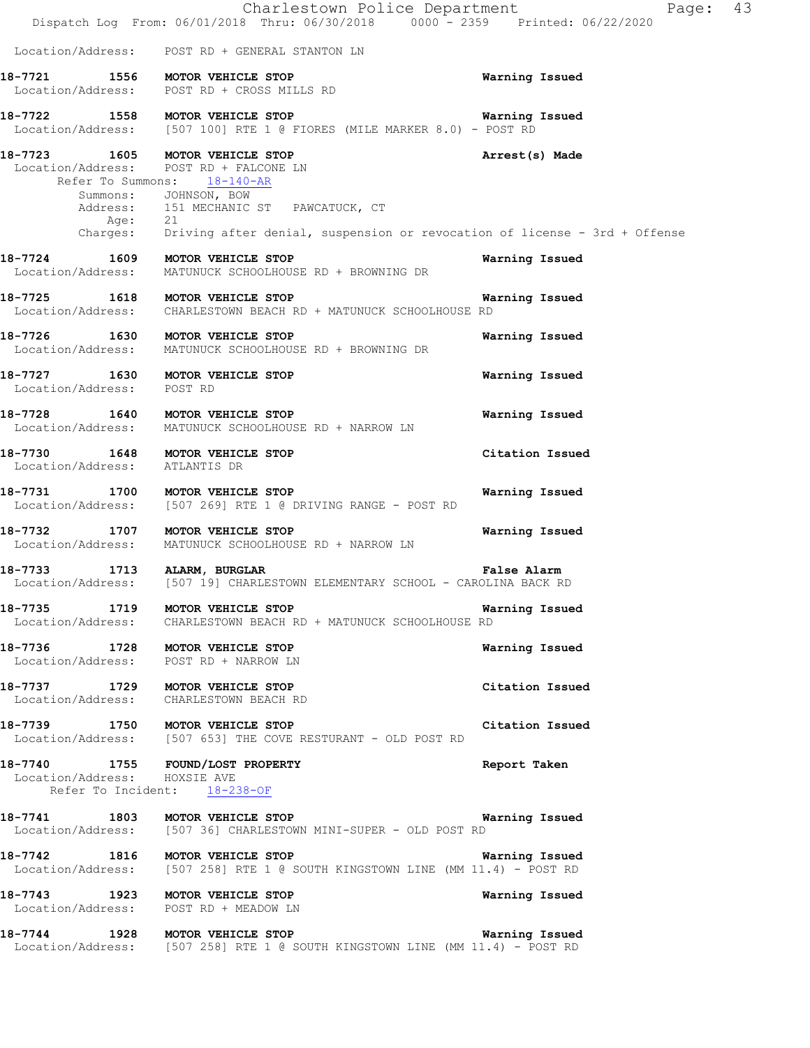|                                                              | Charlestown Police Department<br>Dispatch Log From: 06/01/2018 Thru: 06/30/2018 0000 - 2359 Printed: 06/22/2020                                                                                                                           | Page: 43           |  |
|--------------------------------------------------------------|-------------------------------------------------------------------------------------------------------------------------------------------------------------------------------------------------------------------------------------------|--------------------|--|
|                                                              | Location/Address: POST RD + GENERAL STANTON LN                                                                                                                                                                                            |                    |  |
|                                                              | 18-7721 1556 MOTOR VEHICLE STOP<br>Location/Address: POST RD + CROSS MILLS RD                                                                                                                                                             | Warning Issued     |  |
|                                                              | 18-7722 1558 MOTOR VEHICLE STOP<br>Location/Address: [507 100] RTE 1 @ FIORES (MILE MARKER 8.0) - POST RD                                                                                                                                 | Warning Issued     |  |
| 18-7723 1605 MOTOR VEHICLE STOP                              | Location/Address: POST RD + FALCONE LN<br>Refer To Summons: 18-140-AR<br>Summons: JOHNSON, BOW<br>Address: 151 MECHANIC ST PAWCATUCK, CT<br>Age: 21<br>Charges: Driving after denial, suspension or revocation of license - 3rd + Offense | Arrest(s) Made     |  |
|                                                              | 18-7724 1609 MOTOR VEHICLE STOP<br>Location/Address: MATUNUCK SCHOOLHOUSE RD + BROWNING DR                                                                                                                                                | Warning Issued     |  |
| 18-7725 1618 MOTOR VEHICLE STOP                              | Location/Address: CHARLESTOWN BEACH RD + MATUNUCK SCHOOLHOUSE RD                                                                                                                                                                          | Warning Issued     |  |
|                                                              | 18-7726 1630 MOTOR VEHICLE STOP<br>Location/Address: MATUNUCK SCHOOLHOUSE RD + BROWNING DR                                                                                                                                                | Warning Issued     |  |
| 18-7727 1630 MOTOR VEHICLE STOP<br>Location/Address: POST RD |                                                                                                                                                                                                                                           | Warning Issued     |  |
|                                                              | 18-7728 1640 MOTOR VEHICLE STOP<br>Location/Address: MATUNUCK SCHOOLHOUSE RD + NARROW LN                                                                                                                                                  | Warning Issued     |  |
| 18-7730 1648 MOTOR VEHICLE STOP<br>Location/Address:         | ATLANTIS DR                                                                                                                                                                                                                               | Citation Issued    |  |
| 18-7731                                                      | 1700 MOTOR VEHICLE STOP<br>Location/Address: [507 269] RTE 1 @ DRIVING RANGE - POST RD                                                                                                                                                    | Warning Issued     |  |
| 18-7732 1707 MOTOR VEHICLE STOP                              | Location/Address: MATUNUCK SCHOOLHOUSE RD + NARROW LN                                                                                                                                                                                     | Warning Issued     |  |
| 18-7733                                                      | 1713 ALARM, BURGLAR<br>Location/Address: [507 19] CHARLESTOWN ELEMENTARY SCHOOL - CAROLINA BACK RD                                                                                                                                        | <b>False Alarm</b> |  |
|                                                              | 18-7735 1719 MOTOR VEHICLE STOP<br>Location/Address: CHARLESTOWN BEACH RD + MATUNUCK SCHOOLHOUSE RD                                                                                                                                       | Warning Issued     |  |
|                                                              | 18-7736 1728 MOTOR VEHICLE STOP<br>Location/Address: POST RD + NARROW LN                                                                                                                                                                  | Warning Issued     |  |
|                                                              | 18-7737 1729 MOTOR VEHICLE STOP<br>Location/Address: CHARLESTOWN BEACH RD                                                                                                                                                                 | Citation Issued    |  |
|                                                              | 18-7739 1750 MOTOR VEHICLE STOP<br>Location/Address: [507 653] THE COVE RESTURANT - OLD POST RD                                                                                                                                           | Citation Issued    |  |
| Location/Address: HOXSIE AVE                                 | 18-7740 1755 FOUND/LOST PROPERTY<br>Refer To Incident: 18-238-OF                                                                                                                                                                          | Report Taken       |  |
|                                                              | 18-7741 1803 MOTOR VEHICLE STOP<br>Location/Address: [507 36] CHARLESTOWN MINI-SUPER - OLD POST RD                                                                                                                                        | Warning Issued     |  |
| 18-7742 1816 MOTOR VEHICLE STOP                              | Location/Address: [507 258] RTE 1 @ SOUTH KINGSTOWN LINE (MM 11.4) - POST RD                                                                                                                                                              | Warning Issued     |  |
|                                                              | 18-7743 1923 MOTOR VEHICLE STOP<br>Location/Address: POST RD + MEADOW LN                                                                                                                                                                  | Warning Issued     |  |
|                                                              | 18-7744 1928 MOTOR VEHICLE STOP<br>Location/Address: [507 258] RTE 1 @ SOUTH KINGSTOWN LINE (MM 11.4) - POST RD                                                                                                                           | Warning Issued     |  |